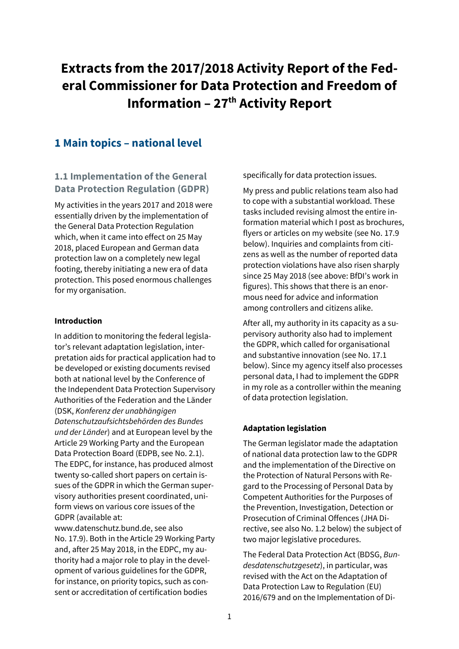# **Extracts from the 2017/2018 Activity Report of the Federal Commissioner for Data Protection and Freedom of Information – 27th Activity Report**

## **1 Main topics – national level**

## **1.1 Implementation of the General Data Protection Regulation (GDPR)**

My activities in the years 2017 and 2018 were essentially driven by the implementation of the General Data Protection Regulation which, when it came into effect on 25 May 2018, placed European and German data protection law on a completely new legal footing, thereby initiating a new era of data protection. This posed enormous challenges for my organisation.

### **Introduction**

In addition to monitoring the federal legislator's relevant adaptation legislation, interpretation aids for practical application had to be developed or existing documents revised both at national level by the Conference of the Independent Data Protection Supervisory Authorities of the Federation and the Länder (DSK, *Konferenz der unabhängigen Datenschutzaufsichtsbehörden des Bundes und der Länder*) and at European level by the Article 29 Working Party and the European Data Protection Board (EDPB, see No. 2.1). The EDPC, for instance, has produced almost twenty so-called short papers on certain issues of the GDPR in which the German supervisory authorities present coordinated, uniform views on various core issues of the GDPR (available at:

[www.datenschutz.bund.de, s](http://www.datenschutz.bund.de/)ee also No. 17.9). Both in the Article 29 Working Party and, after 25 May 2018, in the EDPC, my authority had a major role to play in the development of various guidelines for the GDPR, for instance, on priority topics, such as consent or accreditation of certification bodies

specifically for data protection issues.

My press and public relations team also had to cope with a substantial workload. These tasks included revising almost the entire information material which I post as brochures, flyers or articles on my website (see No. 17.9 below). Inquiries and complaints from citizens as well as the number of reported data protection violations have also risen sharply since 25 May 2018 (see above: BfDI's work in figures). This shows that there is an enormous need for advice and information among controllers and citizens alike.

After all, my authority in its capacity as a supervisory authority also had to implement the GDPR, which called for organisational and substantive innovation (see No. 17.1 below). Since my agency itself also processes personal data, I had to implement the GDPR in my role as a controller within the meaning of data protection legislation.

### **Adaptation legislation**

The German legislator made the adaptation of national data protection law to the GDPR and the implementation of the Directive on the Protection of Natural Persons with Regard to the Processing of Personal Data by Competent Authorities for the Purposes of the Prevention, Investigation, Detection or Prosecution of Criminal Offences (JHA Directive, see also No. 1.2 below) the subject of two major legislative procedures.

The Federal Data Protection Act (BDSG, *Bundesdatenschutzgesetz*), in particular, was revised with the Act on the Adaptation of Data Protection Law to Regulation (EU) 2016/679 and on the Implementation of Di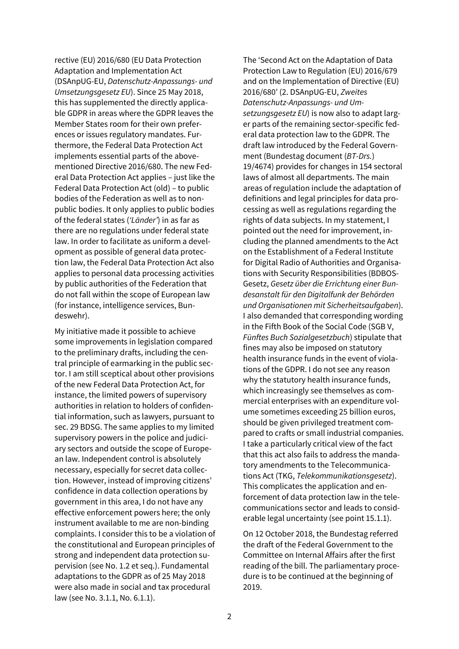rective (EU) 2016/680 (EU Data Protection Adaptation and Implementation Act (DSAnpUG-EU, *Datenschutz-Anpassungs- und Umsetzungsgesetz EU*). Since 25 May 2018, this has supplemented the directly applicable GDPR in areas where the GDPR leaves the Member States room for their own preferences or issues regulatory mandates. Furthermore, the Federal Data Protection Act implements essential parts of the abovementioned Directive 2016/680. The new Federal Data Protection Act applies – just like the Federal Data Protection Act (old) – to public bodies of the Federation as well as to nonpublic bodies. It only applies to public bodies of the federal states (*'Länder'*) in as far as there are no regulations under federal state law. In order to facilitate as uniform a development as possible of general data protection law, the Federal Data Protection Act also applies to personal data processing activities by public authorities of the Federation that do not fall within the scope of European law (for instance, intelligence services, Bundeswehr).

My initiative made it possible to achieve some improvements in legislation compared to the preliminary drafts, including the central principle of earmarking in the public sector. I am still sceptical about other provisions of the new Federal Data Protection Act, for instance, the limited powers of supervisory authorities in relation to holders of confidential information, such as lawyers, pursuant to sec. 29 BDSG. The same applies to my limited supervisory powers in the police and judiciary sectors and outside the scope of European law. Independent control is absolutely necessary, especially for secret data collection. However, instead of improving citizens' confidence in data collection operations by government in this area, I do not have any effective enforcement powers here; the only instrument available to me are non-binding complaints. I consider this to be a violation of the constitutional and European principles of strong and independent data protection supervision (see No. 1.2 et seq.). Fundamental adaptations to the GDPR as of 25 May 2018 were also made in social and tax procedural law (see No. 3.1.1, No. 6.1.1).

The 'Second Act on the Adaptation of Data Protection Law to Regulation (EU) 2016/679 and on the Implementation of Directive (EU) 2016/680' (2. DSAnpUG-EU, *Zweites Datenschutz-Anpassungs- und Umsetzungsgesetz EU*) is now also to adapt larger parts of the remaining sector-specific federal data protection law to the GDPR. The draft law introduced by the Federal Government (Bundestag document (*BT-Drs.*) 19/4674) provides for changes in 154 sectoral laws of almost all departments. The main areas of regulation include the adaptation of definitions and legal principles for data processing as well as regulations regarding the rights of data subjects. In my statement, I pointed out the need for improvement, including the planned amendments to the Act on the Establishment of a Federal Institute for Digital Radio of Authorities and Organisations with Security Responsibilities (BDBOS-Gesetz, *Gesetz über die Errichtung einer Bundesanstalt für den Digitalfunk der Behörden und Organisationen mit Sicherheitsaufgaben*). I also demanded that corresponding wording in the Fifth Book of the Social Code (SGB V, *Fünftes Buch Sozialgesetzbuch*) stipulate that fines may also be imposed on statutory health insurance funds in the event of violations of the GDPR. I do not see any reason why the statutory health insurance funds, which increasingly see themselves as commercial enterprises with an expenditure volume sometimes exceeding 25 billion euros, should be given privileged treatment compared to crafts or small industrial companies. I take a particularly critical view of the fact that this act also fails to address the mandatory amendments to the Telecommunications Act (TKG, *Telekommunikationsgesetz*). This complicates the application and enforcement of data protection law in the telecommunications sector and leads to considerable legal uncertainty (see point 15.1.1).

On 12 October 2018, the Bundestag referred the draft of the Federal Government to the Committee on Internal Affairs after the first reading of the bill. The parliamentary procedure is to be continued at the beginning of 2019.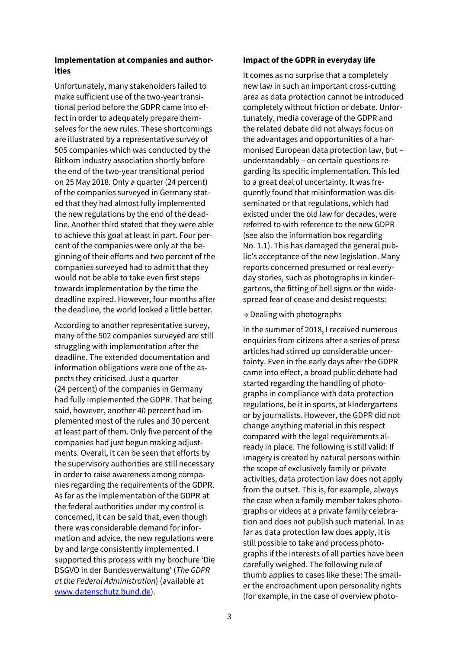### **Implementation at companies and authorities**

Unfortunately, many stakeholders failed to make sufficient use of the two-year transitional period before the GDPR came into effect in order to adequately prepare themselves for the new rules. These shortcomings are illustrated by a representative survey of 505 companies which was conducted by the Bitkom industry association shortly before the end of the two-year transitional period on 25 May 2018. Only a quarter (24 percent) of the companies surveyed in Germany stated that they had almost fully implemented the new regulations by the end of the deadline. Another third stated that they were able to achieve this goal at least in part. Four percent of the companies were only at the beginning of their efforts and two percent of the companies surveyed had to admit that they would not be able to take even first steps towards implementation by the time the deadline expired. However, four months after the deadline, the world looked a little better.

According to another representative survey, many of the 502 companies surveyed are still struggling with implementation after the deadline. The extended documentation and information obligations were one of the aspects they criticised. Just a quarter (24 percent) of the companies in Germany had fully implemented the GDPR. That being said, however, another 40 percent had implemented most of the rules and 30 percent at least part of them. Only five percent of the companies had just begun making adjustments. Overall, it can be seen that efforts by the supervisory authorities are still necessary in order to raise awareness among companies regarding the requirements of the GDPR. As far as the implementation of the GDPR at the federal authorities under my control is concerned, it can be said that, even though there was considerable demand for information and advice, the new regulations were by and large consistently implemented. I supported this process with my brochure 'Die DSGVO in der Bundesverwaltung' (*The GDPR at the Federal Administration*) (available at [www.datenschutz.bund.de\)](http://www.datenschutz.bund.de/).

#### **Impact of the GDPR in everyday life**

It comes as no surprise that a completely new law in such an important cross-cutting area as data protection cannot be introduced completely without friction or debate. Unfortunately, media coverage of the GDPR and the related debate did not always focus on the advantages and opportunities of a harmonised European data protection law, but – understandably – on certain questions regarding its specific implementation. This led to a great deal of uncertainty. It was frequently found that misinformation was disseminated or that regulations, which had existed under the old law for decades, were referred to with reference to the new GDPR (see also the information box regarding No. 1.1). This has damaged the general public's acceptance of the new legislation. Many reports concerned presumed or real everyday stories, such as photographs in kindergartens, the fitting of bell signs or the widespread fear of cease and desist requests:

#### $\rightarrow$  Dealing with photographs

In the summer of 2018, I received numerous enquiries from citizens after a series of press articles had stirred up considerable uncertainty. Even in the early days after the GDPR came into effect, a broad public debate had started regarding the handling of photographs in compliance with data protection regulations, be it in sports, at kindergartens or by journalists. However, the GDPR did not change anything material in this respect compared with the legal requirements already in place. The following is still valid: If imagery is created by natural persons within the scope of exclusively family or private activities, data protection law does not apply from the outset. This is, for example, always the case when a family member takes photographs or videos at a private family celebration and does not publish such material. In as far as data protection law does apply, it is still possible to take and process photographs if the interests of all parties have been carefully weighed. The following rule of thumb applies to cases like these: The smaller the encroachment upon personality rights (for example, in the case of overview photo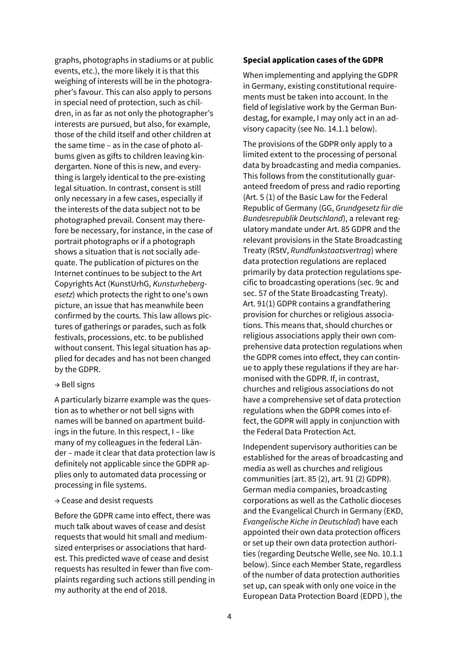graphs, photographs in stadiums or at public events, etc.), the more likely it is that this weighing of interests will be in the photographer's favour. This can also apply to persons in special need of protection, such as children, in as far as not only the photographer's interests are pursued, but also, for example, those of the child itself and other children at the same time – as in the case of photo albums given as gifts to children leaving kindergarten. None of this is new, and everything is largely identical to the pre-existing legal situation. In contrast, consent is still only necessary in a few cases, especially if the interests of the data subject not to be photographed prevail. Consent may therefore be necessary, for instance, in the case of portrait photographs or if a photograph shows a situation that is not socially adequate. The publication of pictures on the Internet continues to be subject to the Art Copyrights Act (KunstUrhG, *Kunsturhebergesetz*) which protects the right to one's own picture, an issue that has meanwhile been confirmed by the courts. This law allows pictures of gatherings or parades, such as folk festivals, processions, etc. to be published without consent. This legal situation has applied for decades and has not been changed by the GDPR.

#### → Bell signs

A particularly bizarre example was the question as to whether or not bell signs with names will be banned on apartment buildings in the future. In this respect, I – like many of my colleagues in the federal Länder – made it clear that data protection law is definitely not applicable since the GDPR applies only to automated data processing or processing in file systems.

#### → Cease and desist requests

Before the GDPR came into effect, there was much talk about waves of cease and desist requests that would hit small and mediumsized enterprises or associations that hardest. This predicted wave of cease and desist requests has resulted in fewer than five complaints regarding such actions still pending in my authority at the end of 2018.

#### **Special application cases of the GDPR**

When implementing and applying the GDPR in Germany, existing constitutional requirements must be taken into account. In the field of legislative work by the German Bundestag, for example, I may only act in an advisory capacity (see No. 14.1.1 below).

The provisions of the GDPR only apply to a limited extent to the processing of personal data by broadcasting and media companies. This follows from the constitutionally guaranteed freedom of press and radio reporting (Art. 5 (1) of the Basic Law for the Federal Republic of Germany (GG, *Grundgesetz für die Bundesrepublik Deutschland*), a relevant regulatory mandate under Art. 85 GDPR and the relevant provisions in the State Broadcasting Treaty (RStV, *Rundfunkstaatsvertrag*) where data protection regulations are replaced primarily by data protection regulations specific to broadcasting operations (sec. 9c and sec. 57 of the State Broadcasting Treaty). Art. 91(1) GDPR contains a grandfathering provision for churches or religious associations. This means that, should churches or religious associations apply their own comprehensive data protection regulations when the GDPR comes into effect, they can continue to apply these regulations if they are harmonised with the GDPR. If, in contrast, churches and religious associations do not have a comprehensive set of data protection regulations when the GDPR comes into effect, the GDPR will apply in conjunction with the Federal Data Protection Act.

Independent supervisory authorities can be established for the areas of broadcasting and media as well as churches and religious communities (art. 85 (2), art. 91 (2) GDPR). German media companies, broadcasting corporations as well as the Catholic dioceses and the Evangelical Church in Germany (EKD, *Evangelische Kiche in Deutschlad*) have each appointed their own data protection officers or set up their own data protection authorities (regarding Deutsche Welle, see No. 10.1.1 below). Since each Member State, regardless of the number of data protection authorities set up, can speak with only one voice in the European Data Protection Board (EDPD ), the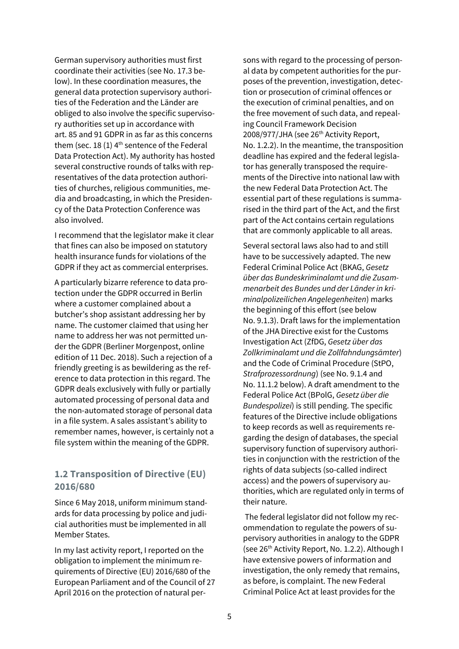German supervisory authorities must first coordinate their activities (see No. 17.3 below). In these coordination measures, the general data protection supervisory authorities of the Federation and the Länder are obliged to also involve the specific supervisory authorities set up in accordance with art. 85 and 91 GDPR in as far as this concerns them (sec. 18 (1)  $4<sup>th</sup>$  sentence of the Federal Data Protection Act). My authority has hosted several constructive rounds of talks with representatives of the data protection authorities of churches, religious communities, media and broadcasting, in which the Presidency of the Data Protection Conference was also involved.

I recommend that the legislator make it clear that fines can also be imposed on statutory health insurance funds for violations of the GDPR if they act as commercial enterprises.

A particularly bizarre reference to data protection under the GDPR occurred in Berlin where a customer complained about a butcher's shop assistant addressing her by name. The customer claimed that using her name to address her was not permitted under the GDPR (Berliner Morgenpost, online edition of 11 Dec. 2018). Such a rejection of a friendly greeting is as bewildering as the reference to data protection in this regard. The GDPR deals exclusively with fully or partially automated processing of personal data and the non-automated storage of personal data in a file system. A sales assistant's ability to remember names, however, is certainly not a file system within the meaning of the GDPR.

## **1.2 Transposition of Directive (EU) 2016/680**

Since 6 May 2018, uniform minimum standards for data processing by police and judicial authorities must be implemented in all Member States.

In my last activity report, I reported on the obligation to implement the minimum requirements of Directive (EU) 2016/680 of the European Parliament and of the Council of 27 April 2016 on the protection of natural persons with regard to the processing of personal data by competent authorities for the purposes of the prevention, investigation, detection or prosecution of criminal offences or the execution of criminal penalties, and on the free movement of such data, and repealing Council Framework Decision 2008/977/JHA (see 26<sup>th</sup> Activity Report, No. 1.2.2). In the meantime, the transposition deadline has expired and the federal legislator has generally transposed the requirements of the Directive into national law with the new Federal Data Protection Act. The essential part of these regulations is summarised in the third part of the Act, and the first part of the Act contains certain regulations that are commonly applicable to all areas.

Several sectoral laws also had to and still have to be successively adapted. The new Federal Criminal Police Act (BKAG, *Gesetz über das Bundeskriminalamt und die Zusammenarbeit des Bundes und der Länder in kriminalpolizeilichen Angelegenheiten*) marks the beginning of this effort (see below No. 9.1.3). Draft laws for the implementation of the JHA Directive exist for the Customs Investigation Act (ZfDG, *Gesetz über das Zollkriminalamt und die Zollfahndungsämter*) and the Code of Criminal Procedure (StPO, *Strafprozessordnung*) (see No. 9.1.4 and No. 11.1.2 below). A draft amendment to the Federal Police Act (BPolG, *Gesetz über die Bundespolizei*) is still pending. The specific features of the Directive include obligations to keep records as well as requirements regarding the design of databases, the special supervisory function of supervisory authorities in conjunction with the restriction of the rights of data subjects (so-called indirect access) and the powers of supervisory authorities, which are regulated only in terms of their nature.

The federal legislator did not follow my recommendation to regulate the powers of supervisory authorities in analogy to the GDPR (see 26<sup>th</sup> Activity Report, No. 1.2.2). Although I have extensive powers of information and investigation, the only remedy that remains, as before, is complaint. The new Federal Criminal Police Act at least provides for the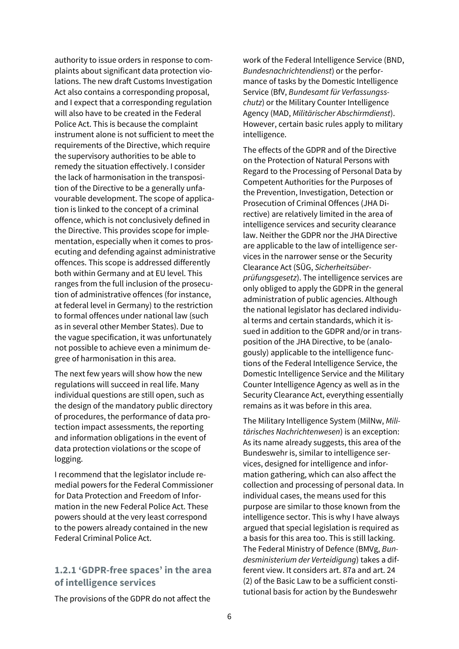authority to issue orders in response to complaints about significant data protection violations. The new draft Customs Investigation Act also contains a corresponding proposal, and I expect that a corresponding regulation will also have to be created in the Federal Police Act. This is because the complaint instrument alone is not sufficient to meet the requirements of the Directive, which require the supervisory authorities to be able to remedy the situation effectively. I consider the lack of harmonisation in the transposition of the Directive to be a generally unfavourable development. The scope of application is linked to the concept of a criminal offence, which is not conclusively defined in the Directive. This provides scope for implementation, especially when it comes to prosecuting and defending against administrative offences. This scope is addressed differently both within Germany and at EU level. This ranges from the full inclusion of the prosecution of administrative offences (for instance, at federal level in Germany) to the restriction to formal offences under national law (such as in several other Member States). Due to the vague specification, it was unfortunately not possible to achieve even a minimum degree of harmonisation in this area.

The next few years will show how the new regulations will succeed in real life. Many individual questions are still open, such as the design of the mandatory public directory of procedures, the performance of data protection impact assessments, the reporting and information obligations in the event of data protection violations or the scope of logging.

I recommend that the legislator include remedial powers for the Federal Commissioner for Data Protection and Freedom of Information in the new Federal Police Act. These powers should at the very least correspond to the powers already contained in the new Federal Criminal Police Act.

### **1.2.1 'GDPR-free spaces' in the area of intelligence services**

The provisions of the GDPR do not affect the

work of the Federal Intelligence Service (BND, *Bundesnachrichtendienst*) or the performance of tasks by the Domestic Intelligence Service (BfV, *Bundesamt für Verfassungsschutz*) or the Military Counter Intelligence Agency (MAD, *Militärischer Abschirmdienst*). However, certain basic rules apply to military intelligence.

The effects of the GDPR and of the Directive on the Protection of Natural Persons with Regard to the Processing of Personal Data by Competent Authorities for the Purposes of the Prevention, Investigation, Detection or Prosecution of Criminal Offences (JHA Directive) are relatively limited in the area of intelligence services and security clearance law. Neither the GDPR nor the JHA Directive are applicable to the law of intelligence services in the narrower sense or the Security Clearance Act (SÜG, *Sicherheitsüberprüfungsgesetz*). The intelligence services are only obliged to apply the GDPR in the general administration of public agencies. Although the national legislator has declared individual terms and certain standards, which it issued in addition to the GDPR and/or in transposition of the JHA Directive, to be (analogously) applicable to the intelligence functions of the Federal Intelligence Service, the Domestic Intelligence Service and the Military Counter Intelligence Agency as well as in the Security Clearance Act, everything essentially remains as it was before in this area.

The Military Intelligence System (MilNw, *Militärisches Nachrichtenwesen*) is an exception: As its name already suggests, this area of the Bundeswehr is, similar to intelligence services, designed for intelligence and information gathering, which can also affect the collection and processing of personal data. In individual cases, the means used for this purpose are similar to those known from the intelligence sector. This is why I have always argued that special legislation is required as a basis for this area too. This is still lacking. The Federal Ministry of Defence (BMVg, *Bundesministerium der Verteidigung*) takes a different view. It considers art. 87a and art. 24 (2) of the Basic Law to be a sufficient constitutional basis for action by the Bundeswehr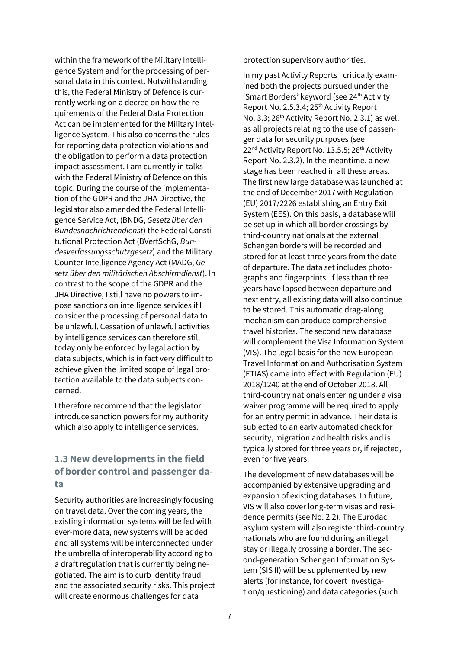within the framework of the Military Intelligence System and for the processing of personal data in this context. Notwithstanding this, the Federal Ministry of Defence is currently working on a decree on how the requirements of the Federal Data Protection Act can be implemented for the Military Intelligence System. This also concerns the rules for reporting data protection violations and the obligation to perform a data protection impact assessment. I am currently in talks with the Federal Ministry of Defence on this topic. During the course of the implementation of the GDPR and the JHA Directive, the legislator also amended the Federal Intelligence Service Act, (BNDG, *Gesetz über den Bundesnachrichtendienst*) the Federal Constitutional Protection Act (BVerfSchG, *Bundesverfassungsschutzgesetz*) and the Military Counter Intelligence Agency Act (MADG, *Gesetz über den militärischen Abschirmdienst*). In contrast to the scope of the GDPR and the JHA Directive, I still have no powers to impose sanctions on intelligence services if I consider the processing of personal data to be unlawful. Cessation of unlawful activities by intelligence services can therefore still today only be enforced by legal action by data subjects, which is in fact very difficult to achieve given the limited scope of legal protection available to the data subjects concerned.

I therefore recommend that the legislator introduce sanction powers for my authority which also apply to intelligence services.

## **1.3 New developments in the field of border control and passenger data**

Security authorities are increasingly focusing on travel data. Over the coming years, the existing information systems will be fed with ever-more data, new systems will be added and all systems will be interconnected under the umbrella of interoperability according to a draft regulation that is currently being negotiated. The aim is to curb identity fraud and the associated security risks. This project will create enormous challenges for data

protection supervisory authorities.

In my past Activity Reports I critically examined both the projects pursued under the 'Smart Borders' keyword (see 24<sup>th</sup> Activity Report No. 2.5.3.4; 25th Activity Report No. 3.3; 26<sup>th</sup> Activity Report No. 2.3.1) as well as all projects relating to the use of passenger data for security purposes (see 22<sup>nd</sup> Activity Report No. 13.5.5; 26<sup>th</sup> Activity Report No. 2.3.2). In the meantime, a new stage has been reached in all these areas. The first new large database was launched at the end of December 2017 with Regulation (EU) 2017/2226 establishing an Entry Exit System (EES). On this basis, a database will be set up in which all border crossings by third-country nationals at the external Schengen borders will be recorded and stored for at least three years from the date of departure. The data set includes photographs and fingerprints. If less than three years have lapsed between departure and next entry, all existing data will also continue to be stored. This automatic drag-along mechanism can produce comprehensive travel histories. The second new database will complement the Visa Information System (VIS). The legal basis for the new European Travel Information and Authorisation System (ETIAS) came into effect with Regulation (EU) 2018/1240 at the end of October 2018. All third-country nationals entering under a visa waiver programme will be required to apply for an entry permit in advance. Their data is subjected to an early automated check for security, migration and health risks and is typically stored for three years or, if rejected, even for five years.

The development of new databases will be accompanied by extensive upgrading and expansion of existing databases. In future, VIS will also cover long-term visas and residence permits (see No. 2.2). The Eurodac asylum system will also register third-country nationals who are found during an illegal stay or illegally crossing a border. The second-generation Schengen Information System (SIS II) will be supplemented by new alerts (for instance, for covert investigation/questioning) and data categories (such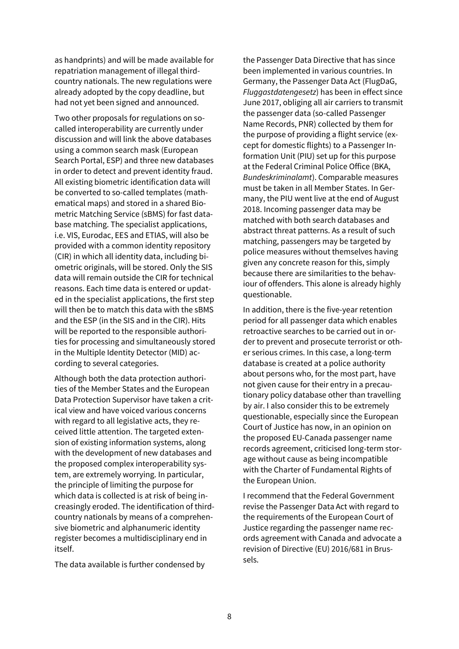as handprints) and will be made available for repatriation management of illegal thirdcountry nationals. The new regulations were already adopted by the copy deadline, but had not yet been signed and announced.

Two other proposals for regulations on socalled interoperability are currently under discussion and will link the above databases using a common search mask (European Search Portal, ESP) and three new databases in order to detect and prevent identity fraud. All existing biometric identification data will be converted to so-called templates (mathematical maps) and stored in a shared Biometric Matching Service (sBMS) for fast database matching. The specialist applications, i.e. VIS, Eurodac, EES and ETIAS, will also be provided with a common identity repository (CIR) in which all identity data, including biometric originals, will be stored. Only the SIS data will remain outside the CIR for technical reasons. Each time data is entered or updated in the specialist applications, the first step will then be to match this data with the sBMS and the ESP (in the SIS and in the CIR). Hits will be reported to the responsible authorities for processing and simultaneously stored in the Multiple Identity Detector (MID) according to several categories.

Although both the data protection authorities of the Member States and the European Data Protection Supervisor have taken a critical view and have voiced various concerns with regard to all legislative acts, they received little attention. The targeted extension of existing information systems, along with the development of new databases and the proposed complex interoperability system, are extremely worrying. In particular, the principle of limiting the purpose for which data is collected is at risk of being increasingly eroded. The identification of thirdcountry nationals by means of a comprehensive biometric and alphanumeric identity register becomes a multidisciplinary end in itself.

The data available is further condensed by

the Passenger Data Directive that has since been implemented in various countries. In Germany, the Passenger Data Act (FlugDaG, *Fluggastdatengesetz*) has been in effect since June 2017, obliging all air carriers to transmit the passenger data (so-called Passenger Name Records, PNR) collected by them for the purpose of providing a flight service (except for domestic flights) to a Passenger Information Unit (PIU) set up for this purpose at the Federal Criminal Police Office (BKA, *Bundeskriminalamt*). Comparable measures must be taken in all Member States. In Germany, the PIU went live at the end of August 2018. Incoming passenger data may be matched with both search databases and abstract threat patterns. As a result of such matching, passengers may be targeted by police measures without themselves having given any concrete reason for this, simply because there are similarities to the behaviour of offenders. This alone is already highly questionable.

In addition, there is the five-year retention period for all passenger data which enables retroactive searches to be carried out in order to prevent and prosecute terrorist or other serious crimes. In this case, a long-term database is created at a police authority about persons who, for the most part, have not given cause for their entry in a precautionary policy database other than travelling by air. I also consider this to be extremely questionable, especially since the European Court of Justice has now, in an opinion on the proposed EU-Canada passenger name records agreement, criticised long-term storage without cause as being incompatible with the Charter of Fundamental Rights of the European Union.

I recommend that the Federal Government revise the Passenger Data Act with regard to the requirements of the European Court of Justice regarding the passenger name records agreement with Canada and advocate a revision of Directive (EU) 2016/681 in Brussels.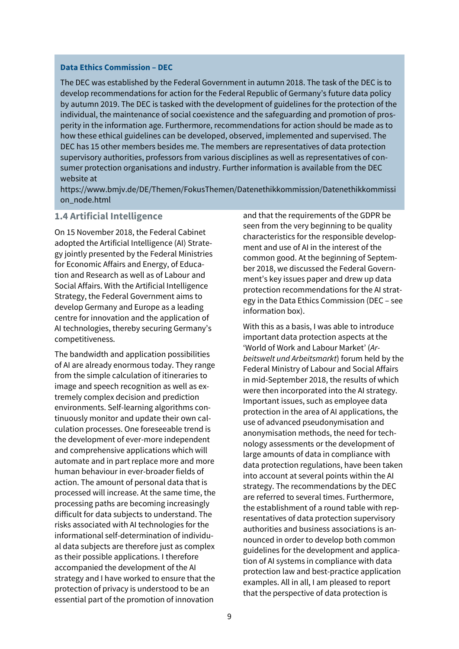#### **Data Ethics Commission – DEC**

The DEC was established by the Federal Government in autumn 2018. The task of the DEC is to develop recommendations for action for the Federal Republic of Germany's future data policy by autumn 2019. The DEC is tasked with the development of guidelines for the protection of the individual, the maintenance of social coexistence and the safeguarding and promotion of prosperity in the information age. Furthermore, recommendations for action should be made as to how these ethical guidelines can be developed, observed, implemented and supervised. The DEC has 15 other members besides me. The members are representatives of data protection supervisory authorities, professors from various disciplines as well as representatives of consumer protection organisations and industry. Further information is available from the DEC website at

h[ttps://www.](http://www.bmjv.de/DE/Themen/FokusThemen/Datenethikkommission/Datenethikkommission_node.html)bmjv[.de/DE/Themen/FokusThemen/Datenethikkommission/Datenethikkommissi](http://www.bmjv.de/DE/Themen/FokusThemen/Datenethikkommission/Datenethikkommission_node.html) [on\\_node.html](http://www.bmjv.de/DE/Themen/FokusThemen/Datenethikkommission/Datenethikkommission_node.html)

### **1.4 Artificial Intelligence**

On 15 November 2018, the Federal Cabinet adopted the Artificial Intelligence (AI) Strategy jointly presented by the Federal Ministries for Economic Affairs and Energy, of Education and Research as well as of Labour and Social Affairs. With the Artificial Intelligence Strategy, the Federal Government aims to develop Germany and Europe as a leading centre for innovation and the application of AI technologies, thereby securing Germany's competitiveness.

The bandwidth and application possibilities of AI are already enormous today. They range from the simple calculation of itineraries to image and speech recognition as well as extremely complex decision and prediction environments. Self-learning algorithms continuously monitor and update their own calculation processes. One foreseeable trend is the development of ever-more independent and comprehensive applications which will automate and in part replace more and more human behaviour in ever-broader fields of action. The amount of personal data that is processed will increase. At the same time, the processing paths are becoming increasingly difficult for data subjects to understand. The risks associated with AI technologies for the informational self-determination of individual data subjects are therefore just as complex as their possible applications. I therefore accompanied the development of the AI strategy and I have worked to ensure that the protection of privacy is understood to be an essential part of the promotion of innovation

and that the requirements of the GDPR be seen from the very beginning to be quality characteristics for the responsible development and use of AI in the interest of the common good. At the beginning of September 2018, we discussed the Federal Government's key issues paper and drew up data protection recommendations for the AI strategy in the Data Ethics Commission (DEC – see information box).

With this as a basis, I was able to introduce important data protection aspects at the 'World of Work and Labour Market' (*Arbeitswelt und Arbeitsmarkt*) forum held by the Federal Ministry of Labour and Social Affairs in mid-September 2018, the results of which were then incorporated into the AI strategy. Important issues, such as employee data protection in the area of AI applications, the use of advanced pseudonymisation and anonymisation methods, the need for technology assessments or the development of large amounts of data in compliance with data protection regulations, have been taken into account at several points within the AI strategy. The recommendations by the DEC are referred to several times. Furthermore, the establishment of a round table with representatives of data protection supervisory authorities and business associations is announced in order to develop both common guidelines for the development and application of AI systems in compliance with data protection law and best-practice application examples. All in all, I am pleased to report that the perspective of data protection is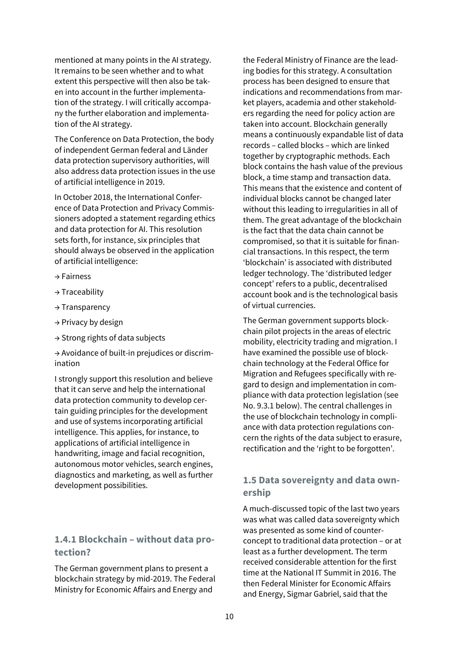mentioned at many points in the AI strategy. It remains to be seen whether and to what extent this perspective will then also be taken into account in the further implementation of the strategy. I will critically accompany the further elaboration and implementation of the AI strategy.

The Conference on Data Protection, the body of independent German federal and Länder data protection supervisory authorities, will also address data protection issues in the use of artificial intelligence in 2019.

In October 2018, the International Conference of Data Protection and Privacy Commissioners adopted a statement regarding ethics and data protection for AI. This resolution sets forth, for instance, six principles that should always be observed in the application of artificial intelligence:

- → Fairness
- → Traceability
- → Transparency
- $\rightarrow$  Privacy by design
- → Strong rights of data subjects

→ Avoidance of built-in prejudices or discrimination

I strongly support this resolution and believe that it can serve and help the international data protection community to develop certain guiding principles for the development and use of systems incorporating artificial intelligence. This applies, for instance, to applications of artificial intelligence in handwriting, image and facial recognition, autonomous motor vehicles, search engines, diagnostics and marketing, as well as further development possibilities.

### **1.4.1 Blockchain – without data protection?**

The German government plans to present a blockchain strategy by mid-2019. The Federal Ministry for Economic Affairs and Energy and

the Federal Ministry of Finance are the leading bodies for this strategy. A consultation process has been designed to ensure that indications and recommendations from market players, academia and other stakeholders regarding the need for policy action are taken into account. Blockchain generally means a continuously expandable list of data records – called blocks – which are linked together by cryptographic methods. Each block contains the hash value of the previous block, a time stamp and transaction data. This means that the existence and content of individual blocks cannot be changed later without this leading to irregularities in all of them. The great advantage of the blockchain is the fact that the data chain cannot be compromised, so that it is suitable for financial transactions. In this respect, the term 'blockchain' is associated with distributed ledger technology. The 'distributed ledger concept' refers to a public, decentralised account book and is the technological basis of virtual currencies.

The German government supports blockchain pilot projects in the areas of electric mobility, electricity trading and migration. I have examined the possible use of blockchain technology at the Federal Office for Migration and Refugees specifically with regard to design and implementation in compliance with data protection legislation (see No. 9.3.1 below). The central challenges in the use of blockchain technology in compliance with data protection regulations concern the rights of the data subject to erasure, rectification and the 'right to be forgotten'.

## **1.5 Data sovereignty and data ownership**

A much-discussed topic of the last two years was what was called data sovereignty which was presented as some kind of counterconcept to traditional data protection – or at least as a further development. The term received considerable attention for the first time at the National IT Summit in 2016. The then Federal Minister for Economic Affairs and Energy, Sigmar Gabriel, said that the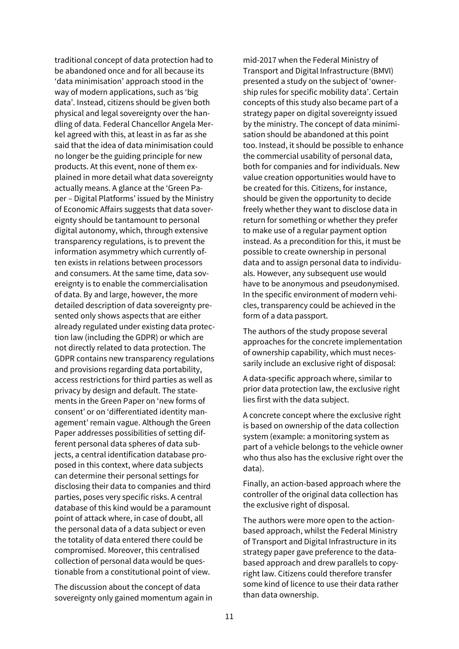traditional concept of data protection had to be abandoned once and for all because its 'data minimisation' approach stood in the way of modern applications, such as 'big data'. Instead, citizens should be given both physical and legal sovereignty over the handling of data. Federal Chancellor Angela Merkel agreed with this, at least in as far as she said that the idea of data minimisation could no longer be the guiding principle for new products. At this event, none of them explained in more detail what data sovereignty actually means. A glance at the 'Green Paper – Digital Platforms' issued by the Ministry of Economic Affairs suggests that data sovereignty should be tantamount to personal digital autonomy, which, through extensive transparency regulations, is to prevent the information asymmetry which currently often exists in relations between processors and consumers. At the same time, data sovereignty is to enable the commercialisation of data. By and large, however, the more detailed description of data sovereignty presented only shows aspects that are either already regulated under existing data protection law (including the GDPR) or which are not directly related to data protection. The GDPR contains new transparency regulations and provisions regarding data portability, access restrictions for third parties as well as privacy by design and default. The statements in the Green Paper on 'new forms of consent' or on 'differentiated identity management' remain vague. Although the Green Paper addresses possibilities of setting different personal data spheres of data subjects, a central identification database proposed in this context, where data subjects can determine their personal settings for disclosing their data to companies and third parties, poses very specific risks. A central database of this kind would be a paramount point of attack where, in case of doubt, all the personal data of a data subject or even the totality of data entered there could be compromised. Moreover, this centralised collection of personal data would be questionable from a constitutional point of view.

The discussion about the concept of data sovereignty only gained momentum again in mid-2017 when the Federal Ministry of Transport and Digital Infrastructure (BMVI) presented a study on the subject of 'ownership rules for specific mobility data'. Certain concepts of this study also became part of a strategy paper on digital sovereignty issued by the ministry. The concept of data minimisation should be abandoned at this point too. Instead, it should be possible to enhance the commercial usability of personal data, both for companies and for individuals. New value creation opportunities would have to be created for this. Citizens, for instance, should be given the opportunity to decide freely whether they want to disclose data in return for something or whether they prefer to make use of a regular payment option instead. As a precondition for this, it must be possible to create ownership in personal data and to assign personal data to individuals. However, any subsequent use would have to be anonymous and pseudonymised. In the specific environment of modern vehicles, transparency could be achieved in the form of a data passport.

The authors of the study propose several approaches for the concrete implementation of ownership capability, which must necessarily include an exclusive right of disposal:

A data-specific approach where, similar to prior data protection law, the exclusive right lies first with the data subject.

A concrete concept where the exclusive right is based on ownership of the data collection system (example: a monitoring system as part of a vehicle belongs to the vehicle owner who thus also has the exclusive right over the data).

Finally, an action-based approach where the controller of the original data collection has the exclusive right of disposal.

The authors were more open to the actionbased approach, whilst the Federal Ministry of Transport and Digital Infrastructure in its strategy paper gave preference to the databased approach and drew parallels to copyright law. Citizens could therefore transfer some kind of licence to use their data rather than data ownership.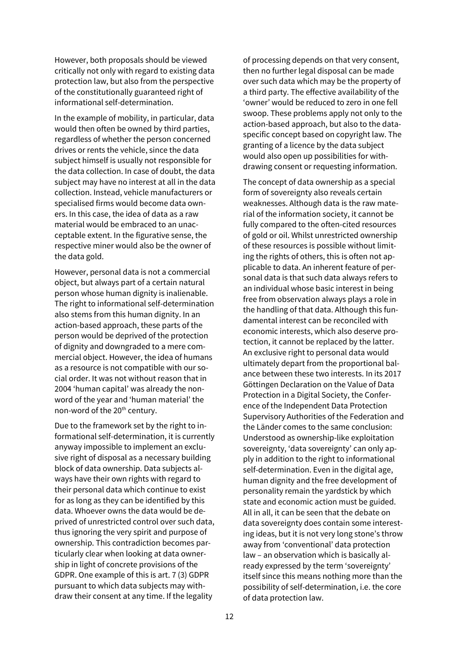However, both proposals should be viewed critically not only with regard to existing data protection law, but also from the perspective of the constitutionally guaranteed right of informational self-determination.

In the example of mobility, in particular, data would then often be owned by third parties, regardless of whether the person concerned drives or rents the vehicle, since the data subject himself is usually not responsible for the data collection. In case of doubt, the data subject may have no interest at all in the data collection. Instead, vehicle manufacturers or specialised firms would become data owners. In this case, the idea of data as a raw material would be embraced to an unacceptable extent. In the figurative sense, the respective miner would also be the owner of the data gold.

However, personal data is not a commercial object, but always part of a certain natural person whose human dignity is inalienable. The right to informational self-determination also stems from this human dignity. In an action-based approach, these parts of the person would be deprived of the protection of dignity and downgraded to a mere commercial object. However, the idea of humans as a resource is not compatible with our social order. It was not without reason that in 2004 'human capital' was already the nonword of the year and 'human material' the non-word of the 20<sup>th</sup> century.

Due to the framework set by the right to informational self-determination, it is currently anyway impossible to implement an exclusive right of disposal as a necessary building block of data ownership. Data subjects always have their own rights with regard to their personal data which continue to exist for as long as they can be identified by this data. Whoever owns the data would be deprived of unrestricted control over such data, thus ignoring the very spirit and purpose of ownership. This contradiction becomes particularly clear when looking at data ownership in light of concrete provisions of the GDPR. One example of this is art. 7 (3) GDPR pursuant to which data subjects may withdraw their consent at any time. If the legality

of processing depends on that very consent, then no further legal disposal can be made over such data which may be the property of a third party. The effective availability of the 'owner' would be reduced to zero in one fell swoop. These problems apply not only to the action-based approach, but also to the dataspecific concept based on copyright law. The granting of a licence by the data subject would also open up possibilities for withdrawing consent or requesting information.

The concept of data ownership as a special form of sovereignty also reveals certain weaknesses. Although data is the raw material of the information society, it cannot be fully compared to the often-cited resources of gold or oil. Whilst unrestricted ownership of these resources is possible without limiting the rights of others, this is often not applicable to data. An inherent feature of personal data is that such data always refers to an individual whose basic interest in being free from observation always plays a role in the handling of that data. Although this fundamental interest can be reconciled with economic interests, which also deserve protection, it cannot be replaced by the latter. An exclusive right to personal data would ultimately depart from the proportional balance between these two interests. In its 2017 Göttingen Declaration on the Value of Data Protection in a Digital Society, the Conference of the Independent Data Protection Supervisory Authorities of the Federation and the Länder comes to the same conclusion: Understood as ownership-like exploitation sovereignty, 'data sovereignty' can only apply in addition to the right to informational self-determination. Even in the digital age, human dignity and the free development of personality remain the yardstick by which state and economic action must be guided. All in all, it can be seen that the debate on data sovereignty does contain some interesting ideas, but it is not very long stone's throw away from 'conventional' data protection law – an observation which is basically already expressed by the term 'sovereignty' itself since this means nothing more than the possibility of self-determination, i.e. the core of data protection law.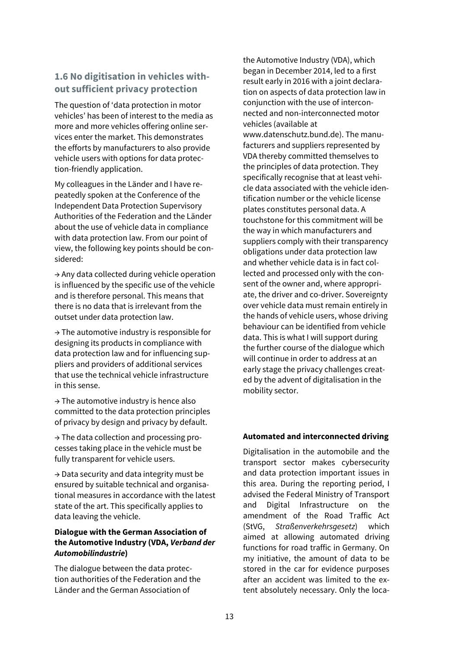## **1.6 No digitisation in vehicles without sufficient privacy protection**

The question of 'data protection in motor vehicles' has been of interest to the media as more and more vehicles offering online services enter the market. This demonstrates the efforts by manufacturers to also provide vehicle users with options for data protection-friendly application.

My colleagues in the Länder and I have repeatedly spoken at the Conference of the Independent Data Protection Supervisory Authorities of the Federation and the Länder about the use of vehicle data in compliance with data protection law. From our point of view, the following key points should be considered:

→ Any data collected during vehicle operation is influenced by the specific use of the vehicle and is therefore personal. This means that there is no data that is irrelevant from the outset under data protection law.

 $\rightarrow$  The automotive industry is responsible for designing its products in compliance with data protection law and for influencing suppliers and providers of additional services that use the technical vehicle infrastructure in this sense.

 $\rightarrow$  The automotive industry is hence also committed to the data protection principles of privacy by design and privacy by default.

→ The data collection and processing processes taking place in the vehicle must be fully transparent for vehicle users.

→ Data security and data integrity must be ensured by suitable technical and organisational measures in accordance with the latest state of the art. This specifically applies to data leaving the vehicle.

### **Dialogue with the German Association of the Automotive Industry (VDA,** *Verband der Automobilindustrie***)**

The dialogue between the data protection authorities of the Federation and the Länder and the German Association of

the Automotive Industry (VDA), which began in December 2014, led to a first result early in 2016 with a joint declaration on aspects of data protection law in conjunction with the use of interconnected and non-interconnected motor vehicles (available at www.datenschutz.bund.de). The manufacturers and suppliers represented by VDA thereby committed themselves to the principles of data protection. They specifically recognise that at least vehicle data associated with the vehicle identification number or the vehicle license plates constitutes personal data. A touchstone for this commitment will be the way in which manufacturers and suppliers comply with their transparency obligations under data protection law and whether vehicle data is in fact collected and processed only with the consent of the owner and, where appropriate, the driver and co-driver. Sovereignty over vehicle data must remain entirely in the hands of vehicle users, whose driving behaviour can be identified from vehicle data. This is what I will support during the further course of the dialogue which will continue in order to address at an early stage the privacy challenges created by the advent of digitalisation in the mobility sector.

### **Automated and interconnected driving**

Digitalisation in the automobile and the transport sector makes cybersecurity and data protection important issues in this area. During the reporting period, I advised the Federal Ministry of Transport and Digital Infrastructure on the amendment of the Road Traffic Act (StVG, *Straßenverkehrsgesetz*) which aimed at allowing automated driving functions for road traffic in Germany. On my initiative, the amount of data to be stored in the car for evidence purposes after an accident was limited to the extent absolutely necessary. Only the loca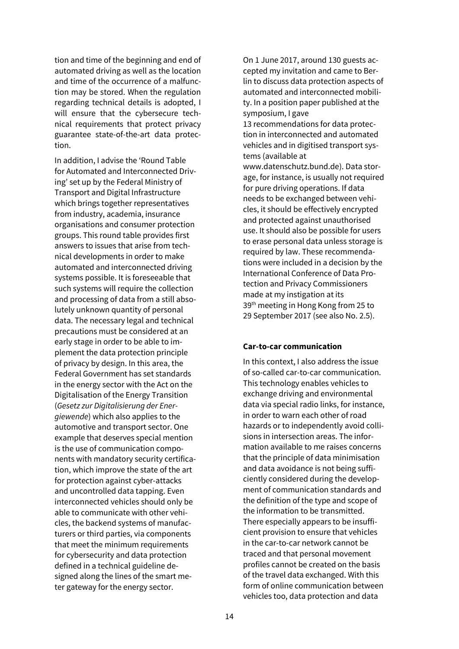tion and time of the beginning and end of automated driving as well as the location and time of the occurrence of a malfunction may be stored. When the regulation regarding technical details is adopted, I will ensure that the cybersecure technical requirements that protect privacy guarantee state-of-the-art data protection.

In addition, I advise the 'Round Table for Automated and Interconnected Driving' set up by the Federal Ministry of Transport and Digital Infrastructure which brings together representatives from industry, academia, insurance organisations and consumer protection groups. This round table provides first answers to issues that arise from technical developments in order to make automated and interconnected driving systems possible. It is foreseeable that such systems will require the collection and processing of data from a still absolutely unknown quantity of personal data. The necessary legal and technical precautions must be considered at an early stage in order to be able to implement the data protection principle of privacy by design. In this area, the Federal Government has set standards in the energy sector with the Act on the Digitalisation of the Energy Transition (*Gesetz zur Digitalisierung der Energiewende*) which also applies to the automotive and transport sector. One example that deserves special mention is the use of communication components with mandatory security certification, which improve the state of the art for protection against cyber-attacks and uncontrolled data tapping. Even interconnected vehicles should only be able to communicate with other vehicles, the backend systems of manufacturers or third parties, via components that meet the minimum requirements for cybersecurity and data protection defined in a technical guideline designed along the lines of the smart meter gateway for the energy sector.

On 1 June 2017, around 130 guests accepted my invitation and came to Berlin to discuss data protection aspects of automated and interconnected mobility. In a position paper published at the symposium, I gave

13 recommendations for data protection in interconnected and automated vehicles and in digitised transport systems (available at

www.datenschutz.bund.de). Data storage, for instance, is usually not required for pure driving operations. If data needs to be exchanged between vehicles, it should be effectively encrypted and protected against unauthorised use. It should also be possible for users to erase personal data unless storage is required by law. These recommendations were included in a decision by the International Conference of Data Protection and Privacy Commissioners made at my instigation at its 39<sup>th</sup> meeting in Hong Kong from 25 to 29 September 2017 (see also No. 2.5).

#### **Car-to-car communication**

In this context, I also address the issue of so-called car-to-car communication. This technology enables vehicles to exchange driving and environmental data via special radio links, for instance, in order to warn each other of road hazards or to independently avoid collisions in intersection areas. The information available to me raises concerns that the principle of data minimisation and data avoidance is not being sufficiently considered during the development of communication standards and the definition of the type and scope of the information to be transmitted. There especially appears to be insufficient provision to ensure that vehicles in the car-to-car network cannot be traced and that personal movement profiles cannot be created on the basis of the travel data exchanged. With this form of online communication between vehicles too, data protection and data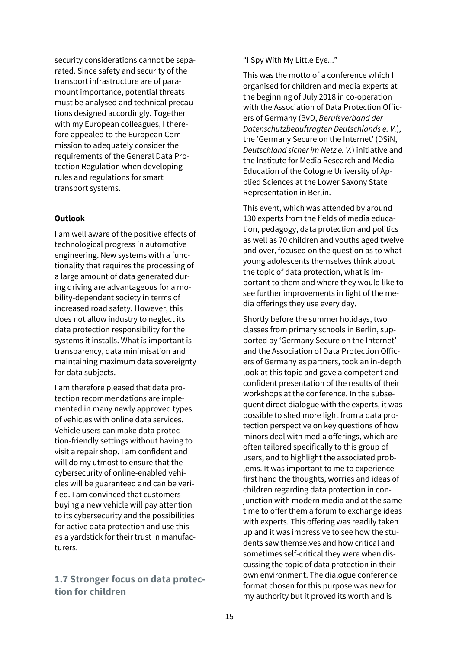security considerations cannot be separated. Since safety and security of the transport infrastructure are of paramount importance, potential threats must be analysed and technical precautions designed accordingly. Together with my European colleagues, I therefore appealed to the European Commission to adequately consider the requirements of the General Data Protection Regulation when developing rules and regulations for smart transport systems.

### **Outlook**

I am well aware of the positive effects of technological progress in automotive engineering. New systems with a functionality that requires the processing of a large amount of data generated during driving are advantageous for a mobility-dependent society in terms of increased road safety. However, this does not allow industry to neglect its data protection responsibility for the systems it installs. What is important is transparency, data minimisation and maintaining maximum data sovereignty for data subjects.

I am therefore pleased that data protection recommendations are implemented in many newly approved types of vehicles with online data services. Vehicle users can make data protection-friendly settings without having to visit a repair shop. I am confident and will do my utmost to ensure that the cybersecurity of online-enabled vehicles will be guaranteed and can be verified. I am convinced that customers buying a new vehicle will pay attention to its cybersecurity and the possibilities for active data protection and use this as a yardstick for their trust in manufacturers.

## **1.7 Stronger focus on data protection for children**

"I Spy With My Little Eye..."

This was the motto of a conference which I organised for children and media experts at the beginning of July 2018 in co-operation with the Association of Data Protection Officers of Germany (BvD, *Berufsverband der Datenschutzbeauftragten Deutschlands e. V.*), the 'Germany Secure on the Internet' (DSiN, *Deutschland sicher im Netz e. V.*) initiative and the Institute for Media Research and Media Education of the Cologne University of Applied Sciences at the Lower Saxony State Representation in Berlin.

This event, which was attended by around 130 experts from the fields of media education, pedagogy, data protection and politics as well as 70 children and youths aged twelve and over, focused on the question as to what young adolescents themselves think about the topic of data protection, what is important to them and where they would like to see further improvements in light of the media offerings they use every day.

Shortly before the summer holidays, two classes from primary schools in Berlin, supported by 'Germany Secure on the Internet' and the Association of Data Protection Officers of Germany as partners, took an in-depth look at this topic and gave a competent and confident presentation of the results of their workshops at the conference. In the subsequent direct dialogue with the experts, it was possible to shed more light from a data protection perspective on key questions of how minors deal with media offerings, which are often tailored specifically to this group of users, and to highlight the associated problems. It was important to me to experience first hand the thoughts, worries and ideas of children regarding data protection in conjunction with modern media and at the same time to offer them a forum to exchange ideas with experts. This offering was readily taken up and it was impressive to see how the students saw themselves and how critical and sometimes self-critical they were when discussing the topic of data protection in their own environment. The dialogue conference format chosen for this purpose was new for my authority but it proved its worth and is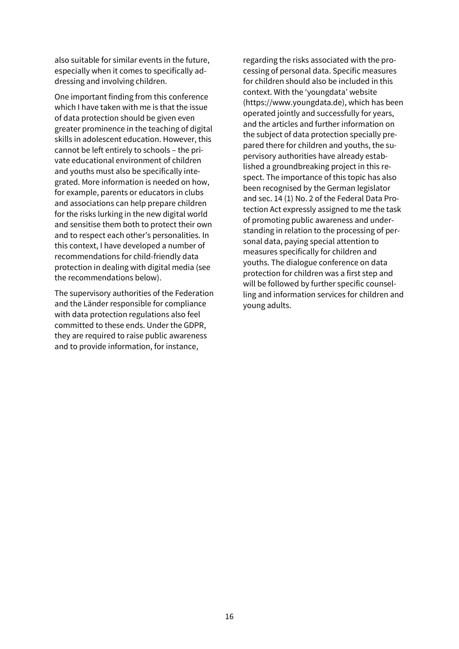also suitable for similar events in the future, especially when it comes to specifically addressing and involving children.

One important finding from this conference which I have taken with me is that the issue of data protection should be given even greater prominence in the teaching of digital skills in adolescent education. However, this cannot be left entirely to schools – the private educational environment of children and youths must also be specifically integrated. More information is needed on how, for example, parents or educators in clubs and associations can help prepare children for the risks lurking in the new digital world and sensitise them both to protect their own and to respect each other's personalities. In this context, I have developed a number of recommendations for child-friendly data protection in dealing with digital media (see the recommendations below).

The supervisory authorities of the Federation and the Länder responsible for compliance with data protection regulations also feel committed to these ends. Under the GDPR, they are required to raise public awareness and to provide information, for instance,

regarding the risks associated with the processing of personal data. Specific measures for children should also be included in this context. With the 'youngdata' website (https://www.youngdata.de), which has been operated jointly and successfully for years, and the articles and further information on the subject of data protection specially prepared there for children and youths, the supervisory authorities have already established a groundbreaking project in this respect. The importance of this topic has also been recognised by the German legislator and sec. 14 (1) No. 2 of the Federal Data Protection Act expressly assigned to me the task of promoting public awareness and understanding in relation to the processing of personal data, paying special attention to measures specifically for children and youths. The dialogue conference on data protection for children was a first step and will be followed by further specific counselling and information services for children and young adults.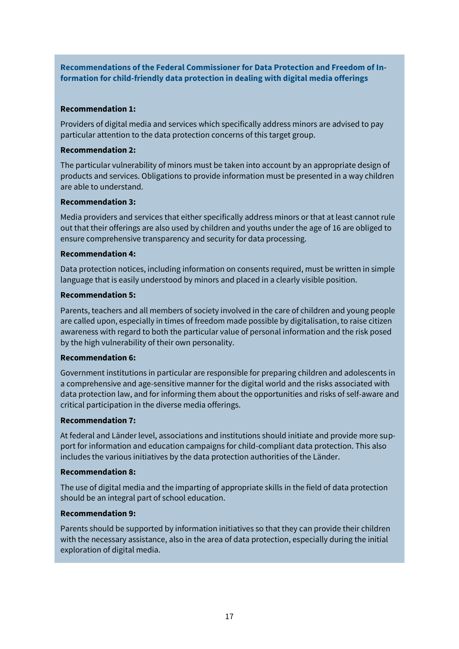**Recommendations of the Federal Commissioner for Data Protection and Freedom of Information for child-friendly data protection in dealing with digital media offerings**

#### **Recommendation 1:**

Providers of digital media and services which specifically address minors are advised to pay particular attention to the data protection concerns of this target group.

### **Recommendation 2:**

The particular vulnerability of minors must be taken into account by an appropriate design of products and services. Obligations to provide information must be presented in a way children are able to understand.

### **Recommendation 3:**

Media providers and services that either specifically address minors or that at least cannot rule out that their offerings are also used by children and youths under the age of 16 are obliged to ensure comprehensive transparency and security for data processing.

#### **Recommendation 4:**

Data protection notices, including information on consents required, must be written in simple language that is easily understood by minors and placed in a clearly visible position.

#### **Recommendation 5:**

Parents, teachers and all members of society involved in the care of children and young people are called upon, especially in times of freedom made possible by digitalisation, to raise citizen awareness with regard to both the particular value of personal information and the risk posed by the high vulnerability of their own personality.

### **Recommendation 6:**

Government institutions in particular are responsible for preparing children and adolescents in a comprehensive and age-sensitive manner for the digital world and the risks associated with data protection law, and for informing them about the opportunities and risks of self-aware and critical participation in the diverse media offerings.

### **Recommendation 7:**

At federal and Länder level, associations and institutions should initiate and provide more support for information and education campaigns for child-compliant data protection. This also includes the various initiatives by the data protection authorities of the Länder.

#### **Recommendation 8:**

The use of digital media and the imparting of appropriate skills in the field of data protection should be an integral part of school education.

### **Recommendation 9:**

Parents should be supported by information initiatives so that they can provide their children with the necessary assistance, also in the area of data protection, especially during the initial exploration of digital media.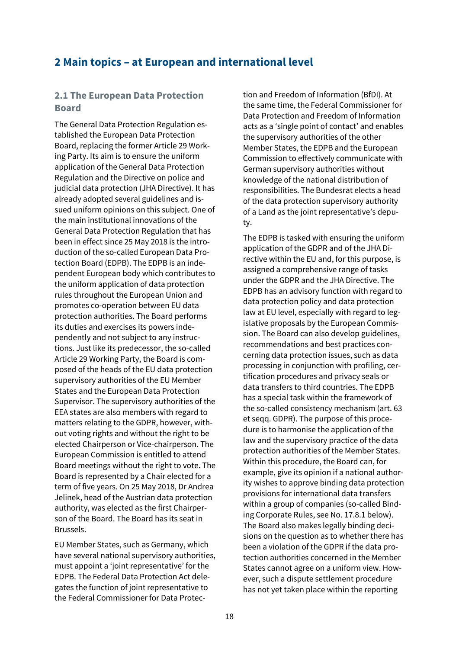## **2 Main topics – at European and international level**

### **2.1 The European Data Protection Board**

The General Data Protection Regulation established the European Data Protection Board, replacing the former Article 29 Working Party. Its aim is to ensure the uniform application of the General Data Protection Regulation and the Directive on police and judicial data protection (JHA Directive). It has already adopted several guidelines and issued uniform opinions on this subject. One of the main institutional innovations of the General Data Protection Regulation that has been in effect since 25 May 2018 is the introduction of the so-called European Data Protection Board (EDPB). The EDPB is an independent European body which contributes to the uniform application of data protection rules throughout the European Union and promotes co-operation between EU data protection authorities. The Board performs its duties and exercises its powers independently and not subject to any instructions. Just like its predecessor, the so-called Article 29 Working Party, the Board is composed of the heads of the EU data protection supervisory authorities of the EU Member States and the European Data Protection Supervisor. The supervisory authorities of the EEA states are also members with regard to matters relating to the GDPR, however, without voting rights and without the right to be elected Chairperson or Vice-chairperson. The European Commission is entitled to attend Board meetings without the right to vote. The Board is represented by a Chair elected for a term of five years. On 25 May 2018, Dr Andrea Jelinek, head of the Austrian data protection authority, was elected as the first Chairperson of the Board. The Board has its seat in Brussels.

EU Member States, such as Germany, which have several national supervisory authorities, must appoint a 'joint representative' for the EDPB. The Federal Data Protection Act delegates the function of joint representative to the Federal Commissioner for Data Protection and Freedom of Information (BfDI). At the same time, the Federal Commissioner for Data Protection and Freedom of Information acts as a 'single point of contact' and enables the supervisory authorities of the other Member States, the EDPB and the European Commission to effectively communicate with German supervisory authorities without knowledge of the national distribution of responsibilities. The Bundesrat elects a head of the data protection supervisory authority of a Land as the joint representative's deputy.

The EDPB is tasked with ensuring the uniform application of the GDPR and of the JHA Directive within the EU and, for this purpose, is assigned a comprehensive range of tasks under the GDPR and the JHA Directive. The EDPB has an advisory function with regard to data protection policy and data protection law at EU level, especially with regard to legislative proposals by the European Commission. The Board can also develop guidelines, recommendations and best practices concerning data protection issues, such as data processing in conjunction with profiling, certification procedures and privacy seals or data transfers to third countries. The EDPB has a special task within the framework of the so-called consistency mechanism (art. 63 et seqq. GDPR). The purpose of this procedure is to harmonise the application of the law and the supervisory practice of the data protection authorities of the Member States. Within this procedure, the Board can, for example, give its opinion if a national authority wishes to approve binding data protection provisions for international data transfers within a group of companies (so-called Binding Corporate Rules, see No. 17.8.1 below). The Board also makes legally binding decisions on the question as to whether there has been a violation of the GDPR if the data protection authorities concerned in the Member States cannot agree on a uniform view. However, such a dispute settlement procedure has not yet taken place within the reporting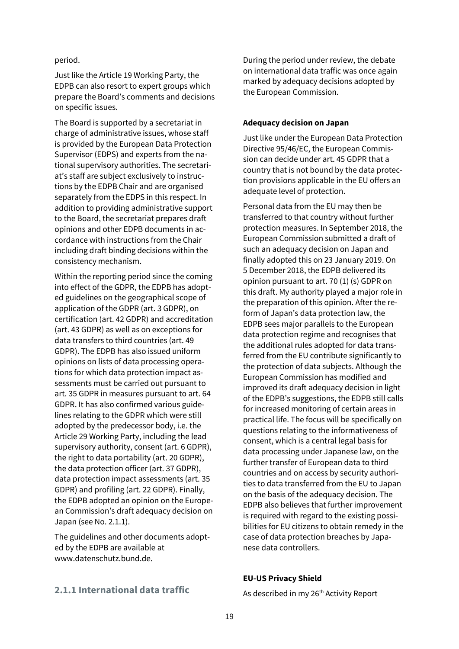period.

Just like the Article 19 Working Party, the EDPB can also resort to expert groups which prepare the Board's comments and decisions on specific issues.

The Board is supported by a secretariat in charge of administrative issues, whose staff is provided by the European Data Protection Supervisor (EDPS) and experts from the national supervisory authorities. The secretariat's staff are subject exclusively to instructions by the EDPB Chair and are organised separately from the EDPS in this respect. In addition to providing administrative support to the Board, the secretariat prepares draft opinions and other EDPB documents in accordance with instructions from the Chair including draft binding decisions within the consistency mechanism.

Within the reporting period since the coming into effect of the GDPR, the EDPB has adopted guidelines on the geographical scope of application of the GDPR (art. 3 GDPR), on certification (art. 42 GDPR) and accreditation (art. 43 GDPR) as well as on exceptions for data transfers to third countries (art. 49 GDPR). The EDPB has also issued uniform opinions on lists of data processing operations for which data protection impact assessments must be carried out pursuant to art. 35 GDPR in measures pursuant to art. 64 GDPR. It has also confirmed various guidelines relating to the GDPR which were still adopted by the predecessor body, i.e. the Article 29 Working Party, including the lead supervisory authority, consent (art. 6 GDPR), the right to data portability (art. 20 GDPR), the data protection officer (art. 37 GDPR), data protection impact assessments (art. 35 GDPR) and profiling (art. 22 GDPR). Finally, the EDPB adopted an opinion on the European Commission's draft adequacy decision on Japan (see No. 2.1.1).

The guidelines and other documents adopted by the EDPB are available at [www.datenschutz.bund.de.](http://www.datenschutz.bund.de/)

During the period under review, the debate on international data traffic was once again marked by adequacy decisions adopted by the European Commission.

#### **Adequacy decision on Japan**

Just like under the European Data Protection Directive 95/46/EC, the European Commission can decide under art. 45 GDPR that a country that is not bound by the data protection provisions applicable in the EU offers an adequate level of protection.

Personal data from the EU may then be transferred to that country without further protection measures. In September 2018, the European Commission submitted a draft of such an adequacy decision on Japan and finally adopted this on 23 January 2019. On 5 December 2018, the EDPB delivered its opinion pursuant to art. 70 (1) (s) GDPR on this draft. My authority played a major role in the preparation of this opinion. After the reform of Japan's data protection law, the EDPB sees major parallels to the European data protection regime and recognises that the additional rules adopted for data transferred from the EU contribute significantly to the protection of data subjects. Although the European Commission has modified and improved its draft adequacy decision in light of the EDPB's suggestions, the EDPB still calls for increased monitoring of certain areas in practical life. The focus will be specifically on questions relating to the informativeness of consent, which is a central legal basis for data processing under Japanese law, on the further transfer of European data to third countries and on access by security authorities to data transferred from the EU to Japan on the basis of the adequacy decision. The EDPB also believes that further improvement is required with regard to the existing possibilities for EU citizens to obtain remedy in the case of data protection breaches by Japanese data controllers.

#### **EU-US Privacy Shield**

As described in my 26<sup>th</sup> Activity Report

## **2.1.1 International data traffic**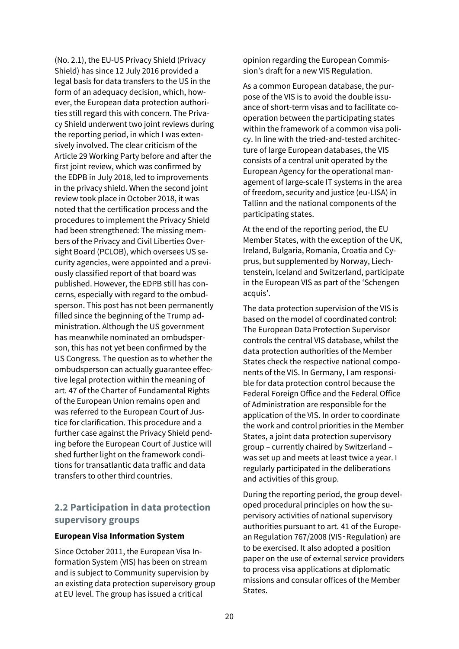(No. 2.1), the EU-US Privacy Shield (Privacy Shield) has since 12 July 2016 provided a legal basis for data transfers to the US in the form of an adequacy decision, which, however, the European data protection authorities still regard this with concern. The Privacy Shield underwent two joint reviews during the reporting period, in which I was extensively involved. The clear criticism of the Article 29 Working Party before and after the first joint review, which was confirmed by the EDPB in July 2018, led to improvements in the privacy shield. When the second joint review took place in October 2018, it was noted that the certification process and the procedures to implement the Privacy Shield had been strengthened: The missing members of the Privacy and Civil Liberties Oversight Board (PCLOB), which oversees US security agencies, were appointed and a previously classified report of that board was published. However, the EDPB still has concerns, especially with regard to the ombudsperson. This post has not been permanently filled since the beginning of the Trump administration. Although the US government has meanwhile nominated an ombudsperson, this has not yet been confirmed by the US Congress. The question as to whether the ombudsperson can actually guarantee effective legal protection within the meaning of art. 47 of the Charter of Fundamental Rights of the European Union remains open and was referred to the European Court of Justice for clarification. This procedure and a further case against the Privacy Shield pending before the European Court of Justice will shed further light on the framework conditions for transatlantic data traffic and data transfers to other third countries.

## **2.2 Participation in data protection supervisory groups**

#### **European Visa Information System**

Since October 2011, the European Visa Information System (VIS) has been on stream and is subject to Community supervision by an existing data protection supervisory group at EU level. The group has issued a critical

opinion regarding the European Commission's draft for a new VIS Regulation.

As a common European database, the purpose of the VIS is to avoid the double issuance of short-term visas and to facilitate cooperation between the participating states within the framework of a common visa policy. In line with the tried-and-tested architecture of large European databases, the VIS consists of a central unit operated by the European Agency for the operational management of large-scale IT systems in the area of freedom, security and justice (eu-LISA) in Tallinn and the national components of the participating states.

At the end of the reporting period, the EU Member States, with the exception of the UK, Ireland, Bulgaria, Romania, Croatia and Cyprus, but supplemented by Norway, Liechtenstein, Iceland and Switzerland, participate in the European VIS as part of the 'Schengen acquis'.

The data protection supervision of the VIS is based on the model of coordinated control: The European Data Protection Supervisor controls the central VIS database, whilst the data protection authorities of the Member States check the respective national components of the VIS. In Germany, I am responsible for data protection control because the Federal Foreign Office and the Federal Office of Administration are responsible for the application of the VIS. In order to coordinate the work and control priorities in the Member States, a joint data protection supervisory group – currently chaired by Switzerland – was set up and meets at least twice a year. I regularly participated in the deliberations and activities of this group.

During the reporting period, the group developed procedural principles on how the supervisory activities of national supervisory authorities pursuant to art. 41 of the European Regulation 767/2008 (VIS‑Regulation) are to be exercised. It also adopted a position paper on the use of external service providers to process visa applications at diplomatic missions and consular offices of the Member States.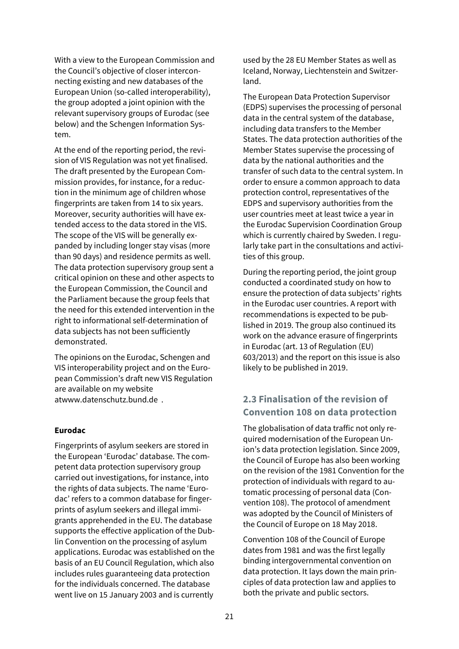With a view to the European Commission and the Council's objective of closer interconnecting existing and new databases of the European Union (so-called interoperability), the group adopted a joint opinion with the relevant supervisory groups of Eurodac (see below) and the Schengen Information System.

At the end of the reporting period, the revision of VIS Regulation was not yet finalised. The draft presented by the European Commission provides, for instance, for a reduction in the minimum age of children whose fingerprints are taken from 14 to six years. Moreover, security authorities will have extended access to the data stored in the VIS. The scope of the VIS will be generally expanded by including longer stay visas (more than 90 days) and residence permits as well. The data protection supervisory group sent a critical opinion on these and other aspects to the European Commission, the Council and the Parliament because the group feels that the need for this extended intervention in the right to informational self-determination of data subjects has not been sufficiently demonstrated.

The opinions on the Eurodac, Schengen and VIS interoperability project and on the European Commission's draft new VIS Regulation are available on my website a[twww.datenschutz.bund.de .](http://www.datenschutz.bund.de/)

#### **Eurodac**

Fingerprints of asylum seekers are stored in the European 'Eurodac' database. The competent data protection supervisory group carried out investigations, for instance, into the rights of data subjects. The name 'Eurodac' refers to a common database for fingerprints of asylum seekers and illegal immigrants apprehended in the EU. The database supports the effective application of the Dublin Convention on the processing of asylum applications. Eurodac was established on the basis of an EU Council Regulation, which also includes rules guaranteeing data protection for the individuals concerned. The database went live on 15 January 2003 and is currently

used by the 28 EU Member States as well as Iceland, Norway, Liechtenstein and Switzerland.

The European Data Protection Supervisor (EDPS) supervises the processing of personal data in the central system of the database, including data transfers to the Member States. The data protection authorities of the Member States supervise the processing of data by the national authorities and the transfer of such data to the central system. In order to ensure a common approach to data protection control, representatives of the EDPS and supervisory authorities from the user countries meet at least twice a year in the Eurodac Supervision Coordination Group which is currently chaired by Sweden. I regularly take part in the consultations and activities of this group.

During the reporting period, the joint group conducted a coordinated study on how to ensure the protection of data subjects' rights in the Eurodac user countries. A report with recommendations is expected to be published in 2019. The group also continued its work on the advance erasure of fingerprints in Eurodac (art. 13 of Regulation (EU) 603/2013) and the report on this issue is also likely to be published in 2019.

## **2.3 Finalisation of the revision of Convention 108 on data protection**

The globalisation of data traffic not only required modernisation of the European Union's data protection legislation. Since 2009, the Council of Europe has also been working on the revision of the 1981 Convention for the protection of individuals with regard to automatic processing of personal data (Convention 108). The protocol of amendment was adopted by the Council of Ministers of the Council of Europe on 18 May 2018.

Convention 108 of the Council of Europe dates from 1981 and was the first legally binding intergovernmental convention on data protection. It lays down the main principles of data protection law and applies to both the private and public sectors.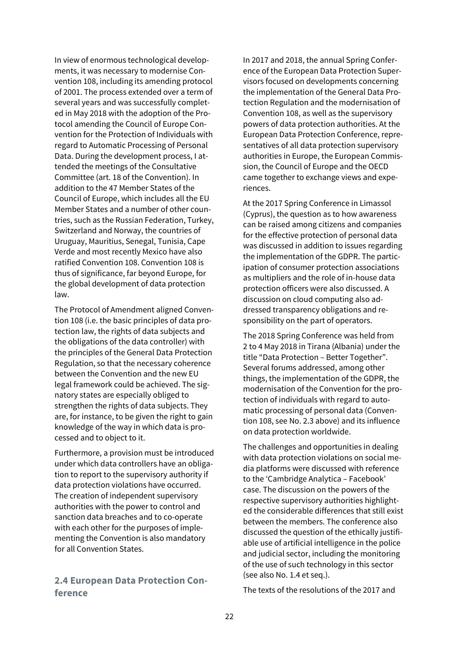In view of enormous technological developments, it was necessary to modernise Convention 108, including its amending protocol of 2001. The process extended over a term of several years and was successfully completed in May 2018 with the adoption of the Protocol amending the Council of Europe Convention for the Protection of Individuals with regard to Automatic Processing of Personal Data. During the development process, I attended the meetings of the Consultative Committee (art. 18 of the Convention). In addition to the 47 Member States of the Council of Europe, which includes all the EU Member States and a number of other countries, such as the Russian Federation, Turkey, Switzerland and Norway, the countries of Uruguay, Mauritius, Senegal, Tunisia, Cape Verde and most recently Mexico have also ratified Convention 108. Convention 108 is thus of significance, far beyond Europe, for the global development of data protection law.

The Protocol of Amendment aligned Convention 108 (i.e. the basic principles of data protection law, the rights of data subjects and the obligations of the data controller) with the principles of the General Data Protection Regulation, so that the necessary coherence between the Convention and the new EU legal framework could be achieved. The signatory states are especially obliged to strengthen the rights of data subjects. They are, for instance, to be given the right to gain knowledge of the way in which data is processed and to object to it.

Furthermore, a provision must be introduced under which data controllers have an obligation to report to the supervisory authority if data protection violations have occurred. The creation of independent supervisory authorities with the power to control and sanction data breaches and to co-operate with each other for the purposes of implementing the Convention is also mandatory for all Convention States.

### **2.4 European Data Protection Conference**

In 2017 and 2018, the annual Spring Conference of the European Data Protection Supervisors focused on developments concerning the implementation of the General Data Protection Regulation and the modernisation of Convention 108, as well as the supervisory powers of data protection authorities. At the European Data Protection Conference, representatives of all data protection supervisory authorities in Europe, the European Commission, the Council of Europe and the OECD came together to exchange views and experiences.

At the 2017 Spring Conference in Limassol (Cyprus), the question as to how awareness can be raised among citizens and companies for the effective protection of personal data was discussed in addition to issues regarding the implementation of the GDPR. The participation of consumer protection associations as multipliers and the role of in-house data protection officers were also discussed. A discussion on cloud computing also addressed transparency obligations and responsibility on the part of operators.

The 2018 Spring Conference was held from 2 to 4 May 2018 in Tirana (Albania) under the title "Data Protection – Better Together". Several forums addressed, among other things, the implementation of the GDPR, the modernisation of the Convention for the protection of individuals with regard to automatic processing of personal data (Convention 108, see No. 2.3 above) and its influence on data protection worldwide.

The challenges and opportunities in dealing with data protection violations on social media platforms were discussed with reference to the 'Cambridge Analytica – Facebook' case. The discussion on the powers of the respective supervisory authorities highlighted the considerable differences that still exist between the members. The conference also discussed the question of the ethically justifiable use of artificial intelligence in the police and judicial sector, including the monitoring of the use of such technology in this sector (see also No. 1.4 et seq.).

The texts of the resolutions of the 2017 and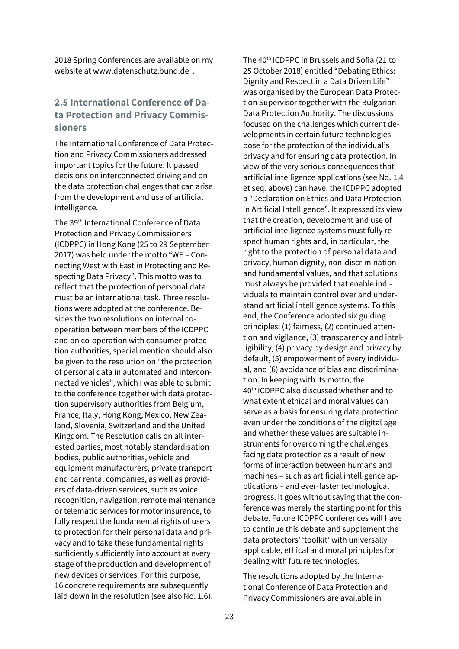2018 Spring Conferences are available on my website a[t www.datenschutz.bund.de .](http://www.datenschutz.bund.de/)

## **2.5 International Conference of Data Protection and Privacy Commissioners**

The International Conference of Data Protection and Privacy Commissioners addressed important topics for the future. It passed decisions on interconnected driving and on the data protection challenges that can arise from the development and use of artificial intelligence.

The 39<sup>th</sup> International Conference of Data Protection and Privacy Commissioners (ICDPPC) in Hong Kong (25 to 29 September 2017) was held under the motto "WE – Connecting West with East in Protecting and Respecting Data Privacy". This motto was to reflect that the protection of personal data must be an international task. Three resolutions were adopted at the conference. Besides the two resolutions on internal cooperation between members of the ICDPPC and on co-operation with consumer protection authorities, special mention should also be given to the resolution on "the protection of personal data in automated and interconnected vehicles", which I was able to submit to the conference together with data protection supervisory authorities from Belgium, France, Italy, Hong Kong, Mexico, New Zealand, Slovenia, Switzerland and the United Kingdom. The Resolution calls on all interested parties, most notably standardisation bodies, public authorities, vehicle and equipment manufacturers, private transport and car rental companies, as well as providers of data-driven services, such as voice recognition, navigation, remote maintenance or telematic services for motor insurance, to fully respect the fundamental rights of users to protection for their personal data and privacy and to take these fundamental rights sufficiently sufficiently into account at every stage of the production and development of new devices or services. For this purpose, 16 concrete requirements are subsequently laid down in the resolution (see also No. 1.6).

The 40<sup>th</sup> ICDPPC in Brussels and Sofia (21 to 25 October 2018) entitled "Debating Ethics: Dignity and Respect in a Data Driven Life" was organised by the European Data Protection Supervisor together with the Bulgarian Data Protection Authority. The discussions focused on the challenges which current developments in certain future technologies pose for the protection of the individual's privacy and for ensuring data protection. In view of the very serious consequences that artificial intelligence applications (see No. 1.4 et seq. above) can have, the ICDPPC adopted a "Declaration on Ethics and Data Protection in Artificial Intelligence". It expressed its view that the creation, development and use of artificial intelligence systems must fully respect human rights and, in particular, the right to the protection of personal data and privacy, human dignity, non-discrimination and fundamental values, and that solutions must always be provided that enable individuals to maintain control over and understand artificial intelligence systems. To this end, the Conference adopted six guiding principles: (1) fairness, (2) continued attention and vigilance, (3) transparency and intelligibility, (4) privacy by design and privacy by default, (5) empowerment of every individual, and (6) avoidance of bias and discrimination. In keeping with its motto, the 40th ICDPPC also discussed whether and to what extent ethical and moral values can serve as a basis for ensuring data protection even under the conditions of the digital age and whether these values are suitable instruments for overcoming the challenges facing data protection as a result of new forms of interaction between humans and machines – such as artificial intelligence applications – and ever-faster technological progress. It goes without saying that the conference was merely the starting point for this debate. Future ICDPPC conferences will have to continue this debate and supplement the data protectors' 'toolkit' with universally applicable, ethical and moral principles for dealing with future technologies.

The resolutions adopted by the International Conference of Data Protection and Privacy Commissioners are available in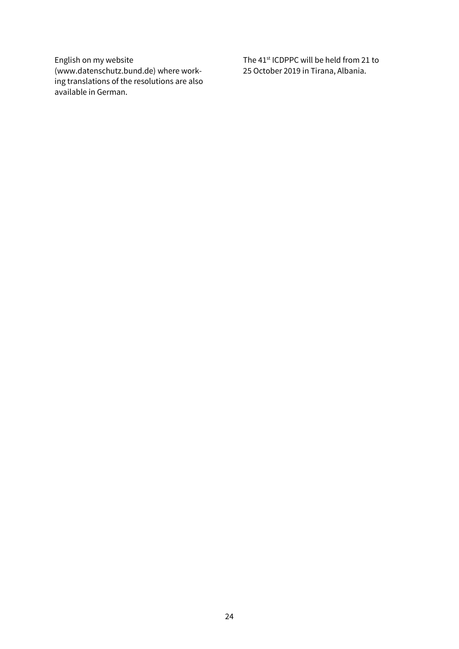English on my website (www.datenschutz.bund.de) where working translations of the resolutions are also available in German.

The 41<sup>st</sup> ICDPPC will be held from 21 to 25 October 2019 in Tirana, Albania.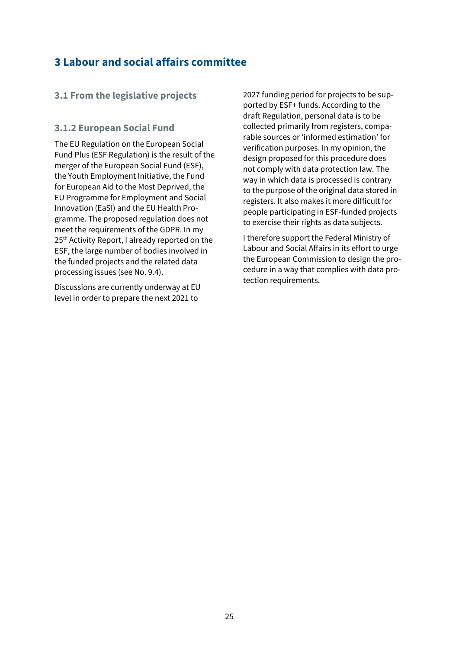## **3 Labour and social affairs committee**

## **3.1 From the legislative projects**

### **3.1.2 European Social Fund**

The EU Regulation on the European Social Fund Plus (ESF Regulation) is the result of the merger of the European Social Fund (ESF), the Youth Employment Initiative, the Fund for European Aid to the Most Deprived, the EU Programme for Employment and Social Innovation (EaSI) and the EU Health Programme. The proposed regulation does not meet the requirements of the GDPR. In my 25<sup>th</sup> Activity Report, I already reported on the ESF, the large number of bodies involved in the funded projects and the related data processing issues (see No. 9.4).

Discussions are currently underway at EU level in order to prepare the next 2021 to

2027 funding period for projects to be supported by ESF+ funds. According to the draft Regulation, personal data is to be collected primarily from registers, comparable sources or 'informed estimation' for verification purposes. In my opinion, the design proposed for this procedure does not comply with data protection law. The way in which data is processed is contrary to the purpose of the original data stored in registers. It also makes it more difficult for people participating in ESF-funded projects to exercise their rights as data subjects.

I therefore support the Federal Ministry of Labour and Social Affairs in its effort to urge the European Commission to design the procedure in a way that complies with data protection requirements.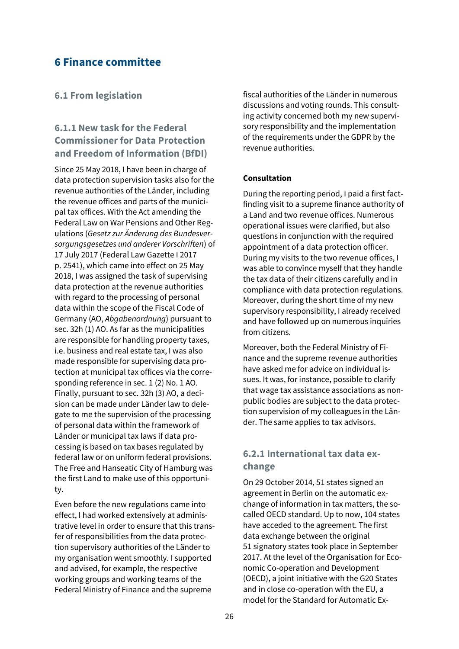## **6 Finance committee**

### **6.1 From legislation**

## **6.1.1 New task for the Federal Commissioner for Data Protection and Freedom of Information (BfDI)**

Since 25 May 2018, I have been in charge of data protection supervision tasks also for the revenue authorities of the Länder, including the revenue offices and parts of the municipal tax offices. With the Act amending the Federal Law on War Pensions and Other Regulations (*Gesetz zur Änderung des Bundesversorgungsgesetzes und anderer Vorschriften*) of 17 July 2017 (Federal Law Gazette I 2017 p. 2541), which came into effect on 25 May 2018, I was assigned the task of supervising data protection at the revenue authorities with regard to the processing of personal data within the scope of the Fiscal Code of Germany (AO, *Abgabenordnung*) pursuant to sec. 32h (1) AO. As far as the municipalities are responsible for handling property taxes, i.e. business and real estate tax, I was also made responsible for supervising data protection at municipal tax offices via the corresponding reference in sec. 1 (2) No. 1 AO. Finally, pursuant to sec. 32h (3) AO, a decision can be made under Länder law to delegate to me the supervision of the processing of personal data within the framework of Länder or municipal tax laws if data processing is based on tax bases regulated by federal law or on uniform federal provisions. The Free and Hanseatic City of Hamburg was the first Land to make use of this opportunity.

Even before the new regulations came into effect, I had worked extensively at administrative level in order to ensure that this transfer of responsibilities from the data protection supervisory authorities of the Länder to my organisation went smoothly. I supported and advised, for example, the respective working groups and working teams of the Federal Ministry of Finance and the supreme

fiscal authorities of the Länder in numerous discussions and voting rounds. This consulting activity concerned both my new supervisory responsibility and the implementation of the requirements under the GDPR by the revenue authorities.

#### **Consultation**

During the reporting period, I paid a first factfinding visit to a supreme finance authority of a Land and two revenue offices. Numerous operational issues were clarified, but also questions in conjunction with the required appointment of a data protection officer. During my visits to the two revenue offices, I was able to convince myself that they handle the tax data of their citizens carefully and in compliance with data protection regulations. Moreover, during the short time of my new supervisory responsibility, I already received and have followed up on numerous inquiries from citizens.

Moreover, both the Federal Ministry of Finance and the supreme revenue authorities have asked me for advice on individual issues. It was, for instance, possible to clarify that wage tax assistance associations as nonpublic bodies are subject to the data protection supervision of my colleagues in the Länder. The same applies to tax advisors.

## **6.2.1 International tax data exchange**

On 29 October 2014, 51 states signed an agreement in Berlin on the automatic exchange of information in tax matters, the socalled OECD standard. Up to now, 104 states have acceded to the agreement. The first data exchange between the original 51 signatory states took place in September 2017. At the level of the Organisation for Economic Co-operation and Development (OECD), a joint initiative with the G20 States and in close co-operation with the EU, a model for the Standard for Automatic Ex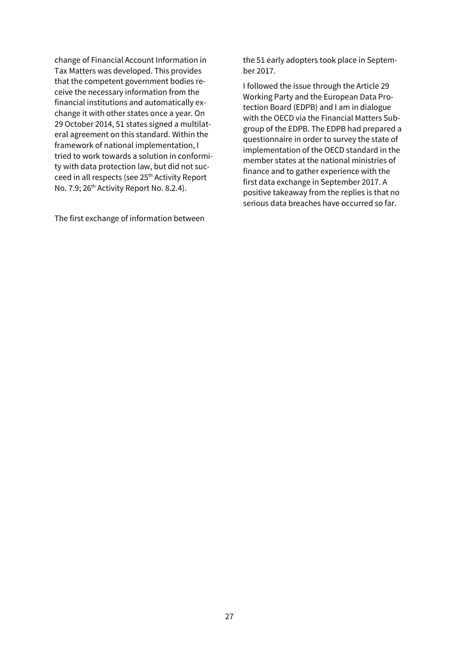change of Financial Account Information in Tax Matters was developed. This provides that the competent government bodies receive the necessary information from the financial institutions and automatically exchange it with other states once a year. On 29 October 2014, 51 states signed a multilateral agreement on this standard. Within the framework of national implementation, I tried to work towards a solution in conformity with data protection law, but did not succeed in all respects (see 25<sup>th</sup> Activity Report No. 7.9; 26<sup>th</sup> Activity Report No. 8.2.4).

The first exchange of information between

the 51 early adopters took place in September 2017.

I followed the issue through the Article 29 Working Party and the European Data Protection Board (EDPB) and I am in dialogue with the OECD via the Financial Matters Subgroup of the EDPB. The EDPB had prepared a questionnaire in order to survey the state of implementation of the OECD standard in the member states at the national ministries of finance and to gather experience with the first data exchange in September 2017. A positive takeaway from the replies is that no serious data breaches have occurred so far.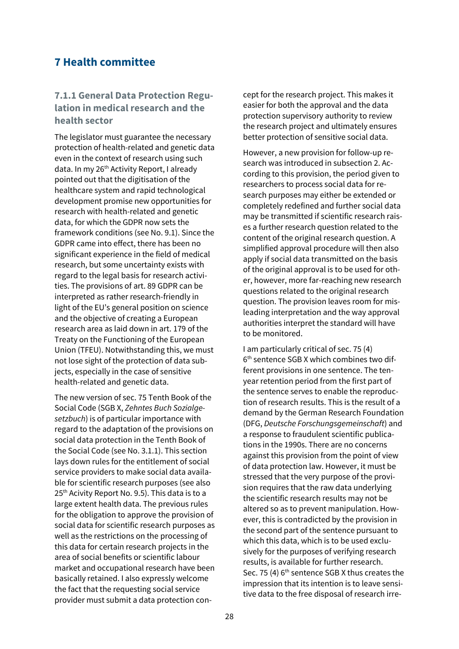## **7 Health committee**

## **7.1.1 General Data Protection Regulation in medical research and the health sector**

The legislator must guarantee the necessary protection of health-related and genetic data even in the context of research using such data. In my 26<sup>th</sup> Activity Report, I already pointed out that the digitisation of the healthcare system and rapid technological development promise new opportunities for research with health-related and genetic data, for which the GDPR now sets the framework conditions (see No. 9.1). Since the GDPR came into effect, there has been no significant experience in the field of medical research, but some uncertainty exists with regard to the legal basis for research activities. The provisions of art. 89 GDPR can be interpreted as rather research-friendly in light of the EU's general position on science and the objective of creating a European research area as laid down in art. 179 of the Treaty on the Functioning of the European Union (TFEU). Notwithstanding this, we must not lose sight of the protection of data subjects, especially in the case of sensitive health-related and genetic data.

The new version of sec. 75 Tenth Book of the Social Code (SGB X, *Zehntes Buch Sozialgesetzbuch*) is of particular importance with regard to the adaptation of the provisions on social data protection in the Tenth Book of the Social Code (see No. 3.1.1). This section lays down rules for the entitlement of social service providers to make social data available for scientific research purposes (see also 25<sup>th</sup> Acivity Report No. 9.5). This data is to a large extent health data. The previous rules for the obligation to approve the provision of social data for scientific research purposes as well as the restrictions on the processing of this data for certain research projects in the area of social benefits or scientific labour market and occupational research have been basically retained. I also expressly welcome the fact that the requesting social service provider must submit a data protection concept for the research project. This makes it easier for both the approval and the data protection supervisory authority to review the research project and ultimately ensures better protection of sensitive social data.

However, a new provision for follow-up research was introduced in subsection 2. According to this provision, the period given to researchers to process social data for research purposes may either be extended or completely redefined and further social data may be transmitted if scientific research raises a further research question related to the content of the original research question. A simplified approval procedure will then also apply if social data transmitted on the basis of the original approval is to be used for other, however, more far-reaching new research questions related to the original research question. The provision leaves room for misleading interpretation and the way approval authorities interpret the standard will have to be monitored.

I am particularly critical of sec. 75 (4) 6 th sentence SGB X which combines two different provisions in one sentence. The tenyear retention period from the first part of the sentence serves to enable the reproduction of research results. This is the result of a demand by the German Research Foundation (DFG, *Deutsche Forschungsgemeinschaft*) and a response to fraudulent scientific publications in the 1990s. There are no concerns against this provision from the point of view of data protection law. However, it must be stressed that the very purpose of the provision requires that the raw data underlying the scientific research results may not be altered so as to prevent manipulation. However, this is contradicted by the provision in the second part of the sentence pursuant to which this data, which is to be used exclusively for the purposes of verifying research results, is available for further research. Sec. 75 (4) 6<sup>th</sup> sentence SGB X thus creates the impression that its intention is to leave sensitive data to the free disposal of research irre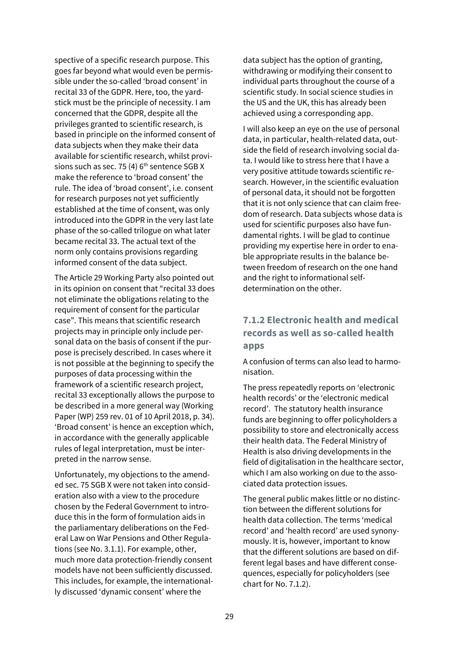spective of a specific research purpose. This goes far beyond what would even be permissible under the so-called 'broad consent' in recital 33 of the GDPR. Here, too, the yardstick must be the principle of necessity. I am concerned that the GDPR, despite all the privileges granted to scientific research, is based in principle on the informed consent of data subjects when they make their data available for scientific research, whilst provisions such as sec. 75 (4)  $6<sup>th</sup>$  sentence SGB X make the reference to 'broad consent' the rule. The idea of 'broad consent', i.e. consent for research purposes not yet sufficiently established at the time of consent, was only introduced into the GDPR in the very last late phase of the so-called trilogue on what later became recital 33. The actual text of the norm only contains provisions regarding informed consent of the data subject.

The Article 29 Working Party also pointed out in its opinion on consent that "recital 33 does not eliminate the obligations relating to the requirement of consent for the particular case". This means that scientific research projects may in principle only include personal data on the basis of consent if the purpose is precisely described. In cases where it is not possible at the beginning to specify the purposes of data processing within the framework of a scientific research project, recital 33 exceptionally allows the purpose to be described in a more general way (Working Paper (WP) 259 rev. 01 of 10 April 2018, p. 34). 'Broad consent' is hence an exception which, in accordance with the generally applicable rules of legal interpretation, must be interpreted in the narrow sense.

Unfortunately, my objections to the amended sec. 75 SGB X were not taken into consideration also with a view to the procedure chosen by the Federal Government to introduce this in the form of formulation aids in the parliamentary deliberations on the Federal Law on War Pensions and Other Regulations (see No. 3.1.1). For example, other, much more data protection-friendly consent models have not been sufficiently discussed. This includes, for example, the internationally discussed 'dynamic consent' where the

data subject has the option of granting, withdrawing or modifying their consent to individual parts throughout the course of a scientific study. In social science studies in the US and the UK, this has already been achieved using a corresponding app.

I will also keep an eye on the use of personal data, in particular, health-related data, outside the field of research involving social data. I would like to stress here that I have a very positive attitude towards scientific research. However, in the scientific evaluation of personal data, it should not be forgotten that it is not only science that can claim freedom of research. Data subjects whose data is used for scientific purposes also have fundamental rights. I will be glad to continue providing my expertise here in order to enable appropriate results in the balance between freedom of research on the one hand and the right to informational selfdetermination on the other.

## **7.1.2 Electronic health and medical records as well as so-called health apps**

A confusion of terms can also lead to harmonisation.

The press repeatedly reports on 'electronic health records' or the 'electronic medical record'. The statutory health insurance funds are beginning to offer policyholders a possibility to store and electronically access their health data. The Federal Ministry of Health is also driving developments in the field of digitalisation in the healthcare sector, which I am also working on due to the associated data protection issues.

The general public makes little or no distinction between the different solutions for health data collection. The terms 'medical record' and 'health record' are used synonymously. It is, however, important to know that the different solutions are based on different legal bases and have different consequences, especially for policyholders (see chart for No. 7.1.2).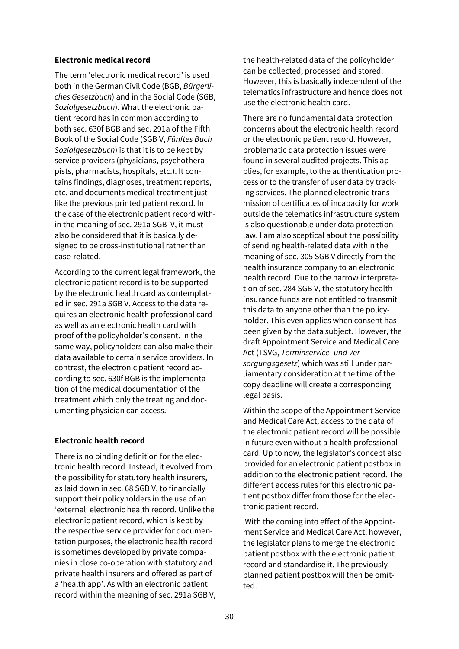#### **Electronic medical record**

The term 'electronic medical record' is used both in the German Civil Code (BGB, *Bürgerliches Gesetzbuch*) and in the Social Code (SGB, *Sozialgesetzbuch*). What the electronic patient record has in common according to both sec. 630f BGB and sec. 291a of the Fifth Book of the Social Code (SGB V, *Fünftes Buch Sozialgesetzbuch*) is that it is to be kept by service providers (physicians, psychotherapists, pharmacists, hospitals, etc.). It contains findings, diagnoses, treatment reports, etc. and documents medical treatment just like the previous printed patient record. In the case of the electronic patient record within the meaning of sec. 291a SGB V, it must also be considered that it is basically designed to be cross-institutional rather than case-related.

According to the current legal framework, the electronic patient record is to be supported by the electronic health card as contemplated in sec. 291a SGB V. Access to the data requires an electronic health professional card as well as an electronic health card with proof of the policyholder's consent. In the same way, policyholders can also make their data available to certain service providers. In contrast, the electronic patient record according to sec. 630f BGB is the implementation of the medical documentation of the treatment which only the treating and documenting physician can access.

### **Electronic health record**

There is no binding definition for the electronic health record. Instead, it evolved from the possibility for statutory health insurers, as laid down in sec. 68 SGB V, to financially support their policyholders in the use of an 'external' electronic health record. Unlike the electronic patient record, which is kept by the respective service provider for documentation purposes, the electronic health record is sometimes developed by private companies in close co-operation with statutory and private health insurers and offered as part of a 'health app'. As with an electronic patient record within the meaning of sec. 291a SGB V, the health-related data of the policyholder can be collected, processed and stored. However, this is basically independent of the telematics infrastructure and hence does not use the electronic health card.

There are no fundamental data protection concerns about the electronic health record or the electronic patient record. However, problematic data protection issues were found in several audited projects. This applies, for example, to the authentication process or to the transfer of user data by tracking services. The planned electronic transmission of certificates of incapacity for work outside the telematics infrastructure system is also questionable under data protection law. I am also sceptical about the possibility of sending health-related data within the meaning of sec. 305 SGB V directly from the health insurance company to an electronic health record. Due to the narrow interpretation of sec. 284 SGB V, the statutory health insurance funds are not entitled to transmit this data to anyone other than the policyholder. This even applies when consent has been given by the data subject. However, the draft Appointment Service and Medical Care Act (TSVG, *Terminservice- und Versorgungsgesetz*) which was still under parliamentary consideration at the time of the copy deadline will create a corresponding legal basis.

Within the scope of the Appointment Service and Medical Care Act, access to the data of the electronic patient record will be possible in future even without a health professional card. Up to now, the legislator's concept also provided for an electronic patient postbox in addition to the electronic patient record. The different access rules for this electronic patient postbox differ from those for the electronic patient record.

With the coming into effect of the Appointment Service and Medical Care Act, however, the legislator plans to merge the electronic patient postbox with the electronic patient record and standardise it. The previously planned patient postbox will then be omitted.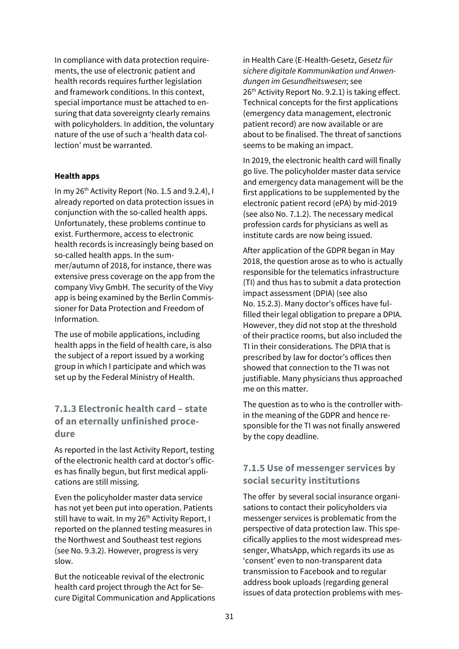In compliance with data protection requirements, the use of electronic patient and health records requires further legislation and framework conditions. In this context, special importance must be attached to ensuring that data sovereignty clearly remains with policyholders. In addition, the voluntary nature of the use of such a 'health data collection' must be warranted.

#### **Health apps**

In my 26<sup>th</sup> Activity Report (No. 1.5 and 9.2.4), I already reported on data protection issues in conjunction with the so-called health apps. Unfortunately, these problems continue to exist. Furthermore, access to electronic health records is increasingly being based on so-called health apps. In the summer/autumn of 2018, for instance, there was extensive press coverage on the app from the company Vivy GmbH. The security of the Vivy app is being examined by the Berlin Commissioner for Data Protection and Freedom of Information.

The use of mobile applications, including health apps in the field of health care, is also the subject of a report issued by a working group in which I participate and which was set up by the Federal Ministry of Health.

## **7.1.3 Electronic health card – state of an eternally unfinished procedure**

As reported in the last Activity Report, testing of the electronic health card at doctor's offices has finally begun, but first medical applications are still missing.

Even the policyholder master data service has not yet been put into operation. Patients still have to wait. In my 26<sup>th</sup> Activity Report, I reported on the planned testing measures in the Northwest and Southeast test regions (see No. 9.3.2). However, progress is very slow.

But the noticeable revival of the electronic health card project through the Act for Secure Digital Communication and Applications in Health Care (E-Health-Gesetz, *Gesetz für sichere digitale Kommunikation und Anwendungen im Gesundheitswesen*; see  $26<sup>th</sup>$  Activity Report No. 9.2.1) is taking effect. Technical concepts for the first applications (emergency data management, electronic patient record) are now available or are about to be finalised. The threat of sanctions seems to be making an impact.

In 2019, the electronic health card will finally go live. The policyholder master data service and emergency data management will be the first applications to be supplemented by the electronic patient record (ePA) by mid-2019 (see also No. 7.1.2). The necessary medical profession cards for physicians as well as institute cards are now being issued.

After application of the GDPR began in May 2018, the question arose as to who is actually responsible for the telematics infrastructure (TI) and thus has to submit a data protection impact assessment (DPIA) (see also No. 15.2.3). Many doctor's offices have fulfilled their legal obligation to prepare a DPIA. However, they did not stop at the threshold of their practice rooms, but also included the TI in their considerations. The DPIA that is prescribed by law for doctor's offices then showed that connection to the TI was not justifiable. Many physicians thus approached me on this matter.

The question as to who is the controller within the meaning of the GDPR and hence responsible for the TI was not finally answered by the copy deadline.

## **7.1.5 Use of messenger services by social security institutions**

The offer by several social insurance organisations to contact their policyholders via messenger services is problematic from the perspective of data protection law. This specifically applies to the most widespread messenger, WhatsApp, which regards its use as 'consent' even to non-transparent data transmission to Facebook and to regular address book uploads (regarding general issues of data protection problems with mes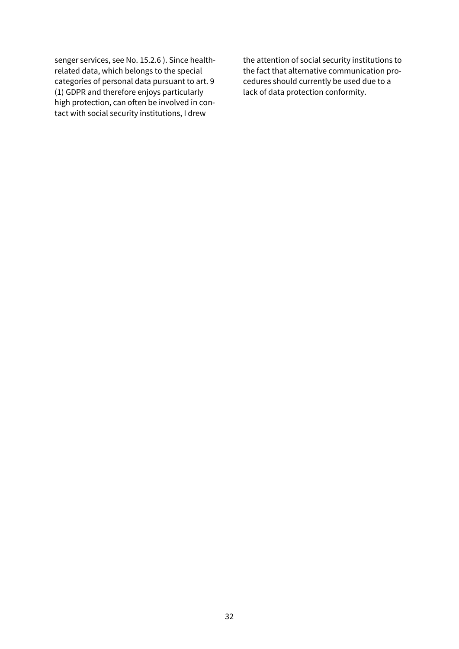senger services, see No. 15.2.6 ). Since healthrelated data, which belongs to the special categories of personal data pursuant to art. 9 (1) GDPR and therefore enjoys particularly high protection, can often be involved in contact with social security institutions, I drew

the attention of social security institutions to the fact that alternative communication procedures should currently be used due to a lack of data protection conformity.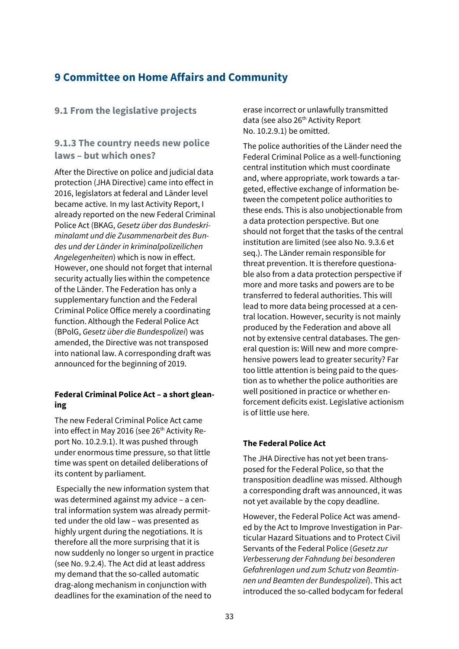## **9 Committee on Home Affairs and Community**

## **9.1 From the legislative projects**

## **9.1.3 The country needs new police laws – but which ones?**

After the Directive on police and judicial data protection (JHA Directive) came into effect in 2016, legislators at federal and Länder level became active. In my last Activity Report, I already reported on the new Federal Criminal Police Act (BKAG, *Gesetz über das Bundeskriminalamt und die Zusammenarbeit des Bundes und der Länder in kriminalpolizeilichen Angelegenheiten*) which is now in effect. However, one should not forget that internal security actually lies within the competence of the Länder. The Federation has only a supplementary function and the Federal Criminal Police Office merely a coordinating function. Although the Federal Police Act (BPolG, *Gesetz über die Bundespolizei*) was amended, the Directive was not transposed into national law. A corresponding draft was announced for the beginning of 2019.

### **Federal Criminal Police Act – a short gleaning**

The new Federal Criminal Police Act came into effect in May 2016 (see 26<sup>th</sup> Activity Report No. 10.2.9.1). It was pushed through under enormous time pressure, so that little time was spent on detailed deliberations of its content by parliament.

Especially the new information system that was determined against my advice – a central information system was already permitted under the old law – was presented as highly urgent during the negotiations. It is therefore all the more surprising that it is now suddenly no longer so urgent in practice (see No. 9.2.4). The Act did at least address my demand that the so-called automatic drag-along mechanism in conjunction with deadlines for the examination of the need to

erase incorrect or unlawfully transmitted data (see also 26<sup>th</sup> Activity Report No. 10.2.9.1) be omitted.

The police authorities of the Länder need the Federal Criminal Police as a well-functioning central institution which must coordinate and, where appropriate, work towards a targeted, effective exchange of information between the competent police authorities to these ends. This is also unobjectionable from a data protection perspective. But one should not forget that the tasks of the central institution are limited (see also No. 9.3.6 et seq.). The Länder remain responsible for threat prevention. It is therefore questionable also from a data protection perspective if more and more tasks and powers are to be transferred to federal authorities. This will lead to more data being processed at a central location. However, security is not mainly produced by the Federation and above all not by extensive central databases. The general question is: Will new and more comprehensive powers lead to greater security? Far too little attention is being paid to the question as to whether the police authorities are well positioned in practice or whether enforcement deficits exist. Legislative actionism is of little use here.

### **The Federal Police Act**

The JHA Directive has not yet been transposed for the Federal Police, so that the transposition deadline was missed. Although a corresponding draft was announced, it was not yet available by the copy deadline.

However, the Federal Police Act was amended by the Act to Improve Investigation in Particular Hazard Situations and to Protect Civil Servants of the Federal Police (*Gesetz zur Verbesserung der Fahndung bei besonderen Gefahrenlagen und zum Schutz von Beamtinnen und Beamten der Bundespolizei*). This act introduced the so-called bodycam for federal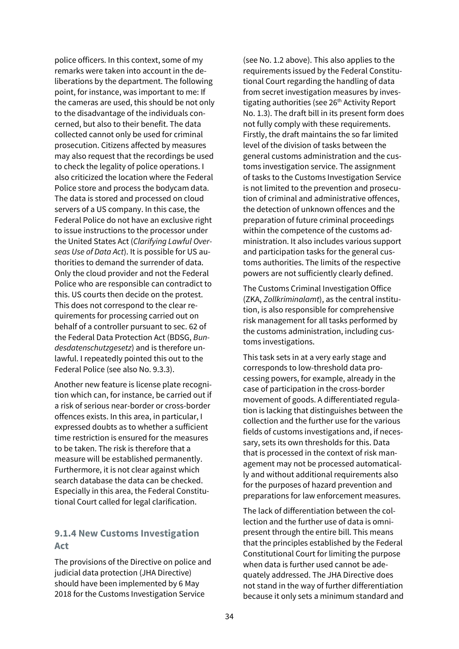police officers. In this context, some of my remarks were taken into account in the deliberations by the department. The following point, for instance, was important to me: If the cameras are used, this should be not only to the disadvantage of the individuals concerned, but also to their benefit. The data collected cannot only be used for criminal prosecution. Citizens affected by measures may also request that the recordings be used to check the legality of police operations. I also criticized the location where the Federal Police store and process the bodycam data. The data is stored and processed on cloud servers of a US company. In this case, the Federal Police do not have an exclusive right to issue instructions to the processor under the United States Act (*Clarifying Lawful Overseas Use of Data Act*). It is possible for US authorities to demand the surrender of data. Only the cloud provider and not the Federal Police who are responsible can contradict to this. US courts then decide on the protest. This does not correspond to the clear requirements for processing carried out on behalf of a controller pursuant to sec. 62 of the Federal Data Protection Act (BDSG, *Bundesdatenschutzgesetz*) and is therefore unlawful. I repeatedly pointed this out to the Federal Police (see also No. 9.3.3).

Another new feature is license plate recognition which can, for instance, be carried out if a risk of serious near-border or cross-border offences exists. In this area, in particular, I expressed doubts as to whether a sufficient time restriction is ensured for the measures to be taken. The risk is therefore that a measure will be established permanently. Furthermore, it is not clear against which search database the data can be checked. Especially in this area, the Federal Constitutional Court called for legal clarification.

## **9.1.4 New Customs Investigation Act**

The provisions of the Directive on police and judicial data protection (JHA Directive) should have been implemented by 6 May 2018 for the Customs Investigation Service

(see No. 1.2 above). This also applies to the requirements issued by the Federal Constitutional Court regarding the handling of data from secret investigation measures by investigating authorities (see 26<sup>th</sup> Activity Report No. 1.3). The draft bill in its present form does not fully comply with these requirements. Firstly, the draft maintains the so far limited level of the division of tasks between the general customs administration and the customs investigation service. The assignment of tasks to the Customs Investigation Service is not limited to the prevention and prosecution of criminal and administrative offences, the detection of unknown offences and the preparation of future criminal proceedings within the competence of the customs administration. It also includes various support and participation tasks for the general customs authorities. The limits of the respective powers are not sufficiently clearly defined.

The Customs Criminal Investigation Office (ZKA, *Zollkriminalamt*), as the central institution, is also responsible for comprehensive risk management for all tasks performed by the customs administration, including customs investigations.

This task sets in at a very early stage and corresponds to low-threshold data processing powers, for example, already in the case of participation in the cross-border movement of goods. A differentiated regulation is lacking that distinguishes between the collection and the further use for the various fields of customs investigations and, if necessary, sets its own thresholds for this. Data that is processed in the context of risk management may not be processed automatically and without additional requirements also for the purposes of hazard prevention and preparations for law enforcement measures.

The lack of differentiation between the collection and the further use of data is omnipresent through the entire bill. This means that the principles established by the Federal Constitutional Court for limiting the purpose when data is further used cannot be adequately addressed. The JHA Directive does not stand in the way of further differentiation because it only sets a minimum standard and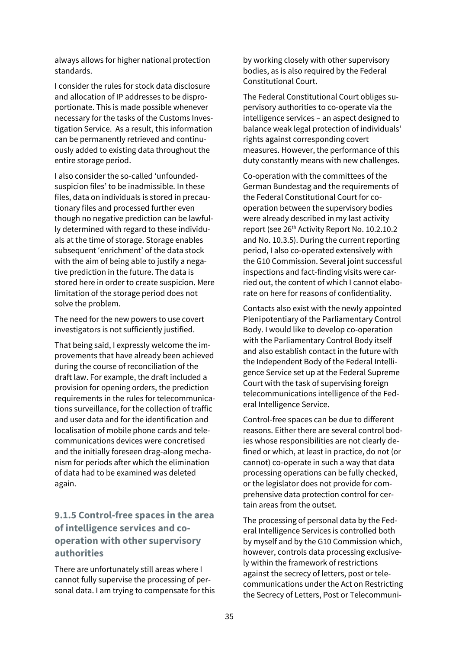always allows for higher national protection standards.

I consider the rules for stock data disclosure and allocation of IP addresses to be disproportionate. This is made possible whenever necessary for the tasks of the Customs Investigation Service. As a result, this information can be permanently retrieved and continuously added to existing data throughout the entire storage period.

I also consider the so-called 'unfoundedsuspicion files' to be inadmissible. In these files, data on individuals is stored in precautionary files and processed further even though no negative prediction can be lawfully determined with regard to these individuals at the time of storage. Storage enables subsequent 'enrichment' of the data stock with the aim of being able to justify a negative prediction in the future. The data is stored here in order to create suspicion. Mere limitation of the storage period does not solve the problem.

The need for the new powers to use covert investigators is not sufficiently justified.

That being said, I expressly welcome the improvements that have already been achieved during the course of reconciliation of the draft law. For example, the draft included a provision for opening orders, the prediction requirements in the rules for telecommunications surveillance, for the collection of traffic and user data and for the identification and localisation of mobile phone cards and telecommunications devices were concretised and the initially foreseen drag-along mechanism for periods after which the elimination of data had to be examined was deleted again.

## **9.1.5 Control-free spaces in the area of intelligence services and cooperation with other supervisory authorities**

There are unfortunately still areas where I cannot fully supervise the processing of personal data. I am trying to compensate for this by working closely with other supervisory bodies, as is also required by the Federal Constitutional Court.

The Federal Constitutional Court obliges supervisory authorities to co-operate via the intelligence services – an aspect designed to balance weak legal protection of individuals' rights against corresponding covert measures. However, the performance of this duty constantly means with new challenges.

Co-operation with the committees of the German Bundestag and the requirements of the Federal Constitutional Court for cooperation between the supervisory bodies were already described in my last activity report (see 26<sup>th</sup> Activity Report No. 10.2.10.2 and No. 10.3.5). During the current reporting period, I also co-operated extensively with the G10 Commission. Several joint successful inspections and fact-finding visits were carried out, the content of which I cannot elaborate on here for reasons of confidentiality.

Contacts also exist with the newly appointed Plenipotentiary of the Parliamentary Control Body. I would like to develop co-operation with the Parliamentary Control Body itself and also establish contact in the future with the Independent Body of the Federal Intelligence Service set up at the Federal Supreme Court with the task of supervising foreign telecommunications intelligence of the Federal Intelligence Service.

Control-free spaces can be due to different reasons. Either there are several control bodies whose responsibilities are not clearly defined or which, at least in practice, do not (or cannot) co-operate in such a way that data processing operations can be fully checked, or the legislator does not provide for comprehensive data protection control for certain areas from the outset.

The processing of personal data by the Federal Intelligence Services is controlled both by myself and by the G10 Commission which, however, controls data processing exclusively within the framework of restrictions against the secrecy of letters, post or telecommunications under the Act on Restricting the Secrecy of Letters, Post or Telecommuni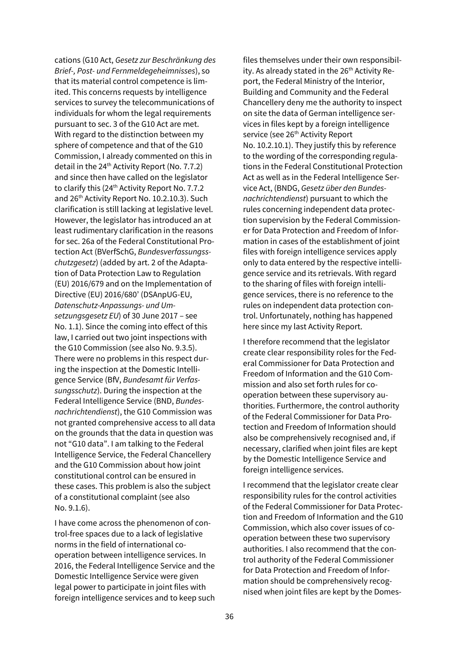cations (G10 Act, *Gesetz zur Beschränkung des Brief-, Post- und Fernmeldegeheimnisses*), so that its material control competence is limited. This concerns requests by intelligence services to survey the telecommunications of individuals for whom the legal requirements pursuant to sec. 3 of the G10 Act are met. With regard to the distinction between my sphere of competence and that of the G10 Commission, I already commented on this in detail in the  $24<sup>th</sup>$  Activity Report (No. 7.7.2) and since then have called on the legislator to clarify this (24<sup>th</sup> Activity Report No. 7.7.2 and 26<sup>th</sup> Activity Report No. 10.2.10.3). Such clarification is still lacking at legislative level. However, the legislator has introduced an at least rudimentary clarification in the reasons for sec. 26a of the Federal Constitutional Protection Act (BVerfSchG, *Bundesverfassungsschutzgesetz*) (added by art. 2 of the Adaptation of Data Protection Law to Regulation (EU) 2016/679 and on the Implementation of Directive (EU) 2016/680' (DSAnpUG-EU, *Datenschutz-Anpassungs- und Umsetzungsgesetz EU*) of 30 June 2017 – see No. 1.1). Since the coming into effect of this law, I carried out two joint inspections with the G10 Commission (see also No. 9.3.5). There were no problems in this respect during the inspection at the Domestic Intelligence Service (BfV, *Bundesamt für Verfassungsschutz*). During the inspection at the Federal Intelligence Service (BND, *Bundesnachrichtendienst*), the G10 Commission was not granted comprehensive access to all data on the grounds that the data in question was not "G10 data". I am talking to the Federal Intelligence Service, the Federal Chancellery and the G10 Commission about how joint constitutional control can be ensured in these cases. This problem is also the subject of a constitutional complaint (see also No. 9.1.6).

I have come across the phenomenon of control-free spaces due to a lack of legislative norms in the field of international cooperation between intelligence services. In 2016, the Federal Intelligence Service and the Domestic Intelligence Service were given legal power to participate in joint files with foreign intelligence services and to keep such

files themselves under their own responsibility. As already stated in the  $26<sup>th</sup>$  Activity Report, the Federal Ministry of the Interior, Building and Community and the Federal Chancellery deny me the authority to inspect on site the data of German intelligence services in files kept by a foreign intelligence service (see 26<sup>th</sup> Activity Report No. 10.2.10.1). They justify this by reference to the wording of the corresponding regulations in the Federal Constitutional Protection Act as well as in the Federal Intelligence Service Act, (BNDG, *Gesetz über den Bundesnachrichtendienst*) pursuant to which the rules concerning independent data protection supervision by the Federal Commissioner for Data Protection and Freedom of Information in cases of the establishment of joint files with foreign intelligence services apply only to data entered by the respective intelligence service and its retrievals. With regard to the sharing of files with foreign intelligence services, there is no reference to the rules on independent data protection control. Unfortunately, nothing has happened here since my last Activity Report.

I therefore recommend that the legislator create clear responsibility roles for the Federal Commissioner for Data Protection and Freedom of Information and the G10 Commission and also set forth rules for cooperation between these supervisory authorities. Furthermore, the control authority of the Federal Commissioner for Data Protection and Freedom of Information should also be comprehensively recognised and, if necessary, clarified when joint files are kept by the Domestic Intelligence Service and foreign intelligence services.

I recommend that the legislator create clear responsibility rules for the control activities of the Federal Commissioner for Data Protection and Freedom of Information and the G10 Commission, which also cover issues of cooperation between these two supervisory authorities. I also recommend that the control authority of the Federal Commissioner for Data Protection and Freedom of Information should be comprehensively recognised when joint files are kept by the Domes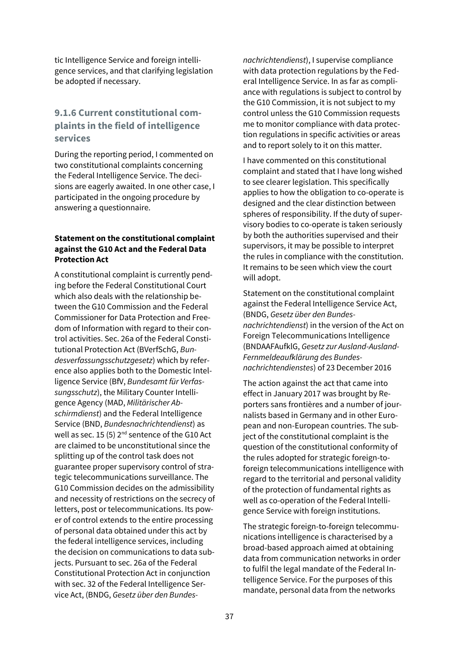tic Intelligence Service and foreign intelligence services, and that clarifying legislation be adopted if necessary.

## **9.1.6 Current constitutional complaints in the field of intelligence services**

During the reporting period, I commented on two constitutional complaints concerning the Federal Intelligence Service. The decisions are eagerly awaited. In one other case, I participated in the ongoing procedure by answering a questionnaire.

### **Statement on the constitutional complaint against the G10 Act and the Federal Data Protection Act**

A constitutional complaint is currently pending before the Federal Constitutional Court which also deals with the relationship between the G10 Commission and the Federal Commissioner for Data Protection and Freedom of Information with regard to their control activities. Sec. 26a of the Federal Constitutional Protection Act (BVerfSchG, *Bundesverfassungsschutzgesetz*) which by reference also applies both to the Domestic Intelligence Service (BfV, *Bundesamt für Verfassungsschutz*), the Military Counter Intelligence Agency (MAD, *Militärischer Abschirmdienst*) and the Federal Intelligence Service (BND, *Bundesnachrichtendienst*) as well as sec. 15 (5)  $2^{nd}$  sentence of the G10 Act are claimed to be unconstitutional since the splitting up of the control task does not guarantee proper supervisory control of strategic telecommunications surveillance. The G10 Commission decides on the admissibility and necessity of restrictions on the secrecy of letters, post or telecommunications. Its power of control extends to the entire processing of personal data obtained under this act by the federal intelligence services, including the decision on communications to data subjects. Pursuant to sec. 26a of the Federal Constitutional Protection Act in conjunction with sec. 32 of the Federal Intelligence Service Act, (BNDG, *Gesetz über den Bundes-* *nachrichtendienst*), I supervise compliance with data protection regulations by the Federal Intelligence Service. In as far as compliance with regulations is subject to control by the G10 Commission, it is not subject to my control unless the G10 Commission requests me to monitor compliance with data protection regulations in specific activities or areas and to report solely to it on this matter.

I have commented on this constitutional complaint and stated that I have long wished to see clearer legislation. This specifically applies to how the obligation to co-operate is designed and the clear distinction between spheres of responsibility. If the duty of supervisory bodies to co-operate is taken seriously by both the authorities supervised and their supervisors, it may be possible to interpret the rules in compliance with the constitution. It remains to be seen which view the court will adopt.

Statement on the constitutional complaint against the Federal Intelligence Service Act, (BNDG, *Gesetz über den Bundesnachrichtendienst*) in the version of the Act on Foreign Telecommunications Intelligence (BNDAAFAufklG, *Gesetz zur Ausland-Ausland-Fernmeldeaufklärung des Bundesnachrichtendienstes*) of 23 December 2016

The action against the act that came into effect in January 2017 was brought by Reporters sans frontières and a number of journalists based in Germany and in other European and non-European countries. The subject of the constitutional complaint is the question of the constitutional conformity of the rules adopted for strategic foreign-toforeign telecommunications intelligence with regard to the territorial and personal validity of the protection of fundamental rights as well as co-operation of the Federal Intelligence Service with foreign institutions.

The strategic foreign-to-foreign telecommunications intelligence is characterised by a broad-based approach aimed at obtaining data from communication networks in order to fulfil the legal mandate of the Federal Intelligence Service. For the purposes of this mandate, personal data from the networks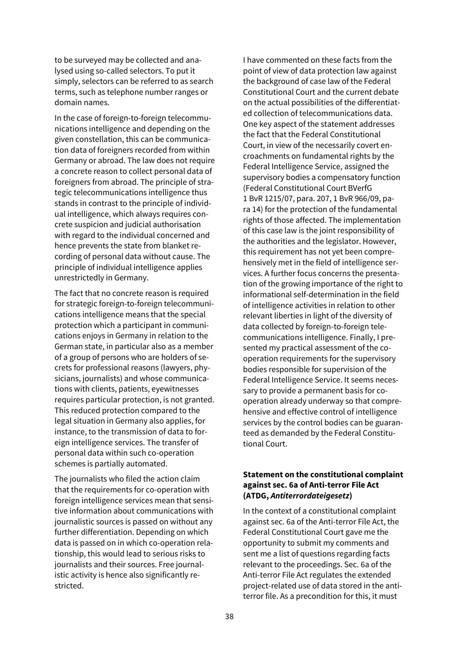to be surveyed may be collected and analysed using so-called selectors. To put it simply, selectors can be referred to as search terms, such as telephone number ranges or domain names.

In the case of foreign-to-foreign telecommunications intelligence and depending on the given constellation, this can be communication data of foreigners recorded from within Germany or abroad. The law does not require a concrete reason to collect personal data of foreigners from abroad. The principle of strategic telecommunications intelligence thus stands in contrast to the principle of individual intelligence, which always requires concrete suspicion and judicial authorisation with regard to the individual concerned and hence prevents the state from blanket recording of personal data without cause. The principle of individual intelligence applies unrestrictedly in Germany.

The fact that no concrete reason is required for strategic foreign-to-foreign telecommunications intelligence means that the special protection which a participant in communications enjoys in Germany in relation to the German state, in particular also as a member of a group of persons who are holders of secrets for professional reasons (lawyers, physicians, journalists) and whose communications with clients, patients, eyewitnesses requires particular protection, is not granted. This reduced protection compared to the legal situation in Germany also applies, for instance, to the transmission of data to foreign intelligence services. The transfer of personal data within such co-operation schemes is partially automated.

The journalists who filed the action claim that the requirements for co-operation with foreign intelligence services mean that sensitive information about communications with journalistic sources is passed on without any further differentiation. Depending on which data is passed on in which co-operation relationship, this would lead to serious risks to journalists and their sources. Free journalistic activity is hence also significantly restricted.

I have commented on these facts from the point of view of data protection law against the background of case law of the Federal Constitutional Court and the current debate on the actual possibilities of the differentiated collection of telecommunications data. One key aspect of the statement addresses the fact that the Federal Constitutional Court, in view of the necessarily covert encroachments on fundamental rights by the Federal Intelligence Service, assigned the supervisory bodies a compensatory function (Federal Constitutional Court BVerfG 1 BvR 1215/07, para. 207, 1 BvR 966/09, para 14) for the protection of the fundamental rights of those affected. The implementation of this case law is the joint responsibility of the authorities and the legislator. However, this requirement has not yet been comprehensively met in the field of intelligence services. A further focus concerns the presentation of the growing importance of the right to informational self-determination in the field of intelligence activities in relation to other relevant liberties in light of the diversity of data collected by foreign-to-foreign telecommunications intelligence. Finally, I presented my practical assessment of the cooperation requirements for the supervisory bodies responsible for supervision of the Federal Intelligence Service. It seems necessary to provide a permanent basis for cooperation already underway so that comprehensive and effective control of intelligence services by the control bodies can be guaranteed as demanded by the Federal Constitutional Court.

### **Statement on the constitutional complaint against sec. 6a of Anti-terror File Act (ATDG,** *Antiterrordateigesetz***)**

In the context of a constitutional complaint against sec. 6a of the Anti-terror File Act, the Federal Constitutional Court gave me the opportunity to submit my comments and sent me a list of questions regarding facts relevant to the proceedings. Sec. 6a of the Anti-terror File Act regulates the extended project-related use of data stored in the antiterror file. As a precondition for this, it must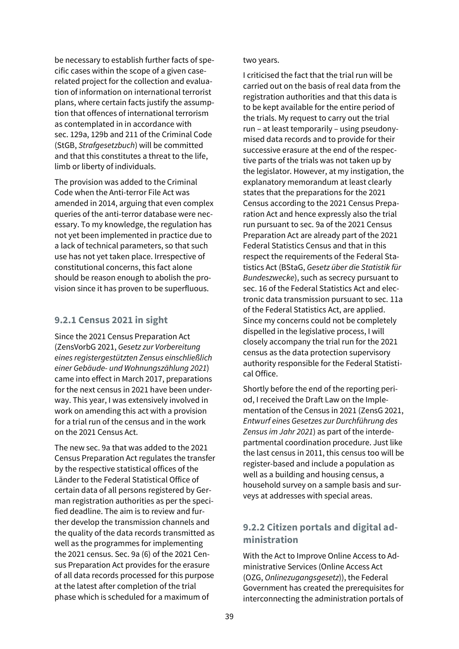be necessary to establish further facts of specific cases within the scope of a given caserelated project for the collection and evaluation of information on international terrorist plans, where certain facts justify the assumption that offences of international terrorism as contemplated in in accordance with sec. 129a, 129b and 211 of the Criminal Code (StGB, *Strafgesetzbuch*) will be committed and that this constitutes a threat to the life, limb or liberty of individuals.

The provision was added to the Criminal Code when the Anti-terror File Act was amended in 2014, arguing that even complex queries of the anti-terror database were necessary. To my knowledge, the regulation has not yet been implemented in practice due to a lack of technical parameters, so that such use has not yet taken place. Irrespective of constitutional concerns, this fact alone should be reason enough to abolish the provision since it has proven to be superfluous.

### **9.2.1 Census 2021 in sight**

Since the 2021 Census Preparation Act (ZensVorbG 2021, *Gesetz zur Vorbereitung eines registergestützten Zensus einschließlich einer Gebäude- und Wohnungszählung 2021*) came into effect in March 2017, preparations for the next census in 2021 have been underway. This year, I was extensively involved in work on amending this act with a provision for a trial run of the census and in the work on the 2021 Census Act.

The new sec. 9a that was added to the 2021 Census Preparation Act regulates the transfer by the respective statistical offices of the Länder to the Federal Statistical Office of certain data of all persons registered by German registration authorities as per the specified deadline. The aim is to review and further develop the transmission channels and the quality of the data records transmitted as well as the programmes for implementing the 2021 census. Sec. 9a (6) of the 2021 Census Preparation Act provides for the erasure of all data records processed for this purpose at the latest after completion of the trial phase which is scheduled for a maximum of

#### two years.

I criticised the fact that the trial run will be carried out on the basis of real data from the registration authorities and that this data is to be kept available for the entire period of the trials. My request to carry out the trial run – at least temporarily – using pseudonymised data records and to provide for their successive erasure at the end of the respective parts of the trials was not taken up by the legislator. However, at my instigation, the explanatory memorandum at least clearly states that the preparations for the 2021 Census according to the 2021 Census Preparation Act and hence expressly also the trial run pursuant to sec. 9a of the 2021 Census Preparation Act are already part of the 2021 Federal Statistics Census and that in this respect the requirements of the Federal Statistics Act (BStaG, *Gesetz über die Statistik für Bundeszwecke*), such as secrecy pursuant to sec. 16 of the Federal Statistics Act and electronic data transmission pursuant to sec. 11a of the Federal Statistics Act, are applied. Since my concerns could not be completely dispelled in the legislative process, I will closely accompany the trial run for the 2021 census as the data protection supervisory authority responsible for the Federal Statistical Office.

Shortly before the end of the reporting period, I received the Draft Law on the Implementation of the Census in 2021 (ZensG 2021, *Entwurf eines Gesetzes zur Durchführung des Zensus im Jahr 2021*) as part of the interdepartmental coordination procedure. Just like the last census in 2011, this census too will be register-based and include a population as well as a building and housing census, a household survey on a sample basis and surveys at addresses with special areas.

## **9.2.2 Citizen portals and digital administration**

With the Act to Improve Online Access to Administrative Services (Online Access Act (OZG, *Onlinezugangsgesetz*)), the Federal Government has created the prerequisites for interconnecting the administration portals of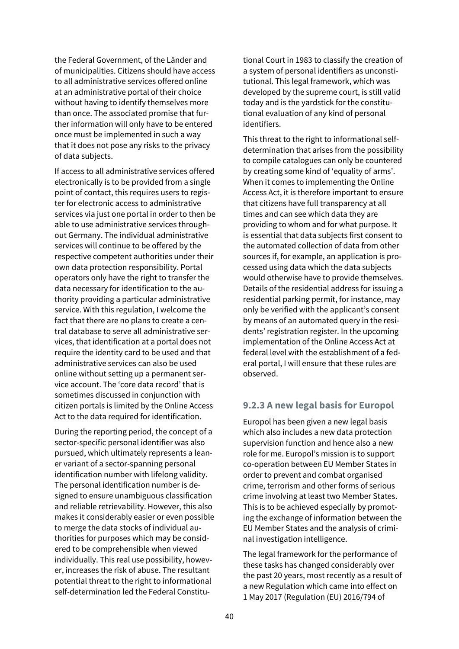the Federal Government, of the Länder and of municipalities. Citizens should have access to all administrative services offered online at an administrative portal of their choice without having to identify themselves more than once. The associated promise that further information will only have to be entered once must be implemented in such a way that it does not pose any risks to the privacy of data subjects.

If access to all administrative services offered electronically is to be provided from a single point of contact, this requires users to register for electronic access to administrative services via just one portal in order to then be able to use administrative services throughout Germany. The individual administrative services will continue to be offered by the respective competent authorities under their own data protection responsibility. Portal operators only have the right to transfer the data necessary for identification to the authority providing a particular administrative service. With this regulation, I welcome the fact that there are no plans to create a central database to serve all administrative services, that identification at a portal does not require the identity card to be used and that administrative services can also be used online without setting up a permanent service account. The 'core data record' that is sometimes discussed in conjunction with citizen portals is limited by the Online Access Act to the data required for identification.

During the reporting period, the concept of a sector-specific personal identifier was also pursued, which ultimately represents a leaner variant of a sector-spanning personal identification number with lifelong validity. The personal identification number is designed to ensure unambiguous classification and reliable retrievability. However, this also makes it considerably easier or even possible to merge the data stocks of individual authorities for purposes which may be considered to be comprehensible when viewed individually. This real use possibility, however, increases the risk of abuse. The resultant potential threat to the right to informational self-determination led the Federal Constitutional Court in 1983 to classify the creation of a system of personal identifiers as unconstitutional. This legal framework, which was developed by the supreme court, is still valid today and is the yardstick for the constitutional evaluation of any kind of personal identifiers.

This threat to the right to informational selfdetermination that arises from the possibility to compile catalogues can only be countered by creating some kind of 'equality of arms'. When it comes to implementing the Online Access Act, it is therefore important to ensure that citizens have full transparency at all times and can see which data they are providing to whom and for what purpose. It is essential that data subjects first consent to the automated collection of data from other sources if, for example, an application is processed using data which the data subjects would otherwise have to provide themselves. Details of the residential address for issuing a residential parking permit, for instance, may only be verified with the applicant's consent by means of an automated query in the residents' registration register. In the upcoming implementation of the Online Access Act at federal level with the establishment of a federal portal, I will ensure that these rules are observed.

### **9.2.3 A new legal basis for Europol**

Europol has been given a new legal basis which also includes a new data protection supervision function and hence also a new role for me. Europol's mission is to support co-operation between EU Member States in order to prevent and combat organised crime, terrorism and other forms of serious crime involving at least two Member States. This is to be achieved especially by promoting the exchange of information between the EU Member States and the analysis of criminal investigation intelligence.

The legal framework for the performance of these tasks has changed considerably over the past 20 years, most recently as a result of a new Regulation which came into effect on 1 May 2017 (Regulation (EU) 2016/794 of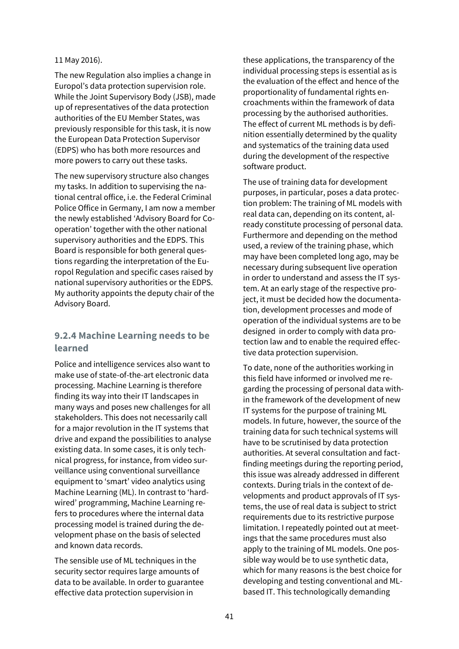#### 11 May 2016).

The new Regulation also implies a change in Europol's data protection supervision role. While the Joint Supervisory Body (JSB), made up of representatives of the data protection authorities of the EU Member States, was previously responsible for this task, it is now the European Data Protection Supervisor (EDPS) who has both more resources and more powers to carry out these tasks.

The new supervisory structure also changes my tasks. In addition to supervising the national central office, i.e. the Federal Criminal Police Office in Germany, I am now a member the newly established 'Advisory Board for Cooperation' together with the other national supervisory authorities and the EDPS. This Board is responsible for both general questions regarding the interpretation of the Europol Regulation and specific cases raised by national supervisory authorities or the EDPS. My authority appoints the deputy chair of the Advisory Board.

## **9.2.4 Machine Learning needs to be learned**

Police and intelligence services also want to make use of state-of-the-art electronic data processing. Machine Learning is therefore finding its way into their IT landscapes in many ways and poses new challenges for all stakeholders. This does not necessarily call for a major revolution in the IT systems that drive and expand the possibilities to analyse existing data. In some cases, it is only technical progress, for instance, from video surveillance using conventional surveillance equipment to 'smart' video analytics using Machine Learning (ML). In contrast to 'hardwired' programming, Machine Learning refers to procedures where the internal data processing model is trained during the development phase on the basis of selected and known data records.

The sensible use of ML techniques in the security sector requires large amounts of data to be available. In order to guarantee effective data protection supervision in

these applications, the transparency of the individual processing steps is essential as is the evaluation of the effect and hence of the proportionality of fundamental rights encroachments within the framework of data processing by the authorised authorities. The effect of current ML methods is by definition essentially determined by the quality and systematics of the training data used during the development of the respective software product.

The use of training data for development purposes, in particular, poses a data protection problem: The training of ML models with real data can, depending on its content, already constitute processing of personal data. Furthermore and depending on the method used, a review of the training phase, which may have been completed long ago, may be necessary during subsequent live operation in order to understand and assess the IT system. At an early stage of the respective project, it must be decided how the documentation, development processes and mode of operation of the individual systems are to be designed in order to comply with data protection law and to enable the required effective data protection supervision.

To date, none of the authorities working in this field have informed or involved me regarding the processing of personal data within the framework of the development of new IT systems for the purpose of training ML models. In future, however, the source of the training data for such technical systems will have to be scrutinised by data protection authorities. At several consultation and factfinding meetings during the reporting period, this issue was already addressed in different contexts. During trials in the context of developments and product approvals of IT systems, the use of real data is subject to strict requirements due to its restrictive purpose limitation. I repeatedly pointed out at meetings that the same procedures must also apply to the training of ML models. One possible way would be to use synthetic data, which for many reasons is the best choice for developing and testing conventional and MLbased IT. This technologically demanding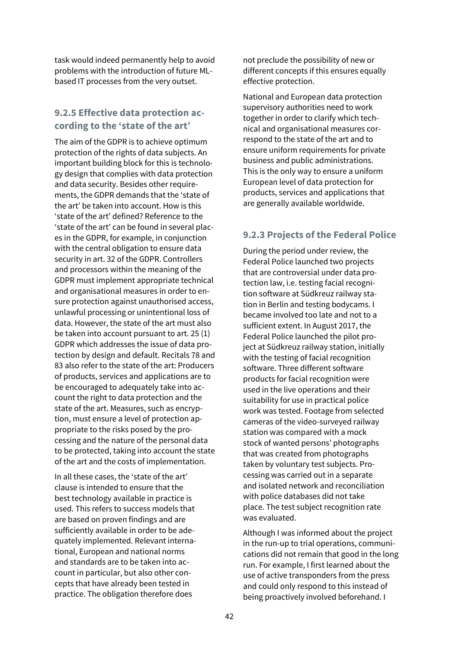task would indeed permanently help to avoid problems with the introduction of future MLbased IT processes from the very outset.

## **9.2.5 Effective data protection according to the 'state of the art'**

The aim of the GDPR is to achieve optimum protection of the rights of data subjects. An important building block for this is technology design that complies with data protection and data security. Besides other requirements, the GDPR demands that the 'state of the art' be taken into account. How is this 'state of the art' defined? Reference to the 'state of the art' can be found in several places in the GDPR, for example, in conjunction with the central obligation to ensure data security in art. 32 of the GDPR. Controllers and processors within the meaning of the GDPR must implement appropriate technical and organisational measures in order to ensure protection against unauthorised access, unlawful processing or unintentional loss of data. However, the state of the art must also be taken into account pursuant to art. 25 (1) GDPR which addresses the issue of data protection by design and default. Recitals 78 and 83 also refer to the state of the art: Producers of products, services and applications are to be encouraged to adequately take into account the right to data protection and the state of the art. Measures, such as encryption, must ensure a level of protection appropriate to the risks posed by the processing and the nature of the personal data to be protected, taking into account the state of the art and the costs of implementation.

In all these cases, the 'state of the art' clause is intended to ensure that the best technology available in practice is used. This refers to success models that are based on proven findings and are sufficiently available in order to be adequately implemented. Relevant international, European and national norms and standards are to be taken into account in particular, but also other concepts that have already been tested in practice. The obligation therefore does

not preclude the possibility of new or different concepts if this ensures equally effective protection.

National and European data protection supervisory authorities need to work together in order to clarify which technical and organisational measures correspond to the state of the art and to ensure uniform requirements for private business and public administrations. This is the only way to ensure a uniform European level of data protection for products, services and applications that are generally available worldwide.

## **9.2.3 Projects of the Federal Police**

During the period under review, the Federal Police launched two projects that are controversial under data protection law, i.e. testing facial recognition software at Südkreuz railway station in Berlin and testing bodycams. I became involved too late and not to a sufficient extent. In August 2017, the Federal Police launched the pilot project at Südkreuz railway station, initially with the testing of facial recognition software. Three different software products for facial recognition were used in the live operations and their suitability for use in practical police work was tested. Footage from selected cameras of the video-surveyed railway station was compared with a mock stock of wanted persons' photographs that was created from photographs taken by voluntary test subjects. Processing was carried out in a separate and isolated network and reconciliation with police databases did not take place. The test subject recognition rate was evaluated.

Although I was informed about the project in the run-up to trial operations, communications did not remain that good in the long run. For example, I first learned about the use of active transponders from the press and could only respond to this instead of being proactively involved beforehand. I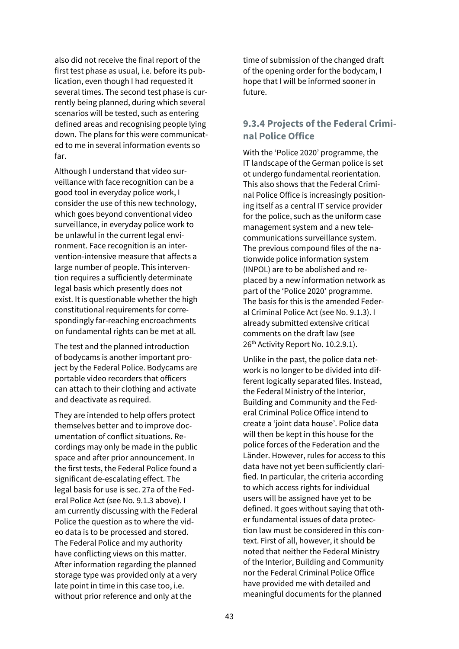also did not receive the final report of the first test phase as usual, i.e. before its publication, even though I had requested it several times. The second test phase is currently being planned, during which several scenarios will be tested, such as entering defined areas and recognising people lying down. The plans for this were communicated to me in several information events so far.

Although I understand that video surveillance with face recognition can be a good tool in everyday police work, I consider the use of this new technology, which goes beyond conventional video surveillance, in everyday police work to be unlawful in the current legal environment. Face recognition is an intervention-intensive measure that affects a large number of people. This intervention requires a sufficiently determinate legal basis which presently does not exist. It is questionable whether the high constitutional requirements for correspondingly far-reaching encroachments on fundamental rights can be met at all.

The test and the planned introduction of bodycams is another important project by the Federal Police. Bodycams are portable video recorders that officers can attach to their clothing and activate and deactivate as required.

They are intended to help offers protect themselves better and to improve documentation of conflict situations. Recordings may only be made in the public space and after prior announcement. In the first tests, the Federal Police found a significant de-escalating effect. The legal basis for use is sec. 27a of the Federal Police Act (see No. 9.1.3 above). I am currently discussing with the Federal Police the question as to where the video data is to be processed and stored. The Federal Police and my authority have conflicting views on this matter. After information regarding the planned storage type was provided only at a very late point in time in this case too, i.e. without prior reference and only at the

time of submission of the changed draft of the opening order for the bodycam, I hope that I will be informed sooner in future.

## **9.3.4 Projects of the Federal Criminal Police Office**

With the 'Police 2020' programme, the IT landscape of the German police is set ot undergo fundamental reorientation. This also shows that the Federal Criminal Police Office is increasingly positioning itself as a central IT service provider for the police, such as the uniform case management system and a new telecommunications surveillance system. The previous compound files of the nationwide police information system (INPOL) are to be abolished and replaced by a new information network as part of the 'Police 2020' programme. The basis for this is the amended Federal Criminal Police Act (see No. 9.1.3). I already submitted extensive critical comments on the draft law (see 26<sup>th</sup> Activity Report No. 10.2.9.1).

Unlike in the past, the police data network is no longer to be divided into different logically separated files. Instead, the Federal Ministry of the Interior, Building and Community and the Federal Criminal Police Office intend to create a 'joint data house'. Police data will then be kept in this house for the police forces of the Federation and the Länder. However, rules for access to this data have not yet been sufficiently clarified. In particular, the criteria according to which access rights for individual users will be assigned have yet to be defined. It goes without saying that other fundamental issues of data protection law must be considered in this context. First of all, however, it should be noted that neither the Federal Ministry of the Interior, Building and Community nor the Federal Criminal Police Office have provided me with detailed and meaningful documents for the planned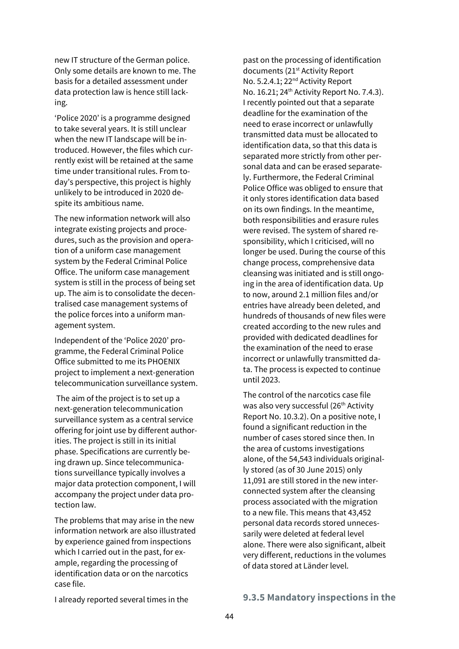new IT structure of the German police. Only some details are known to me. The basis for a detailed assessment under data protection law is hence still lacking.

'Police 2020' is a programme designed to take several years. It is still unclear when the new IT landscape will be introduced. However, the files which currently exist will be retained at the same time under transitional rules. From today's perspective, this project is highly unlikely to be introduced in 2020 despite its ambitious name.

The new information network will also integrate existing projects and procedures, such as the provision and operation of a uniform case management system by the Federal Criminal Police Office. The uniform case management system is still in the process of being set up. The aim is to consolidate the decentralised case management systems of the police forces into a uniform management system.

Independent of the 'Police 2020' programme, the Federal Criminal Police Office submitted to me its PHOENIX project to implement a next-generation telecommunication surveillance system.

The aim of the project is to set up a next-generation telecommunication surveillance system as a central service offering for joint use by different authorities. The project is still in its initial phase. Specifications are currently being drawn up. Since telecommunications surveillance typically involves a major data protection component, I will accompany the project under data protection law.

The problems that may arise in the new information network are also illustrated by experience gained from inspections which I carried out in the past, for example, regarding the processing of identification data or on the narcotics case file.

past on the processing of identification documents (21<sup>st</sup> Activity Report No. 5.2.4.1; 22<sup>nd</sup> Activity Report No. 16.21; 24<sup>th</sup> Activity Report No. 7.4.3). I recently pointed out that a separate deadline for the examination of the need to erase incorrect or unlawfully transmitted data must be allocated to identification data, so that this data is separated more strictly from other personal data and can be erased separately. Furthermore, the Federal Criminal Police Office was obliged to ensure that it only stores identification data based on its own findings. In the meantime, both responsibilities and erasure rules were revised. The system of shared responsibility, which I criticised, will no longer be used. During the course of this change process, comprehensive data cleansing was initiated and is still ongoing in the area of identification data. Up to now, around 2.1 million files and/or entries have already been deleted, and hundreds of thousands of new files were created according to the new rules and provided with dedicated deadlines for the examination of the need to erase incorrect or unlawfully transmitted data. The process is expected to continue until 2023.

The control of the narcotics case file was also very successful (26<sup>th</sup> Activity Report No. 10.3.2). On a positive note, I found a significant reduction in the number of cases stored since then. In the area of customs investigations alone, of the 54,543 individuals originally stored (as of 30 June 2015) only 11,091 are still stored in the new interconnected system after the cleansing process associated with the migration to a new file. This means that 43,452 personal data records stored unnecessarily were deleted at federal level alone. There were also significant, albeit very different, reductions in the volumes of data stored at Länder level.

#### **9.3.5 Mandatory inspections in the**

I already reported several times in the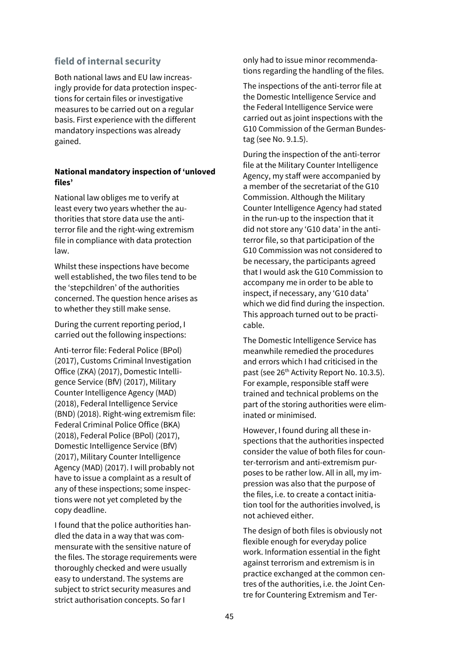### **field of internal security**

Both national laws and EU law increasingly provide for data protection inspections for certain files or investigative measures to be carried out on a regular basis. First experience with the different mandatory inspections was already gained.

### **National mandatory inspection of 'unloved files'**

National law obliges me to verify at least every two years whether the authorities that store data use the antiterror file and the right-wing extremism file in compliance with data protection law.

Whilst these inspections have become well established, the two files tend to be the 'stepchildren' of the authorities concerned. The question hence arises as to whether they still make sense.

During the current reporting period, I carried out the following inspections:

Anti-terror file: Federal Police (BPol) (2017), Customs Criminal Investigation Office (ZKA) (2017), Domestic Intelligence Service (BfV) (2017), Military Counter Intelligence Agency (MAD) (2018), Federal Intelligence Service (BND) (2018). Right-wing extremism file: Federal Criminal Police Office (BKA) (2018), Federal Police (BPol) (2017), Domestic Intelligence Service (BfV) (2017), Military Counter Intelligence Agency (MAD) (2017). I will probably not have to issue a complaint as a result of any of these inspections; some inspections were not yet completed by the copy deadline.

I found that the police authorities handled the data in a way that was commensurate with the sensitive nature of the files. The storage requirements were thoroughly checked and were usually easy to understand. The systems are subject to strict security measures and strict authorisation concepts. So far I

only had to issue minor recommendations regarding the handling of the files.

The inspections of the anti-terror file at the Domestic Intelligence Service and the Federal Intelligence Service were carried out as joint inspections with the G10 Commission of the German Bundestag (see No. 9.1.5).

During the inspection of the anti-terror file at the Military Counter Intelligence Agency, my staff were accompanied by a member of the secretariat of the G10 Commission. Although the Military Counter Intelligence Agency had stated in the run-up to the inspection that it did not store any 'G10 data' in the antiterror file, so that participation of the G10 Commission was not considered to be necessary, the participants agreed that I would ask the G10 Commission to accompany me in order to be able to inspect, if necessary, any 'G10 data' which we did find during the inspection. This approach turned out to be practicable.

The Domestic Intelligence Service has meanwhile remedied the procedures and errors which I had criticised in the past (see 26<sup>th</sup> Activity Report No. 10.3.5). For example, responsible staff were trained and technical problems on the part of the storing authorities were eliminated or minimised.

However, I found during all these inspections that the authorities inspected consider the value of both files for counter-terrorism and anti-extremism purposes to be rather low. All in all, my impression was also that the purpose of the files, i.e. to create a contact initiation tool for the authorities involved, is not achieved either.

The design of both files is obviously not flexible enough for everyday police work. Information essential in the fight against terrorism and extremism is in practice exchanged at the common centres of the authorities, i.e. the Joint Centre for Countering Extremism and Ter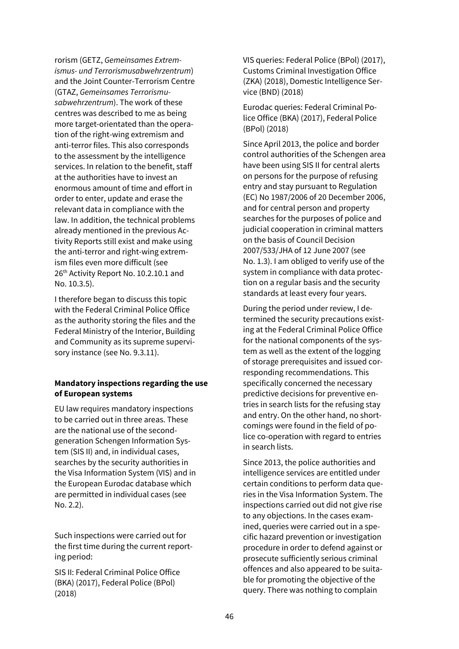rorism (GETZ, *Gemeinsames Extremismus- und Terrorismusabwehrzentrum*) and the Joint Counter-Terrorism Centre (GTAZ, *Gemeinsames Terrorismusabwehrzentrum*). The work of these centres was described to me as being more target-orientated than the operation of the right-wing extremism and anti-terror files. This also corresponds to the assessment by the intelligence services. In relation to the benefit, staff at the authorities have to invest an enormous amount of time and effort in order to enter, update and erase the relevant data in compliance with the law. In addition, the technical problems already mentioned in the previous Activity Reports still exist and make using the anti-terror and right-wing extremism files even more difficult (see 26<sup>th</sup> Activity Report No. 10.2.10.1 and No. 10.3.5).

I therefore began to discuss this topic with the Federal Criminal Police Office as the authority storing the files and the Federal Ministry of the Interior, Building and Community as its supreme supervisory instance (see No. 9.3.11).

### **Mandatory inspections regarding the use of European systems**

EU law requires mandatory inspections to be carried out in three areas. These are the national use of the secondgeneration Schengen Information System (SIS II) and, in individual cases, searches by the security authorities in the Visa Information System (VIS) and in the European Eurodac database which are permitted in individual cases (see No. 2.2).

Such inspections were carried out for the first time during the current reporting period:

SIS II: Federal Criminal Police Office (BKA) (2017), Federal Police (BPol) (2018)

VIS queries: Federal Police (BPol) (2017), Customs Criminal Investigation Office (ZKA) (2018), Domestic Intelligence Service (BND) (2018)

Eurodac queries: Federal Criminal Police Office (BKA) (2017), Federal Police (BPol) (2018)

Since April 2013, the police and border control authorities of the Schengen area have been using SIS II for central alerts on persons for the purpose of refusing entry and stay pursuant to Regulation (EC) No 1987/2006 of 20 December 2006, and for central person and property searches for the purposes of police and judicial cooperation in criminal matters on the basis of Council Decision 2007/533/JHA of 12 June 2007 (see No. 1.3). I am obliged to verify use of the system in compliance with data protection on a regular basis and the security standards at least every four years.

During the period under review, I determined the security precautions existing at the Federal Criminal Police Office for the national components of the system as well as the extent of the logging of storage prerequisites and issued corresponding recommendations. This specifically concerned the necessary predictive decisions for preventive entries in search lists for the refusing stay and entry. On the other hand, no shortcomings were found in the field of police co-operation with regard to entries in search lists.

Since 2013, the police authorities and intelligence services are entitled under certain conditions to perform data queries in the Visa Information System. The inspections carried out did not give rise to any objections. In the cases examined, queries were carried out in a specific hazard prevention or investigation procedure in order to defend against or prosecute sufficiently serious criminal offences and also appeared to be suitable for promoting the objective of the query. There was nothing to complain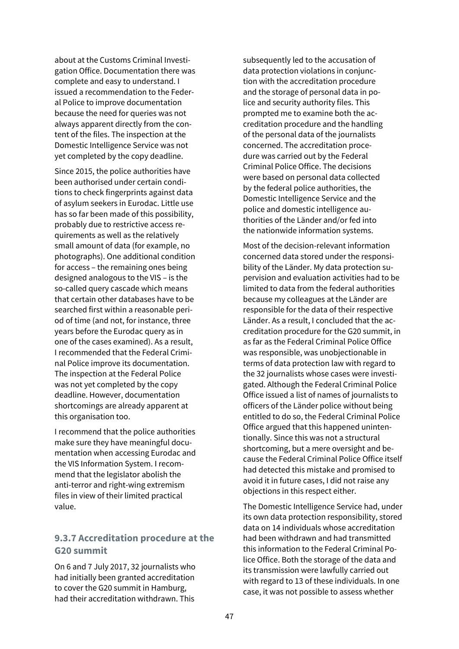about at the Customs Criminal Investigation Office. Documentation there was complete and easy to understand. I issued a recommendation to the Federal Police to improve documentation because the need for queries was not always apparent directly from the content of the files. The inspection at the Domestic Intelligence Service was not yet completed by the copy deadline.

Since 2015, the police authorities have been authorised under certain conditions to check fingerprints against data of asylum seekers in Eurodac. Little use has so far been made of this possibility, probably due to restrictive access requirements as well as the relatively small amount of data (for example, no photographs). One additional condition for access – the remaining ones being designed analogous to the VIS – is the so-called query cascade which means that certain other databases have to be searched first within a reasonable period of time (and not, for instance, three years before the Eurodac query as in one of the cases examined). As a result, I recommended that the Federal Criminal Police improve its documentation. The inspection at the Federal Police was not yet completed by the copy deadline. However, documentation shortcomings are already apparent at this organisation too.

I recommend that the police authorities make sure they have meaningful documentation when accessing Eurodac and the VIS Information System. I recommend that the legislator abolish the anti-terror and right-wing extremism files in view of their limited practical value.

## **9.3.7 Accreditation procedure at the G20 summit**

On 6 and 7 July 2017, 32 journalists who had initially been granted accreditation to cover the G20 summit in Hamburg, had their accreditation withdrawn. This

subsequently led to the accusation of data protection violations in conjunction with the accreditation procedure and the storage of personal data in police and security authority files. This prompted me to examine both the accreditation procedure and the handling of the personal data of the journalists concerned. The accreditation procedure was carried out by the Federal Criminal Police Office. The decisions were based on personal data collected by the federal police authorities, the Domestic Intelligence Service and the police and domestic intelligence authorities of the Länder and/or fed into the nationwide information systems.

Most of the decision-relevant information concerned data stored under the responsibility of the Länder. My data protection supervision and evaluation activities had to be limited to data from the federal authorities because my colleagues at the Länder are responsible for the data of their respective Länder. As a result, I concluded that the accreditation procedure for the G20 summit, in as far as the Federal Criminal Police Office was responsible, was unobjectionable in terms of data protection law with regard to the 32 journalists whose cases were investigated. Although the Federal Criminal Police Office issued a list of names of journalists to officers of the Länder police without being entitled to do so, the Federal Criminal Police Office argued that this happened unintentionally. Since this was not a structural shortcoming, but a mere oversight and because the Federal Criminal Police Office itself had detected this mistake and promised to avoid it in future cases, I did not raise any objections in this respect either.

The Domestic Intelligence Service had, under its own data protection responsibility, stored data on 14 individuals whose accreditation had been withdrawn and had transmitted this information to the Federal Criminal Police Office. Both the storage of the data and its transmission were lawfully carried out with regard to 13 of these individuals. In one case, it was not possible to assess whether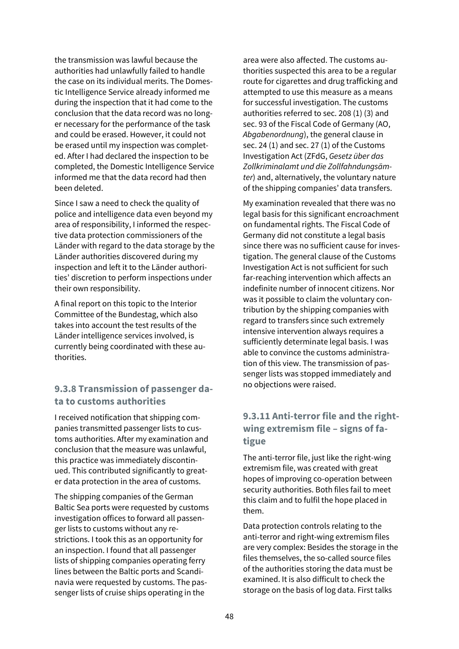the transmission was lawful because the authorities had unlawfully failed to handle the case on its individual merits. The Domestic Intelligence Service already informed me during the inspection that it had come to the conclusion that the data record was no longer necessary for the performance of the task and could be erased. However, it could not be erased until my inspection was completed. After I had declared the inspection to be completed, the Domestic Intelligence Service informed me that the data record had then been deleted.

Since I saw a need to check the quality of police and intelligence data even beyond my area of responsibility, I informed the respective data protection commissioners of the Länder with regard to the data storage by the Länder authorities discovered during my inspection and left it to the Länder authorities' discretion to perform inspections under their own responsibility.

A final report on this topic to the Interior Committee of the Bundestag, which also takes into account the test results of the Länder intelligence services involved, is currently being coordinated with these authorities.

## **9.3.8 Transmission of passenger data to customs authorities**

I received notification that shipping companies transmitted passenger lists to customs authorities. After my examination and conclusion that the measure was unlawful, this practice was immediately discontinued. This contributed significantly to greater data protection in the area of customs.

The shipping companies of the German Baltic Sea ports were requested by customs investigation offices to forward all passenger lists to customs without any restrictions. I took this as an opportunity for an inspection. I found that all passenger lists of shipping companies operating ferry lines between the Baltic ports and Scandinavia were requested by customs. The passenger lists of cruise ships operating in the

area were also affected. The customs authorities suspected this area to be a regular route for cigarettes and drug trafficking and attempted to use this measure as a means for successful investigation. The customs authorities referred to sec. 208 (1) (3) and sec. 93 of the Fiscal Code of Germany (AO, *Abgabenordnung*), the general clause in sec. 24 (1) and sec. 27 (1) of the Customs Investigation Act (ZFdG, *Gesetz über das Zollkriminalamt und die Zollfahndungsämter*) and, alternatively, the voluntary nature of the shipping companies' data transfers.

My examination revealed that there was no legal basis for this significant encroachment on fundamental rights. The Fiscal Code of Germany did not constitute a legal basis since there was no sufficient cause for investigation. The general clause of the Customs Investigation Act is not sufficient for such far-reaching intervention which affects an indefinite number of innocent citizens. Nor was it possible to claim the voluntary contribution by the shipping companies with regard to transfers since such extremely intensive intervention always requires a sufficiently determinate legal basis. I was able to convince the customs administration of this view. The transmission of passenger lists was stopped immediately and no objections were raised.

## **9.3.11 Anti-terror file and the rightwing extremism file – signs of fatigue**

The anti-terror file, just like the right-wing extremism file, was created with great hopes of improving co-operation between security authorities. Both files fail to meet this claim and to fulfil the hope placed in them.

Data protection controls relating to the anti-terror and right-wing extremism files are very complex: Besides the storage in the files themselves, the so-called source files of the authorities storing the data must be examined. It is also difficult to check the storage on the basis of log data. First talks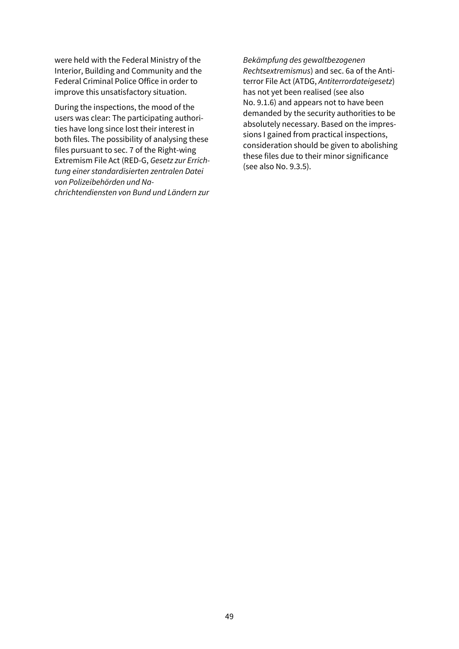were held with the Federal Ministry of the Interior, Building and Community and the Federal Criminal Police Office in order to improve this unsatisfactory situation.

During the inspections, the mood of the users was clear: The participating authorities have long since lost their interest in both files. The possibility of analysing these files pursuant to sec. 7 of the Right-wing Extremism File Act (RED-G, *Gesetz zur Errichtung einer standardisierten zentralen Datei von Polizeibehörden und Nachrichtendiensten von Bund und Ländern zur* 

*Bekämpfung des gewaltbezogenen Rechtsextremismus*) and sec. 6a of the Antiterror File Act (ATDG, *Antiterrordateigesetz*) has not yet been realised (see also No. 9.1.6) and appears not to have been demanded by the security authorities to be absolutely necessary. Based on the impressions I gained from practical inspections, consideration should be given to abolishing these files due to their minor significance (see also No. 9.3.5).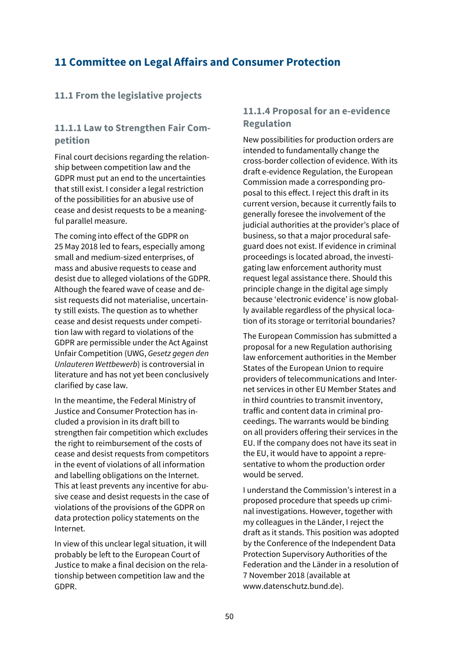## **11 Committee on Legal Affairs and Consumer Protection**

## **11.1 From the legislative projects**

## **11.1.1 Law to Strengthen Fair Competition**

Final court decisions regarding the relationship between competition law and the GDPR must put an end to the uncertainties that still exist. I consider a legal restriction of the possibilities for an abusive use of cease and desist requests to be a meaningful parallel measure.

The coming into effect of the GDPR on 25 May 2018 led to fears, especially among small and medium-sized enterprises, of mass and abusive requests to cease and desist due to alleged violations of the GDPR. Although the feared wave of cease and desist requests did not materialise, uncertainty still exists. The question as to whether cease and desist requests under competition law with regard to violations of the GDPR are permissible under the Act Against Unfair Competition (UWG, *Gesetz gegen den Unlauteren Wettbewerb*) is controversial in literature and has not yet been conclusively clarified by case law.

In the meantime, the Federal Ministry of Justice and Consumer Protection has included a provision in its draft bill to strengthen fair competition which excludes the right to reimbursement of the costs of cease and desist requests from competitors in the event of violations of all information and labelling obligations on the Internet. This at least prevents any incentive for abusive cease and desist requests in the case of violations of the provisions of the GDPR on data protection policy statements on the Internet.

In view of this unclear legal situation, it will probably be left to the European Court of Justice to make a final decision on the relationship between competition law and the GDPR.

## **11.1.4 Proposal for an e-evidence Regulation**

New possibilities for production orders are intended to fundamentally change the cross-border collection of evidence. With its draft e-evidence Regulation, the European Commission made a corresponding proposal to this effect. I reject this draft in its current version, because it currently fails to generally foresee the involvement of the judicial authorities at the provider's place of business, so that a major procedural safeguard does not exist. If evidence in criminal proceedings is located abroad, the investigating law enforcement authority must request legal assistance there. Should this principle change in the digital age simply because 'electronic evidence' is now globally available regardless of the physical location of its storage or territorial boundaries?

The European Commission has submitted a proposal for a new Regulation authorising law enforcement authorities in the Member States of the European Union to require providers of telecommunications and Internet services in other EU Member States and in third countries to transmit inventory, traffic and content data in criminal proceedings. The warrants would be binding on all providers offering their services in the EU. If the company does not have its seat in the EU, it would have to appoint a representative to whom the production order would be served.

I understand the Commission's interest in a proposed procedure that speeds up criminal investigations. However, together with my colleagues in the Länder, I reject the draft as it stands. This position was adopted by the Conference of the Independent Data Protection Supervisory Authorities of the Federation and the Länder in a resolution of 7 November 2018 (available at www.datenschutz.bund.de).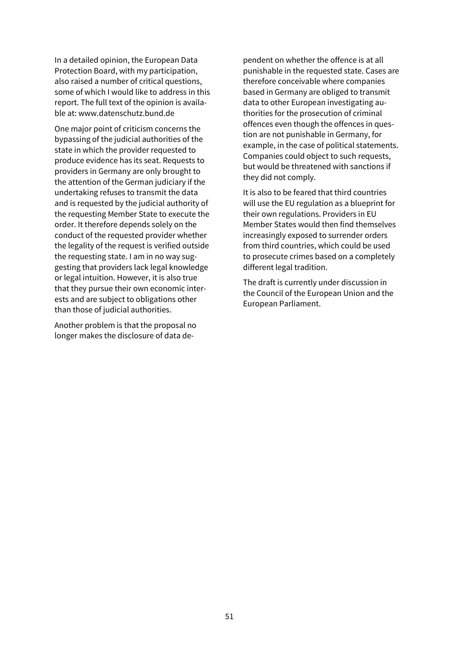In a detailed opinion, the European Data Protection Board, with my participation, also raised a number of critical questions, some of which I would like to address in this report. The full text of the opinion is available at[: www.datenschutz.bund.de](http://www.datenschutz.bund.de/)

One major point of criticism concerns the bypassing of the judicial authorities of the state in which the provider requested to produce evidence has its seat. Requests to providers in Germany are only brought to the attention of the German judiciary if the undertaking refuses to transmit the data and is requested by the judicial authority of the requesting Member State to execute the order. It therefore depends solely on the conduct of the requested provider whether the legality of the request is verified outside the requesting state. I am in no way suggesting that providers lack legal knowledge or legal intuition. However, it is also true that they pursue their own economic interests and are subject to obligations other than those of judicial authorities.

Another problem is that the proposal no longer makes the disclosure of data dependent on whether the offence is at all punishable in the requested state. Cases are therefore conceivable where companies based in Germany are obliged to transmit data to other European investigating authorities for the prosecution of criminal offences even though the offences in question are not punishable in Germany, for example, in the case of political statements. Companies could object to such requests, but would be threatened with sanctions if they did not comply.

It is also to be feared that third countries will use the EU regulation as a blueprint for their own regulations. Providers in EU Member States would then find themselves increasingly exposed to surrender orders from third countries, which could be used to prosecute crimes based on a completely different legal tradition.

The draft is currently under discussion in the Council of the European Union and the European Parliament.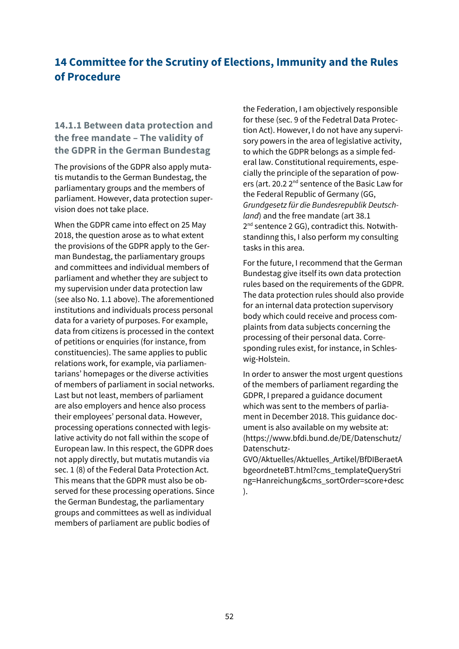## **14 Committee for the Scrutiny of Elections, Immunity and the Rules of Procedure**

## **14.1.1 Between data protection and the free mandate – The validity of the GDPR in the German Bundestag**

The provisions of the GDPR also apply mutatis mutandis to the German Bundestag, the parliamentary groups and the members of parliament. However, data protection supervision does not take place.

When the GDPR came into effect on 25 May 2018, the question arose as to what extent the provisions of the GDPR apply to the German Bundestag, the parliamentary groups and committees and individual members of parliament and whether they are subject to my supervision under data protection law (see also No. 1.1 above). The aforementioned institutions and individuals process personal data for a variety of purposes. For example, data from citizens is processed in the context of petitions or enquiries (for instance, from constituencies). The same applies to public relations work, for example, via parliamentarians' homepages or the diverse activities of members of parliament in social networks. Last but not least, members of parliament are also employers and hence also process their employees' personal data. However, processing operations connected with legislative activity do not fall within the scope of European law. In this respect, the GDPR does not apply directly, but mutatis mutandis via sec. 1 (8) of the Federal Data Protection Act. This means that the GDPR must also be observed for these processing operations. Since the German Bundestag, the parliamentary groups and committees as well as individual members of parliament are public bodies of

the Federation, I am objectively responsible for these (sec. 9 of the Fedetral Data Protection Act). However, I do not have any supervisory powers in the area of legislative activity, to which the GDPR belongs as a simple federal law. Constitutional requirements, especially the principle of the separation of powers (art. 20.2 2<sup>nd</sup> sentence of the Basic Law for the Federal Republic of Germany (GG, *Grundgesetz für die Bundesrepublik Deutschland*) and the free mandate (art 38.1 2<sup>nd</sup> sentence 2 GG), contradict this. Notwithstandinng this, I also perform my consulting tasks in this area.

For the future, I recommend that the German Bundestag give itself its own data protection rules based on the requirements of the GDPR. The data protection rules should also provide for an internal data protection supervisory body which could receive and process complaints from data subjects concerning the processing of their personal data. Corresponding rules exist, for instance, in Schleswig-Holstein.

In order to answer the most urgent questions of the members of parliament regarding the GDPR, I prepared a guidance document which was sent to the members of parliament in December 2018. This guidance document is also available on my website at: (https:[//www.bfdi.bund.de/DE/Datenschutz/](http://www.bfdi.bund.de/DE/Datenschutz/) Datenschutz-

GVO/Aktuelles/Aktuelles\_Artikel/BfDIBeraetA bgeordneteBT.html?cms\_templateQueryStri ng=Hanreichung&cms\_sortOrder=score+desc ).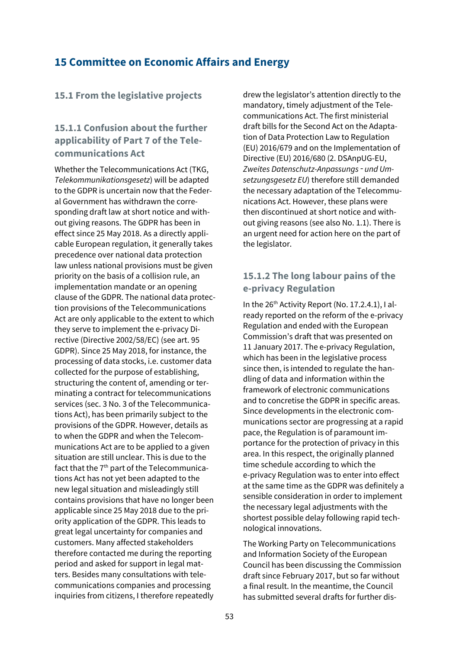## **15 Committee on Economic Affairs and Energy**

### **15.1 From the legislative projects**

## **15.1.1 Confusion about the further applicability of Part 7 of the Telecommunications Act**

Whether the Telecommunications Act (TKG, *Telekommunikationsgesetz*) will be adapted to the GDPR is uncertain now that the Federal Government has withdrawn the corresponding draft law at short notice and without giving reasons. The GDPR has been in effect since 25 May 2018. As a directly applicable European regulation, it generally takes precedence over national data protection law unless national provisions must be given priority on the basis of a collision rule, an implementation mandate or an opening clause of the GDPR. The national data protection provisions of the Telecommunications Act are only applicable to the extent to which they serve to implement the e-privacy Directive (Directive 2002/58/EC) (see art. 95 GDPR). Since 25 May 2018, for instance, the processing of data stocks, i.e. customer data collected for the purpose of establishing, structuring the content of, amending or terminating a contract for telecommunications services (sec. 3 No. 3 of the Telecommunications Act), has been primarily subject to the provisions of the GDPR. However, details as to when the GDPR and when the Telecommunications Act are to be applied to a given situation are still unclear. This is due to the fact that the 7<sup>th</sup> part of the Telecommunications Act has not yet been adapted to the new legal situation and misleadingly still contains provisions that have no longer been applicable since 25 May 2018 due to the priority application of the GDPR. This leads to great legal uncertainty for companies and customers. Many affected stakeholders therefore contacted me during the reporting period and asked for support in legal matters. Besides many consultations with telecommunications companies and processing inquiries from citizens, I therefore repeatedly

drew the legislator's attention directly to the mandatory, timely adjustment of the Telecommunications Act. The first ministerial draft bills for the Second Act on the Adaptation of Data Protection Law to Regulation (EU) 2016/679 and on the Implementation of Directive (EU) 2016/680 (2. DSAnpUG-EU, *Zweites Datenschutz-Anpassungs*‑ *und Umsetzungsgesetz EU*) therefore still demanded the necessary adaptation of the Telecommunications Act. However, these plans were then discontinued at short notice and without giving reasons (see also No. 1.1). There is an urgent need for action here on the part of the legislator.

## **15.1.2 The long labour pains of the e-privacy Regulation**

In the  $26<sup>th</sup>$  Activity Report (No. 17.2.4.1), I already reported on the reform of the e-privacy Regulation and ended with the European Commission's draft that was presented on 11 January 2017. The e-privacy Regulation, which has been in the legislative process since then, is intended to regulate the handling of data and information within the framework of electronic communications and to concretise the GDPR in specific areas. Since developments in the electronic communications sector are progressing at a rapid pace, the Regulation is of paramount importance for the protection of privacy in this area. In this respect, the originally planned time schedule according to which the e-privacy Regulation was to enter into effect at the same time as the GDPR was definitely a sensible consideration in order to implement the necessary legal adjustments with the shortest possible delay following rapid technological innovations.

The Working Party on Telecommunications and Information Society of the European Council has been discussing the Commission draft since February 2017, but so far without a final result. In the meantime, the Council has submitted several drafts for further dis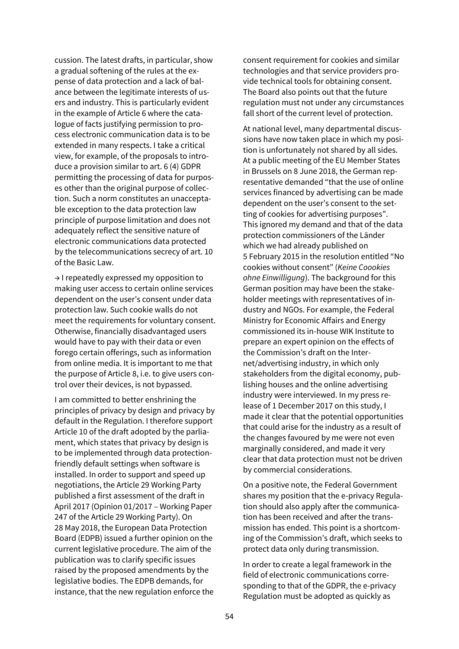cussion. The latest drafts, in particular, show a gradual softening of the rules at the expense of data protection and a lack of balance between the legitimate interests of users and industry. This is particularly evident in the example of Article 6 where the catalogue of facts justifying permission to process electronic communication data is to be extended in many respects. I take a critical view, for example, of the proposals to introduce a provision similar to art. 6 (4) GDPR permitting the processing of data for purposes other than the original purpose of collection. Such a norm constitutes an unacceptable exception to the data protection law principle of purpose limitation and does not adequately reflect the sensitive nature of electronic communications data protected by the telecommunications secrecy of art. 10 of the Basic Law.

→ I repeatedly expressed my opposition to making user access to certain online services dependent on the user's consent under data protection law. Such cookie walls do not meet the requirements for voluntary consent. Otherwise, financially disadvantaged users would have to pay with their data or even forego certain offerings, such as information from online media. It is important to me that the purpose of Article 8, i.e. to give users control over their devices, is not bypassed.

I am committed to better enshrining the principles of privacy by design and privacy by default in the Regulation. I therefore support Article 10 of the draft adopted by the parliament, which states that privacy by design is to be implemented through data protectionfriendly default settings when software is installed. In order to support and speed up negotiations, the Article 29 Working Party published a first assessment of the draft in April 2017 (Opinion 01/2017 – Working Paper 247 of the Article 29 Working Party). On 28 May 2018, the European Data Protection Board (EDPB) issued a further opinion on the current legislative procedure. The aim of the publication was to clarify specific issues raised by the proposed amendments by the legislative bodies. The EDPB demands, for instance, that the new regulation enforce the

consent requirement for cookies and similar technologies and that service providers provide technical tools for obtaining consent. The Board also points out that the future regulation must not under any circumstances fall short of the current level of protection.

At national level, many departmental discussions have now taken place in which my position is unfortunately not shared by all sides. At a public meeting of the EU Member States in Brussels on 8 June 2018, the German representative demanded "that the use of online services financed by advertising can be made dependent on the user's consent to the setting of cookies for advertising purposes". This ignored my demand and that of the data protection commissioners of the Länder which we had already published on 5 February 2015 in the resolution entitled "No cookies without consent" (*Keine Coookies ohne Einwilligung*). The background for this German position may have been the stakeholder meetings with representatives of industry and NGOs. For example, the Federal Ministry for Economic Affairs and Energy commissioned its in-house WIK Institute to prepare an expert opinion on the effects of the Commission's draft on the Internet/advertising industry, in which only stakeholders from the digital economy, publishing houses and the online advertising industry were interviewed. In my press release of 1 December 2017 on this study, I made it clear that the potential opportunities that could arise for the industry as a result of the changes favoured by me were not even marginally considered, and made it very clear that data protection must not be driven by commercial considerations.

On a positive note, the Federal Government shares my position that the e-privacy Regulation should also apply after the communication has been received and after the transmission has ended. This point is a shortcoming of the Commission's draft, which seeks to protect data only during transmission.

In order to create a legal framework in the field of electronic communications corresponding to that of the GDPR, the e-privacy Regulation must be adopted as quickly as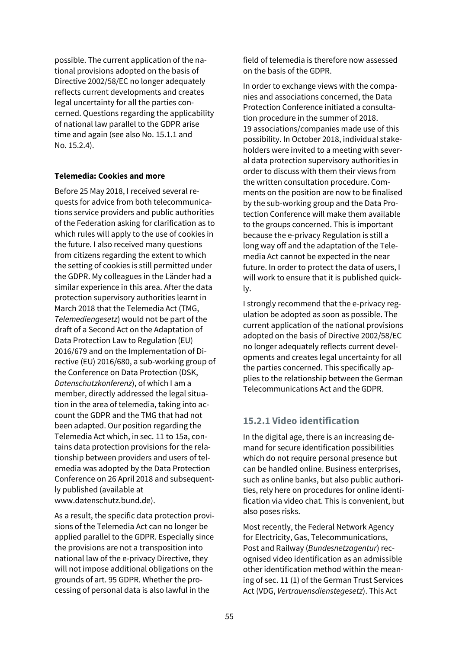possible. The current application of the national provisions adopted on the basis of Directive 2002/58/EC no longer adequately reflects current developments and creates legal uncertainty for all the parties concerned. Questions regarding the applicability of national law parallel to the GDPR arise time and again (see also No. 15.1.1 and No. 15.2.4).

### **Telemedia: Cookies and more**

Before 25 May 2018, I received several requests for advice from both telecommunications service providers and public authorities of the Federation asking for clarification as to which rules will apply to the use of cookies in the future. I also received many questions from citizens regarding the extent to which the setting of cookies is still permitted under the GDPR. My colleagues in the Länder had a similar experience in this area. After the data protection supervisory authorities learnt in March 2018 that the Telemedia Act (TMG, *Telemediengesetz*) would not be part of the draft of a Second Act on the Adaptation of Data Protection Law to Regulation (EU) 2016/679 and on the Implementation of Directive (EU) 2016/680, a sub-working group of the Conference on Data Protection (DSK, *Datenschutzkonferenz*), of which I am a member, directly addressed the legal situation in the area of telemedia, taking into account the GDPR and the TMG that had not been adapted. Our position regarding the Telemedia Act which, in sec. 11 to 15a, contains data protection provisions for the relationship between providers and users of telemedia was adopted by the Data Protection Conference on 26 April 2018 and subsequently published (available at www.datenschutz.bund.de).

As a result, the specific data protection provisions of the Telemedia Act can no longer be applied parallel to the GDPR. Especially since the provisions are not a transposition into national law of the e-privacy Directive, they will not impose additional obligations on the grounds of art. 95 GDPR. Whether the processing of personal data is also lawful in the

field of telemedia is therefore now assessed on the basis of the GDPR.

In order to exchange views with the companies and associations concerned, the Data Protection Conference initiated a consultation procedure in the summer of 2018. 19 associations/companies made use of this possibility. In October 2018, individual stakeholders were invited to a meeting with several data protection supervisory authorities in order to discuss with them their views from the written consultation procedure. Comments on the position are now to be finalised by the sub-working group and the Data Protection Conference will make them available to the groups concerned. This is important because the e-privacy Regulation is still a long way off and the adaptation of the Telemedia Act cannot be expected in the near future. In order to protect the data of users, I will work to ensure that it is published quickly.

I strongly recommend that the e-privacy regulation be adopted as soon as possible. The current application of the national provisions adopted on the basis of Directive 2002/58/EC no longer adequately reflects current developments and creates legal uncertainty for all the parties concerned. This specifically applies to the relationship between the German Telecommunications Act and the GDPR.

## **15.2.1 Video identification**

In the digital age, there is an increasing demand for secure identification possibilities which do not require personal presence but can be handled online. Business enterprises, such as online banks, but also public authorities, rely here on procedures for online identification via video chat. This is convenient, but also poses risks.

Most recently, the Federal Network Agency for Electricity, Gas, Telecommunications, Post and Railway (*Bundesnetzagentur*) recognised video identification as an admissible other identification method within the meaning of sec. 11 (1) of the German Trust Services Act (VDG, *Vertrauensdienstegesetz*). This Act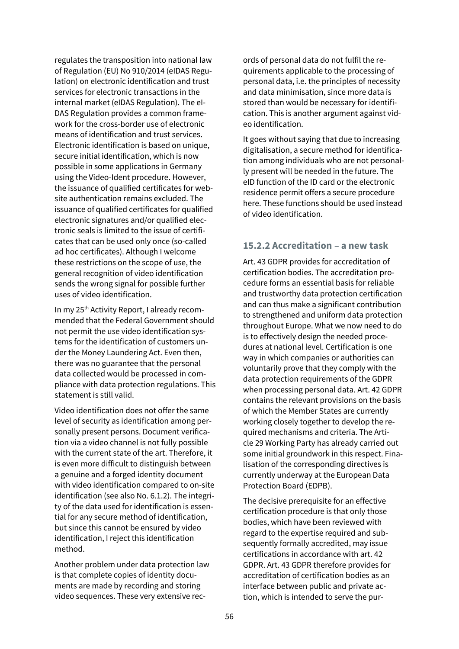regulates the transposition into national law of Regulation (EU) No 910/2014 (eIDAS Regulation) on electronic identification and trust services for electronic transactions in the internal market (eIDAS Regulation). The eI-DAS Regulation provides a common framework for the cross-border use of electronic means of identification and trust services. Electronic identification is based on unique, secure initial identification, which is now possible in some applications in Germany using the Video-Ident procedure. However, the issuance of qualified certificates for website authentication remains excluded. The issuance of qualified certificates for qualified electronic signatures and/or qualified electronic seals is limited to the issue of certificates that can be used only once (so-called ad hoc certificates). Although I welcome these restrictions on the scope of use, the general recognition of video identification sends the wrong signal for possible further uses of video identification.

In my 25<sup>th</sup> Activity Report, I already recommended that the Federal Government should not permit the use video identification systems for the identification of customers under the Money Laundering Act. Even then, there was no guarantee that the personal data collected would be processed in compliance with data protection regulations. This statement is still valid.

Video identification does not offer the same level of security as identification among personally present persons. Document verification via a video channel is not fully possible with the current state of the art. Therefore, it is even more difficult to distinguish between a genuine and a forged identity document with video identification compared to on-site identification (see also No. 6.1.2). The integrity of the data used for identification is essential for any secure method of identification, but since this cannot be ensured by video identification, I reject this identification method.

Another problem under data protection law is that complete copies of identity documents are made by recording and storing video sequences. These very extensive records of personal data do not fulfil the requirements applicable to the processing of personal data, i.e. the principles of necessity and data minimisation, since more data is stored than would be necessary for identification. This is another argument against video identification.

It goes without saying that due to increasing digitalisation, a secure method for identification among individuals who are not personally present will be needed in the future. The eID function of the ID card or the electronic residence permit offers a secure procedure here. These functions should be used instead of video identification.

### **15.2.2 Accreditation – a new task**

Art. 43 GDPR provides for accreditation of certification bodies. The accreditation procedure forms an essential basis for reliable and trustworthy data protection certification and can thus make a significant contribution to strengthened and uniform data protection throughout Europe. What we now need to do is to effectively design the needed procedures at national level. Certification is one way in which companies or authorities can voluntarily prove that they comply with the data protection requirements of the GDPR when processing personal data. Art. 42 GDPR contains the relevant provisions on the basis of which the Member States are currently working closely together to develop the required mechanisms and criteria. The Article 29 Working Party has already carried out some initial groundwork in this respect. Finalisation of the corresponding directives is currently underway at the European Data Protection Board (EDPB).

The decisive prerequisite for an effective certification procedure is that only those bodies, which have been reviewed with regard to the expertise required and subsequently formally accredited, may issue certifications in accordance with art. 42 GDPR. Art. 43 GDPR therefore provides for accreditation of certification bodies as an interface between public and private action, which is intended to serve the pur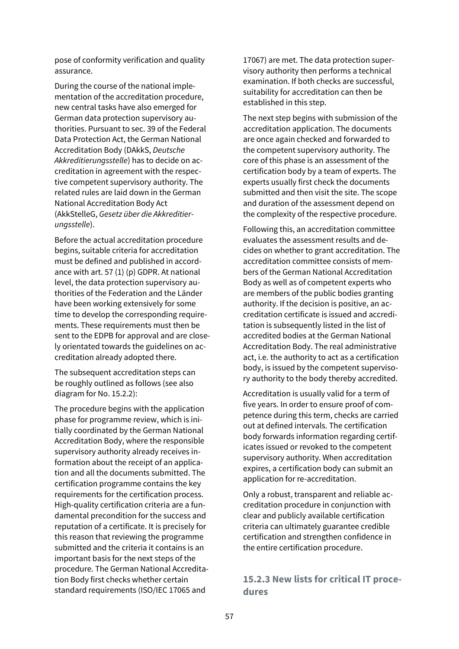pose of conformity verification and quality assurance.

During the course of the national implementation of the accreditation procedure, new central tasks have also emerged for German data protection supervisory authorities. Pursuant to sec. 39 of the Federal Data Protection Act, the German National Accreditation Body (DAkkS, *Deutsche Akkreditierungsstelle*) has to decide on accreditation in agreement with the respective competent supervisory authority. The related rules are laid down in the German National Accreditation Body Act (AkkStelleG, *Gesetz über die Akkreditierungsstelle*).

Before the actual accreditation procedure begins, suitable criteria for accreditation must be defined and published in accordance with art. 57 (1) (p) GDPR. At national level, the data protection supervisory authorities of the Federation and the Länder have been working extensively for some time to develop the corresponding requirements. These requirements must then be sent to the EDPB for approval and are closely orientated towards the guidelines on accreditation already adopted there.

The subsequent accreditation steps can be roughly outlined as follows (see also diagram for No. 15.2.2):

The procedure begins with the application phase for programme review, which is initially coordinated by the German National Accreditation Body, where the responsible supervisory authority already receives information about the receipt of an application and all the documents submitted. The certification programme contains the key requirements for the certification process. High-quality certification criteria are a fundamental precondition for the success and reputation of a certificate. It is precisely for this reason that reviewing the programme submitted and the criteria it contains is an important basis for the next steps of the procedure. The German National Accreditation Body first checks whether certain standard requirements (ISO/IEC 17065 and

17067) are met. The data protection supervisory authority then performs a technical examination. If both checks are successful, suitability for accreditation can then be established in this step.

The next step begins with submission of the accreditation application. The documents are once again checked and forwarded to the competent supervisory authority. The core of this phase is an assessment of the certification body by a team of experts. The experts usually first check the documents submitted and then visit the site. The scope and duration of the assessment depend on the complexity of the respective procedure.

Following this, an accreditation committee evaluates the assessment results and decides on whether to grant accreditation. The accreditation committee consists of members of the German National Accreditation Body as well as of competent experts who are members of the public bodies granting authority. If the decision is positive, an accreditation certificate is issued and accreditation is subsequently listed in the list of accredited bodies at the German National Accreditation Body. The real administrative act, i.e. the authority to act as a certification body, is issued by the competent supervisory authority to the body thereby accredited.

Accreditation is usually valid for a term of five years. In order to ensure proof of competence during this term, checks are carried out at defined intervals. The certification body forwards information regarding certificates issued or revoked to the competent supervisory authority. When accreditation expires, a certification body can submit an application for re-accreditation.

Only a robust, transparent and reliable accreditation procedure in conjunction with clear and publicly available certification criteria can ultimately guarantee credible certification and strengthen confidence in the entire certification procedure.

### **15.2.3 New lists for critical IT procedures**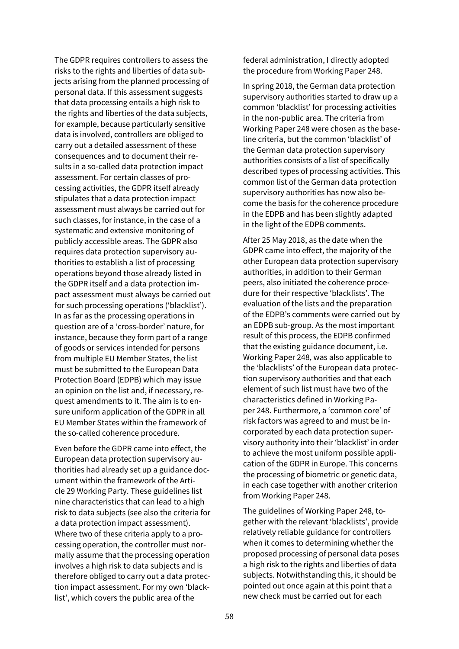The GDPR requires controllers to assess the risks to the rights and liberties of data subjects arising from the planned processing of personal data. If this assessment suggests that data processing entails a high risk to the rights and liberties of the data subjects, for example, because particularly sensitive data is involved, controllers are obliged to carry out a detailed assessment of these consequences and to document their results in a so-called data protection impact assessment. For certain classes of processing activities, the GDPR itself already stipulates that a data protection impact assessment must always be carried out for such classes, for instance, in the case of a systematic and extensive monitoring of publicly accessible areas. The GDPR also requires data protection supervisory authorities to establish a list of processing operations beyond those already listed in the GDPR itself and a data protection impact assessment must always be carried out for such processing operations ('blacklist'). In as far as the processing operations in question are of a 'cross-border' nature, for instance, because they form part of a range of goods or services intended for persons from multiple EU Member States, the list must be submitted to the European Data Protection Board (EDPB) which may issue an opinion on the list and, if necessary, request amendments to it. The aim is to ensure uniform application of the GDPR in all EU Member States within the framework of the so-called coherence procedure.

Even before the GDPR came into effect, the European data protection supervisory authorities had already set up a guidance document within the framework of the Article 29 Working Party. These guidelines list nine characteristics that can lead to a high risk to data subjects (see also the criteria for a data protection impact assessment). Where two of these criteria apply to a processing operation, the controller must normally assume that the processing operation involves a high risk to data subjects and is therefore obliged to carry out a data protection impact assessment. For my own 'blacklist', which covers the public area of the

federal administration, I directly adopted the procedure from Working Paper 248.

In spring 2018, the German data protection supervisory authorities started to draw up a common 'blacklist' for processing activities in the non-public area. The criteria from Working Paper 248 were chosen as the baseline criteria, but the common 'blacklist' of the German data protection supervisory authorities consists of a list of specifically described types of processing activities. This common list of the German data protection supervisory authorities has now also become the basis for the coherence procedure in the EDPB and has been slightly adapted in the light of the EDPB comments.

After 25 May 2018, as the date when the GDPR came into effect, the majority of the other European data protection supervisory authorities, in addition to their German peers, also initiated the coherence procedure for their respective 'blacklists'. The evaluation of the lists and the preparation of the EDPB's comments were carried out by an EDPB sub-group. As the most important result of this process, the EDPB confirmed that the existing guidance document, i.e. Working Paper 248, was also applicable to the 'blacklists' of the European data protection supervisory authorities and that each element of such list must have two of the characteristics defined in Working Paper 248. Furthermore, a 'common core' of risk factors was agreed to and must be incorporated by each data protection supervisory authority into their 'blacklist' in order to achieve the most uniform possible application of the GDPR in Europe. This concerns the processing of biometric or genetic data, in each case together with another criterion from Working Paper 248.

The guidelines of Working Paper 248, together with the relevant 'blacklists', provide relatively reliable guidance for controllers when it comes to determining whether the proposed processing of personal data poses a high risk to the rights and liberties of data subjects. Notwithstanding this, it should be pointed out once again at this point that a new check must be carried out for each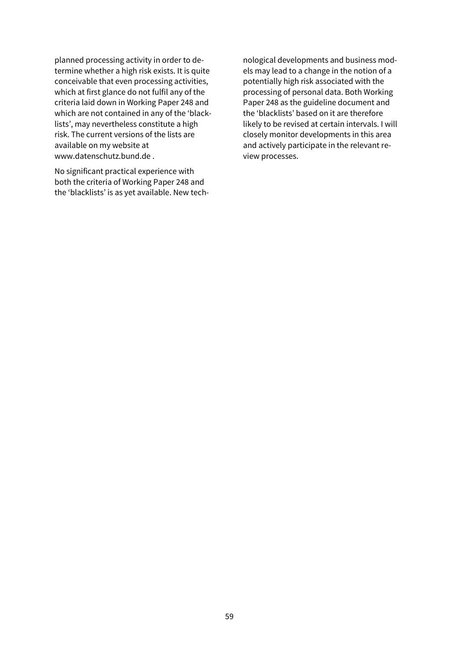planned processing activity in order to determine whether a high risk exists. It is quite conceivable that even processing activities, which at first glance do not fulfil any of the criteria laid down in Working Paper 248 and which are not contained in any of the 'blacklists', may nevertheless constitute a high risk. The current versions of the lists are available on my website at [www.datenschutz.bund.de .](http://www.datenschutz.bund.de/)

No significant practical experience with both the criteria of Working Paper 248 and the 'blacklists' is as yet available. New tech-

nological developments and business models may lead to a change in the notion of a potentially high risk associated with the processing of personal data. Both Working Paper 248 as the guideline document and the 'blacklists' based on it are therefore likely to be revised at certain intervals. I will closely monitor developments in this area and actively participate in the relevant review processes.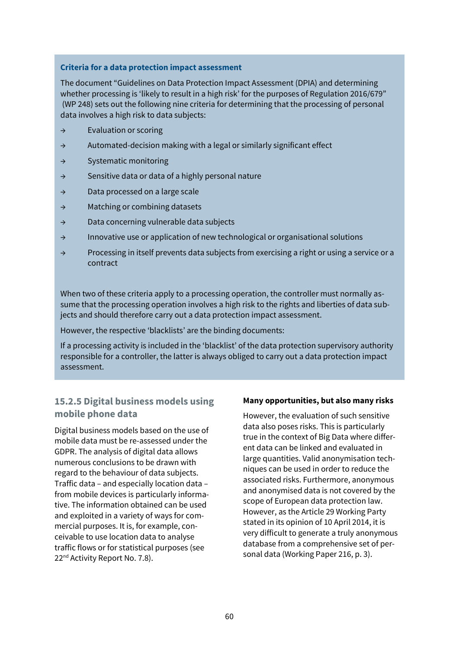### **Criteria for a data protection impact assessment**

The document "Guidelines on Data Protection Impact Assessment (DPIA) and determining whether processing is 'likely to result in a high risk' for the purposes of Regulation 2016/679" (WP 248) sets out the following nine criteria for determining that the processing of personal data involves a high risk to data subjects:

- → Evaluation or scoring
- → Automated-decision making with a legal or similarly significant effect
- → Systematic monitoring
- → Sensitive data or data of a highly personal nature
- → Data processed on a large scale
- → Matching or combining datasets
- → Data concerning vulnerable data subjects
- → Innovative use or application of new technological or organisational solutions
- → Processing in itself prevents data subjects from exercising a right or using a service or a contract

When two of these criteria apply to a processing operation, the controller must normally assume that the processing operation involves a high risk to the rights and liberties of data subjects and should therefore carry out a data protection impact assessment.

However, the respective 'blacklists' are the binding documents:

If a processing activity is included in the 'blacklist' of the data protection supervisory authority responsible for a controller, the latter is always obliged to carry out a data protection impact assessment.

## **15.2.5 Digital business models using mobile phone data**

Digital business models based on the use of mobile data must be re-assessed under the GDPR. The analysis of digital data allows numerous conclusions to be drawn with regard to the behaviour of data subjects. Traffic data – and especially location data – from mobile devices is particularly informative. The information obtained can be used and exploited in a variety of ways for commercial purposes. It is, for example, conceivable to use location data to analyse traffic flows or for statistical purposes (see 22<sup>nd</sup> Activity Report No. 7.8).

#### **Many opportunities, but also many risks**

However, the evaluation of such sensitive data also poses risks. This is particularly true in the context of Big Data where different data can be linked and evaluated in large quantities. Valid anonymisation techniques can be used in order to reduce the associated risks. Furthermore, anonymous and anonymised data is not covered by the scope of European data protection law. However, as the Article 29 Working Party stated in its opinion of 10 April 2014, it is very difficult to generate a truly anonymous database from a comprehensive set of personal data (Working Paper 216, p. 3).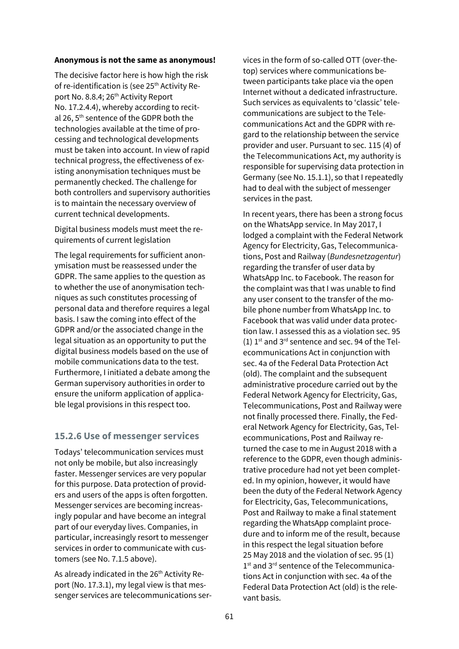#### **Anonymous is not the same as anonymous!**

The decisive factor here is how high the risk of re-identification is (see 25<sup>th</sup> Activity Report No. 8.8.4; 26<sup>th</sup> Activity Report No. 17.2.4.4), whereby according to recital 26, 5<sup>th</sup> sentence of the GDPR both the technologies available at the time of processing and technological developments must be taken into account. In view of rapid technical progress, the effectiveness of existing anonymisation techniques must be permanently checked. The challenge for both controllers and supervisory authorities is to maintain the necessary overview of current technical developments.

Digital business models must meet the requirements of current legislation

The legal requirements for sufficient anonymisation must be reassessed under the GDPR. The same applies to the question as to whether the use of anonymisation techniques as such constitutes processing of personal data and therefore requires a legal basis. I saw the coming into effect of the GDPR and/or the associated change in the legal situation as an opportunity to put the digital business models based on the use of mobile communications data to the test. Furthermore, I initiated a debate among the German supervisory authorities in order to ensure the uniform application of applicable legal provisions in this respect too.

## **15.2.6 Use of messenger services**

Todays' telecommunication services must not only be mobile, but also increasingly faster. Messenger services are very popular for this purpose. Data protection of providers and users of the apps is often forgotten. Messenger services are becoming increasingly popular and have become an integral part of our everyday lives. Companies, in particular, increasingly resort to messenger services in order to communicate with customers (see No. 7.1.5 above).

As already indicated in the 26<sup>th</sup> Activity Report (No. 17.3.1), my legal view is that messenger services are telecommunications services in the form of so-called OTT (over-thetop) services where communications between participants take place via the open Internet without a dedicated infrastructure. Such services as equivalents to 'classic' telecommunications are subject to the Telecommunications Act and the GDPR with regard to the relationship between the service provider and user. Pursuant to sec. 115 (4) of the Telecommunications Act, my authority is responsible for supervising data protection in Germany (see No. 15.1.1), so that I repeatedly had to deal with the subject of messenger services in the past.

In recent years, there has been a strong focus on the WhatsApp service. In May 2017, I lodged a complaint with the Federal Network Agency for Electricity, Gas, Telecommunications, Post and Railway (*Bundesnetzagentur*) regarding the transfer of user data by WhatsApp Inc. to Facebook. The reason for the complaint was that I was unable to find any user consent to the transfer of the mobile phone number from WhatsApp Inc. to Facebook that was valid under data protection law. I assessed this as a violation sec. 95 (1)  $1^{st}$  and  $3^{rd}$  sentence and sec. 94 of the Telecommunications Act in conjunction with sec. 4a of the Federal Data Protection Act (old). The complaint and the subsequent administrative procedure carried out by the Federal Network Agency for Electricity, Gas, Telecommunications, Post and Railway were not finally processed there. Finally, the Federal Network Agency for Electricity, Gas, Telecommunications, Post and Railway returned the case to me in August 2018 with a reference to the GDPR, even though administrative procedure had not yet been completed. In my opinion, however, it would have been the duty of the Federal Network Agency for Electricity, Gas, Telecommunications, Post and Railway to make a final statement regarding the WhatsApp complaint procedure and to inform me of the result, because in this respect the legal situation before 25 May 2018 and the violation of sec. 95 (1) 1<sup>st</sup> and 3<sup>rd</sup> sentence of the Telecommunications Act in conjunction with sec. 4a of the Federal Data Protection Act (old) is the relevant basis.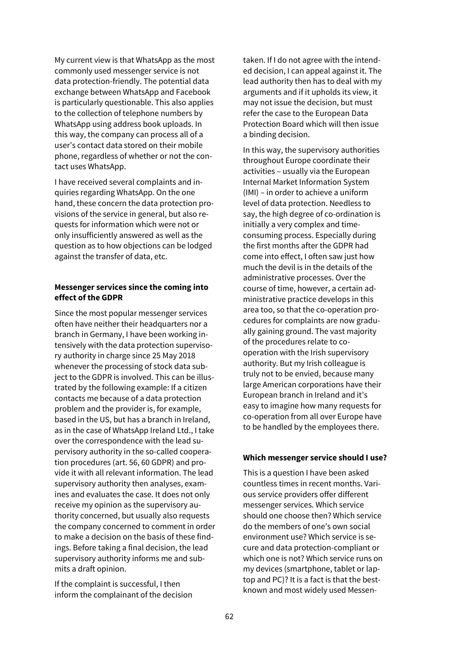My current view is that WhatsApp as the most commonly used messenger service is not data protection-friendly. The potential data exchange between WhatsApp and Facebook is particularly questionable. This also applies to the collection of telephone numbers by WhatsApp using address book uploads. In this way, the company can process all of a user's contact data stored on their mobile phone, regardless of whether or not the contact uses WhatsApp.

I have received several complaints and inquiries regarding WhatsApp. On the one hand, these concern the data protection provisions of the service in general, but also requests for information which were not or only insufficiently answered as well as the question as to how objections can be lodged against the transfer of data, etc.

### **Messenger services since the coming into effect of the GDPR**

Since the most popular messenger services often have neither their headquarters nor a branch in Germany, I have been working intensively with the data protection supervisory authority in charge since 25 May 2018 whenever the processing of stock data subject to the GDPR is involved. This can be illustrated by the following example: If a citizen contacts me because of a data protection problem and the provider is, for example, based in the US, but has a branch in Ireland, as in the case of WhatsApp Ireland Ltd., I take over the correspondence with the lead supervisory authority in the so-called cooperation procedures (art. 56, 60 GDPR) and provide it with all relevant information. The lead supervisory authority then analyses, examines and evaluates the case. It does not only receive my opinion as the supervisory authority concerned, but usually also requests the company concerned to comment in order to make a decision on the basis of these findings. Before taking a final decision, the lead supervisory authority informs me and submits a draft opinion.

If the complaint is successful, I then inform the complainant of the decision taken. If I do not agree with the intended decision, I can appeal against it. The lead authority then has to deal with my arguments and if it upholds its view, it may not issue the decision, but must refer the case to the European Data Protection Board which will then issue a binding decision.

In this way, the supervisory authorities throughout Europe coordinate their activities – usually via the European Internal Market Information System (IMI) – in order to achieve a uniform level of data protection. Needless to say, the high degree of co-ordination is initially a very complex and timeconsuming process. Especially during the first months after the GDPR had come into effect, I often saw just how much the devil is in the details of the administrative processes. Over the course of time, however, a certain administrative practice develops in this area too, so that the co-operation procedures for complaints are now gradually gaining ground. The vast majority of the procedures relate to cooperation with the Irish supervisory authority. But my Irish colleague is truly not to be envied, because many large American corporations have their European branch in Ireland and it's easy to imagine how many requests for co-operation from all over Europe have to be handled by the employees there.

#### **Which messenger service should I use?**

This is a question I have been asked countless times in recent months. Various service providers offer different messenger services. Which service should one choose then? Which service do the members of one's own social environment use? Which service is secure and data protection-compliant or which one is not? Which service runs on my devices (smartphone, tablet or laptop and PC)? It is a fact is that the bestknown and most widely used Messen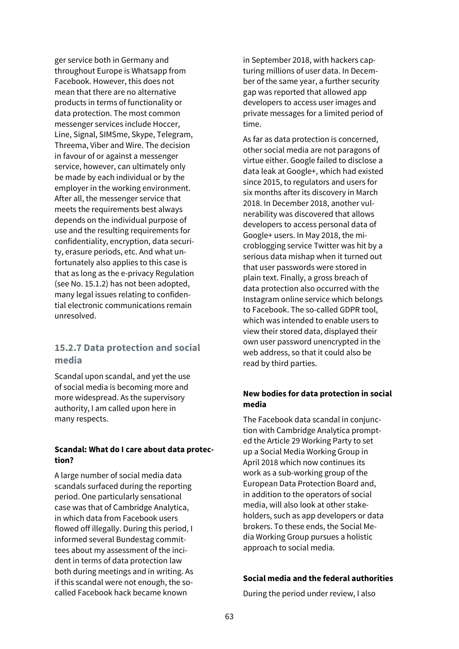ger service both in Germany and throughout Europe is Whatsapp from Facebook. However, this does not mean that there are no alternative products in terms of functionality or data protection. The most common messenger services include Hoccer, Line, Signal, SIMSme, Skype, Telegram, Threema, Viber and Wire. The decision in favour of or against a messenger service, however, can ultimately only be made by each individual or by the employer in the working environment. After all, the messenger service that meets the requirements best always depends on the individual purpose of use and the resulting requirements for confidentiality, encryption, data security, erasure periods, etc. And what unfortunately also applies to this case is that as long as the e-privacy Regulation (see No. 15.1.2) has not been adopted, many legal issues relating to confidential electronic communications remain unresolved.

## **15.2.7 Data protection and social media**

Scandal upon scandal, and yet the use of social media is becoming more and more widespread. As the supervisory authority, I am called upon here in many respects.

#### **Scandal: What do I care about data protection?**

A large number of social media data scandals surfaced during the reporting period. One particularly sensational case was that of Cambridge Analytica, in which data from Facebook users flowed off illegally. During this period, I informed several Bundestag committees about my assessment of the incident in terms of data protection law both during meetings and in writing. As if this scandal were not enough, the socalled Facebook hack became known

in September 2018, with hackers capturing millions of user data. In December of the same year, a further security gap was reported that allowed app developers to access user images and private messages for a limited period of time.

As far as data protection is concerned, other social media are not paragons of virtue either. Google failed to disclose a data leak at Google+, which had existed since 2015, to regulators and users for six months after its discovery in March 2018. In December 2018, another vulnerability was discovered that allows developers to access personal data of Google+ users. In May 2018, the microblogging service Twitter was hit by a serious data mishap when it turned out that user passwords were stored in plain text. Finally, a gross breach of data protection also occurred with the Instagram online service which belongs to Facebook. The so-called GDPR tool, which was intended to enable users to view their stored data, displayed their own user password unencrypted in the web address, so that it could also be read by third parties.

### **New bodies for data protection in social media**

The Facebook data scandal in conjunction with Cambridge Analytica prompted the Article 29 Working Party to set up a Social Media Working Group in April 2018 which now continues its work as a sub-working group of the European Data Protection Board and, in addition to the operators of social media, will also look at other stakeholders, such as app developers or data brokers. To these ends, the Social Media Working Group pursues a holistic approach to social media.

### **Social media and the federal authorities**

During the period under review, I also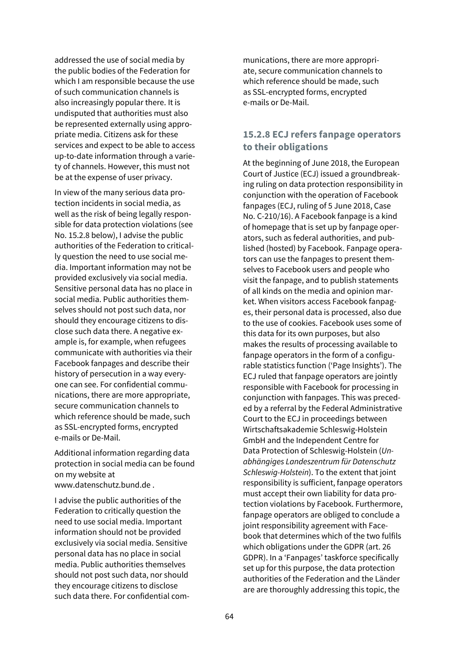addressed the use of social media by the public bodies of the Federation for which I am responsible because the use of such communication channels is also increasingly popular there. It is undisputed that authorities must also be represented externally using appropriate media. Citizens ask for these services and expect to be able to access up-to-date information through a variety of channels. However, this must not be at the expense of user privacy.

In view of the many serious data protection incidents in social media, as well as the risk of being legally responsible for data protection violations (see No. 15.2.8 below), I advise the public authorities of the Federation to critically question the need to use social media. Important information may not be provided exclusively via social media. Sensitive personal data has no place in social media. Public authorities themselves should not post such data, nor should they encourage citizens to disclose such data there. A negative example is, for example, when refugees communicate with authorities via their Facebook fanpages and describe their history of persecution in a way everyone can see. For confidential communications, there are more appropriate, secure communication channels to which reference should be made, such as SSL-encrypted forms, encrypted e-mails or De-Mail.

Additional information regarding data protection in social media can be found on my website at [www.datenschutz.bund.de .](http://www.datenschutz.bund.de/)

I advise the public authorities of the Federation to critically question the need to use social media. Important information should not be provided exclusively via social media. Sensitive personal data has no place in social media. Public authorities themselves should not post such data, nor should they encourage citizens to disclose such data there. For confidential communications, there are more appropriate, secure communication channels to which reference should be made, such as SSL-encrypted forms, encrypted e-mails or De-Mail.

## **15.2.8 ECJ refers fanpage operators to their obligations**

At the beginning of June 2018, the European Court of Justice (ECJ) issued a groundbreaking ruling on data protection responsibility in conjunction with the operation of Facebook fanpages (ECJ, ruling of 5 June 2018, Case No. C-210/16). A Facebook fanpage is a kind of homepage that is set up by fanpage operators, such as federal authorities, and published (hosted) by Facebook. Fanpage operators can use the fanpages to present themselves to Facebook users and people who visit the fanpage, and to publish statements of all kinds on the media and opinion market. When visitors access Facebook fanpages, their personal data is processed, also due to the use of cookies. Facebook uses some of this data for its own purposes, but also makes the results of processing available to fanpage operators in the form of a configurable statistics function ('Page Insights'). The ECJ ruled that fanpage operators are jointly responsible with Facebook for processing in conjunction with fanpages. This was preceded by a referral by the Federal Administrative Court to the ECJ in proceedings between Wirtschaftsakademie Schleswig-Holstein GmbH and the Independent Centre for Data Protection of Schleswig-Holstein (*Unabhängiges Landeszentrum für Datenschutz Schleswig-Holstein*). To the extent that joint responsibility is sufficient, fanpage operators must accept their own liability for data protection violations by Facebook. Furthermore, fanpage operators are obliged to conclude a joint responsibility agreement with Facebook that determines which of the two fulfils which obligations under the GDPR (art. 26 GDPR). In a 'Fanpages' taskforce specifically set up for this purpose, the data protection authorities of the Federation and the Länder are are thoroughly addressing this topic, the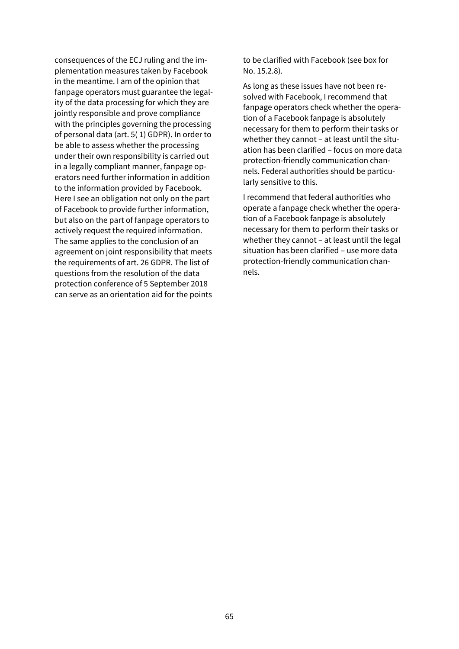consequences of the ECJ ruling and the implementation measures taken by Facebook in the meantime. I am of the opinion that fanpage operators must guarantee the legality of the data processing for which they are jointly responsible and prove compliance with the principles governing the processing of personal data (art. 5( 1) GDPR). In order to be able to assess whether the processing under their own responsibility is carried out in a legally compliant manner, fanpage operators need further information in addition to the information provided by Facebook. Here I see an obligation not only on the part of Facebook to provide further information, but also on the part of fanpage operators to actively request the required information. The same applies to the conclusion of an agreement on joint responsibility that meets the requirements of art. 26 GDPR. The list of questions from the resolution of the data protection conference of 5 September 2018 can serve as an orientation aid for the points to be clarified with Facebook (see box for No. 15.2.8).

As long as these issues have not been resolved with Facebook, I recommend that fanpage operators check whether the operation of a Facebook fanpage is absolutely necessary for them to perform their tasks or whether they cannot – at least until the situation has been clarified – focus on more data protection-friendly communication channels. Federal authorities should be particularly sensitive to this.

I recommend that federal authorities who operate a fanpage check whether the operation of a Facebook fanpage is absolutely necessary for them to perform their tasks or whether they cannot – at least until the legal situation has been clarified – use more data protection-friendly communication channels.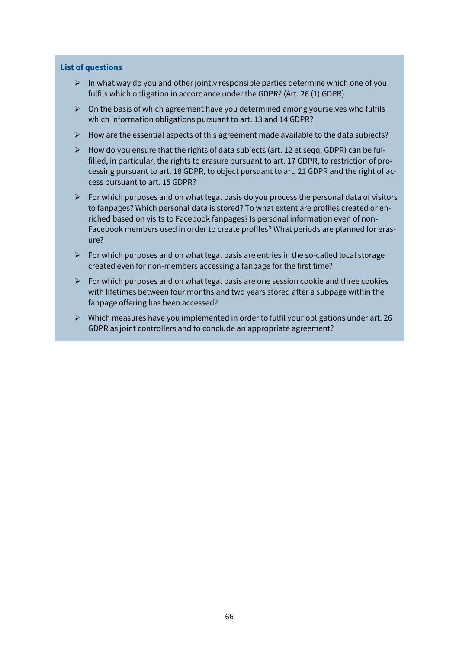#### **List of questions**

- $\triangleright$  In what way do you and other jointly responsible parties determine which one of you fulfils which obligation in accordance under the GDPR? (Art. 26 (1) GDPR)
- $\triangleright$  On the basis of which agreement have you determined among yourselves who fulfils which information obligations pursuant to art. 13 and 14 GDPR?
- $\triangleright$  How are the essential aspects of this agreement made available to the data subjects?
- $\triangleright$  How do you ensure that the rights of data subjects (art. 12 et seqq. GDPR) can be fulfilled, in particular, the rights to erasure pursuant to art. 17 GDPR, to restriction of processing pursuant to art. 18 GDPR, to object pursuant to art. 21 GDPR and the right of access pursuant to art. 15 GDPR?
- $\triangleright$  For which purposes and on what legal basis do you process the personal data of visitors to fanpages? Which personal data is stored? To what extent are profiles created or enriched based on visits to Facebook fanpages? Is personal information even of non-Facebook members used in order to create profiles? What periods are planned for erasure?
- $\triangleright$  For which purposes and on what legal basis are entries in the so-called local storage created even for non-members accessing a fanpage for the first time?
- $\triangleright$  For which purposes and on what legal basis are one session cookie and three cookies with lifetimes between four months and two years stored after a subpage within the fanpage offering has been accessed?
- $\triangleright$  Which measures have you implemented in order to fulfil your obligations under art. 26 GDPR as joint controllers and to conclude an appropriate agreement?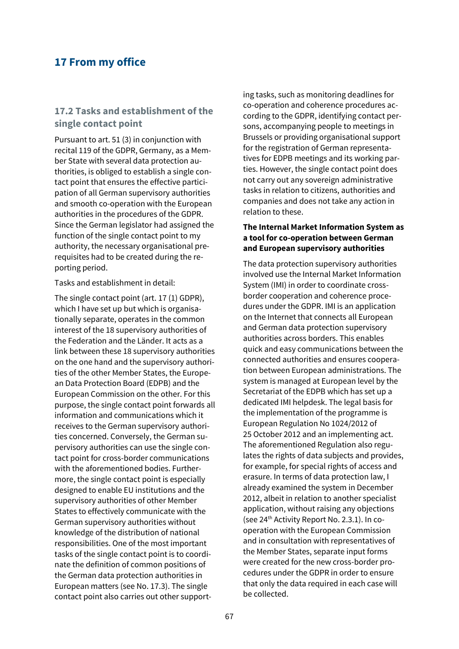## **17 From my office**

### **17.2 Tasks and establishment of the single contact point**

Pursuant to art. 51 (3) in conjunction with recital 119 of the GDPR, Germany, as a Member State with several data protection authorities, is obliged to establish a single contact point that ensures the effective participation of all German supervisory authorities and smooth co-operation with the European authorities in the procedures of the GDPR. Since the German legislator had assigned the function of the single contact point to my authority, the necessary organisational prerequisites had to be created during the reporting period.

Tasks and establishment in detail:

The single contact point (art. 17 (1) GDPR), which I have set up but which is organisationally separate, operates in the common interest of the 18 supervisory authorities of the Federation and the Länder. It acts as a link between these 18 supervisory authorities on the one hand and the supervisory authorities of the other Member States, the European Data Protection Board (EDPB) and the European Commission on the other. For this purpose, the single contact point forwards all information and communications which it receives to the German supervisory authorities concerned. Conversely, the German supervisory authorities can use the single contact point for cross-border communications with the aforementioned bodies. Furthermore, the single contact point is especially designed to enable EU institutions and the supervisory authorities of other Member States to effectively communicate with the German supervisory authorities without knowledge of the distribution of national responsibilities. One of the most important tasks of the single contact point is to coordinate the definition of common positions of the German data protection authorities in European matters (see No. 17.3). The single contact point also carries out other supporting tasks, such as monitoring deadlines for co-operation and coherence procedures according to the GDPR, identifying contact persons, accompanying people to meetings in Brussels or providing organisational support for the registration of German representatives for EDPB meetings and its working parties. However, the single contact point does not carry out any sovereign administrative tasks in relation to citizens, authorities and companies and does not take any action in relation to these.

### **The Internal Market Information System as a tool for co-operation between German and European supervisory authorities**

The data protection supervisory authorities involved use the Internal Market Information System (IMI) in order to coordinate crossborder cooperation and coherence procedures under the GDPR. IMI is an application on the Internet that connects all European and German data protection supervisory authorities across borders. This enables quick and easy communications between the connected authorities and ensures cooperation between European administrations. The system is managed at European level by the Secretariat of the EDPB which has set up a dedicated IMI helpdesk. The legal basis for the implementation of the programme is European Regulation No 1024/2012 of 25 October 2012 and an implementing act. The aforementioned Regulation also regulates the rights of data subjects and provides, for example, for special rights of access and erasure. In terms of data protection law, I already examined the system in December 2012, albeit in relation to another specialist application, without raising any objections (see 24<sup>th</sup> Activity Report No. 2.3.1). In cooperation with the European Commission and in consultation with representatives of the Member States, separate input forms were created for the new cross-border procedures under the GDPR in order to ensure that only the data required in each case will be collected.